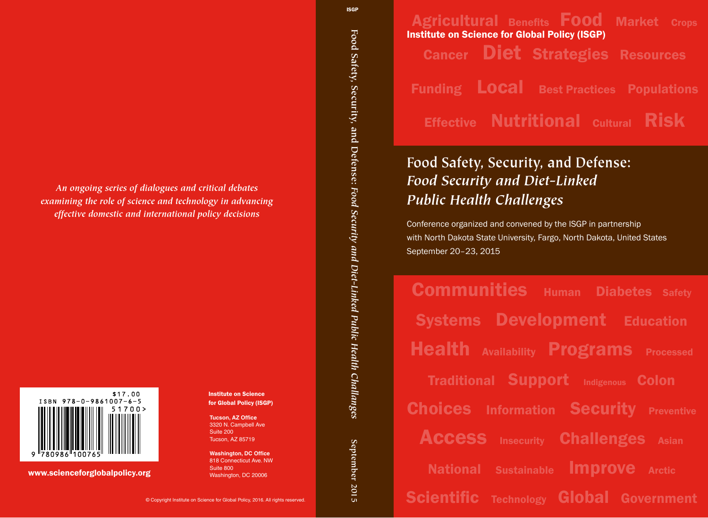Agricultural  Benefts   Food Market Crops Cancer Diet Strategies Resources Funding Local Best Practices  Populations **Effective Nutritional Cultural Risk** Institute on Science for Global Policy (ISGP)

# **Food Safety, Security, and Defense:** *Food Security and Diet-Linked Public Health Challenges*

Conference organized and convened by the ISGP in partnership with North Dakota State University, Fargo, North Dakota, United States September 20–23, 2015

**Communities** Human Diabetes Safety Systems Development Education **Health Availability Programs** Processed Traditional Support Indigenous Colon **Choices Information Security Preventive Access** Insecurity **Challenges** Asian National Sustainable Improve Arctic Scientific Technology Global Government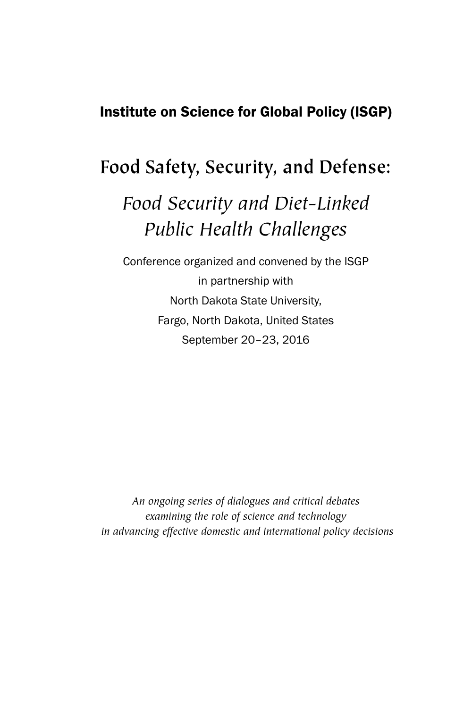# Institute on Science for Global Policy (ISGP)

# **Food Safety, Security, and Defense:**

# *Food Security and Diet-Linked Public Health Challenges*

Conference organized and convened by the ISGP in partnership with North Dakota State University, Fargo, North Dakota, United States September 20–23, 2016

*An ongoing series of dialogues and critical debates examining the role of science and technology in advancing effective domestic and international policy decisions*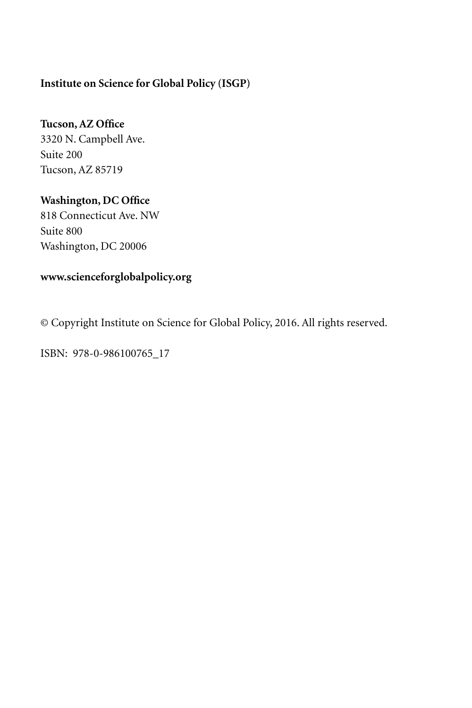### **Institute on Science for Global Policy (ISGP)**

## **Tucson, AZ Office**

3320 N. Campbell Ave. Suite 200 Tucson, AZ 85719

## **Washington, DC Office**

818 Connecticut Ave. NW Suite 800 Washington, DC 20006

## **www.scienceforglobalpolicy.org**

© Copyright Institute on Science for Global Policy, 2016. All rights reserved.

ISBN: 978-0-986100765\_17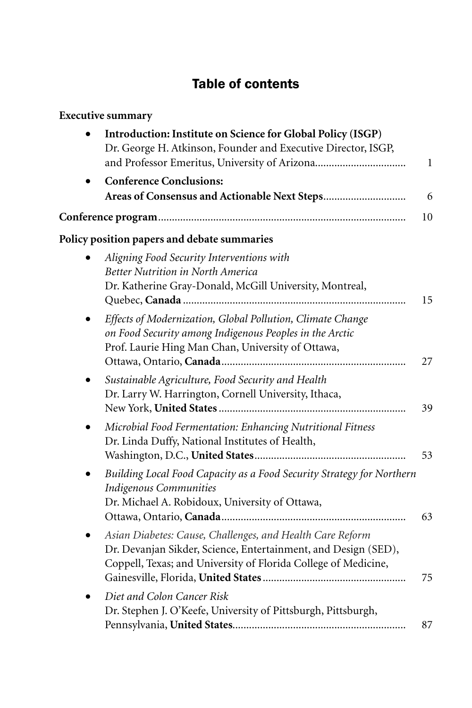# Table of contents

| <b>Executive summary</b>                                                                                                                                                                      |              |
|-----------------------------------------------------------------------------------------------------------------------------------------------------------------------------------------------|--------------|
| Introduction: Institute on Science for Global Policy (ISGP)<br>Dr. George H. Atkinson, Founder and Executive Director, ISGP,<br>and Professor Emeritus, University of Arizona                 | $\mathbf{1}$ |
| <b>Conference Conclusions:</b>                                                                                                                                                                | 6            |
|                                                                                                                                                                                               | 10           |
| Policy position papers and debate summaries                                                                                                                                                   |              |
| Aligning Food Security Interventions with<br>Better Nutrition in North America<br>Dr. Katherine Gray-Donald, McGill University, Montreal,                                                     | 15           |
| Effects of Modernization, Global Pollution, Climate Change<br>on Food Security among Indigenous Peoples in the Arctic<br>Prof. Laurie Hing Man Chan, University of Ottawa,                    | 27           |
| Sustainable Agriculture, Food Security and Health<br>Dr. Larry W. Harrington, Cornell University, Ithaca,                                                                                     | 39           |
| Microbial Food Fermentation: Enhancing Nutritional Fitness<br>Dr. Linda Duffy, National Institutes of Health,                                                                                 | 53           |
| Building Local Food Capacity as a Food Security Strategy for Northern<br>Indigenous Communities<br>Dr. Michael A. Robidoux, University of Ottawa,                                             | 63           |
| Asian Diabetes: Cause, Challenges, and Health Care Reform<br>Dr. Devanjan Sikder, Science, Entertainment, and Design (SED),<br>Coppell, Texas; and University of Florida College of Medicine, | 75           |
| Diet and Colon Cancer Risk<br>Dr. Stephen J. O'Keefe, University of Pittsburgh, Pittsburgh,                                                                                                   | 87           |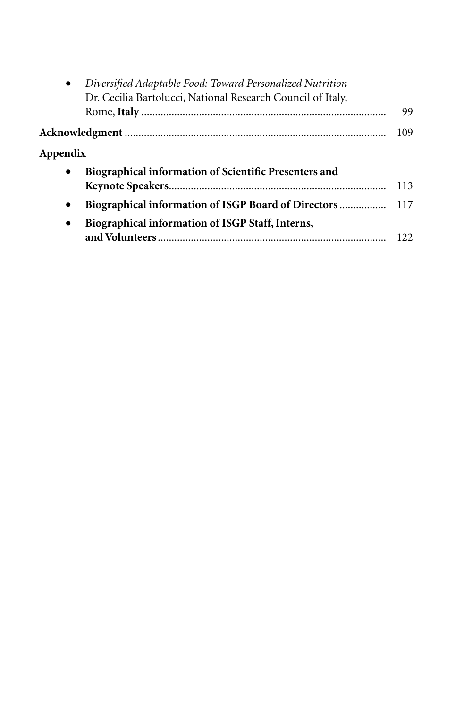| $\bullet$ | Diversified Adaptable Food: Toward Personalized Nutrition   |     |
|-----------|-------------------------------------------------------------|-----|
|           | Dr. Cecilia Bartolucci, National Research Council of Italy, | 99  |
|           |                                                             | 109 |
| Appendix  |                                                             |     |
| $\bullet$ | Biographical information of Scientific Presenters and       |     |
|           |                                                             | 113 |
| $\bullet$ | Biographical information of ISGP Board of Directors  117    |     |
| $\bullet$ | Biographical information of ISGP Staff, Interns,            |     |
|           |                                                             | 122 |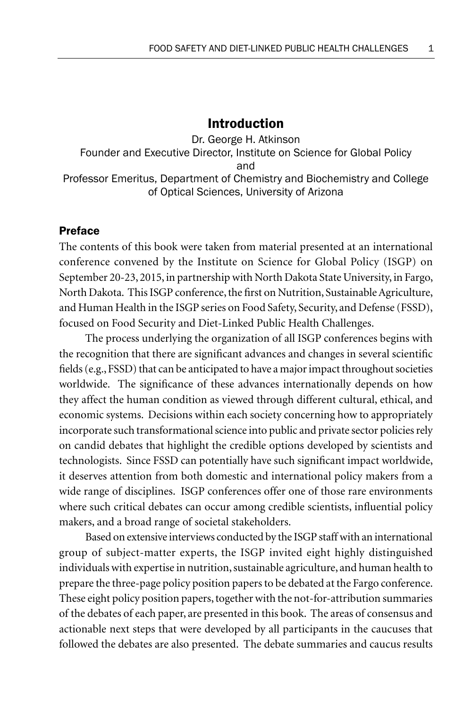### Introduction

Dr. George H. Atkinson Founder and Executive Director, Institute on Science for Global Policy and Professor Emeritus, Department of Chemistry and Biochemistry and College of Optical Sciences, University of Arizona

#### Preface

The contents of this book were taken from material presented at an international conference convened by the Institute on Science for Global Policy (ISGP) on September 20-23, 2015, in partnership with North Dakota State University, in Fargo, North Dakota. This ISGP conference, the first on Nutrition, Sustainable Agriculture, and Human Health in the ISGP series on Food Safety, Security, and Defense (FSSD), focused on Food Security and Diet-Linked Public Health Challenges.

The process underlying the organization of all ISGP conferences begins with the recognition that there are significant advances and changes in several scientific fields (e.g., FSSD) that can be anticipated to have a major impact throughout societies worldwide. The significance of these advances internationally depends on how they affect the human condition as viewed through different cultural, ethical, and economic systems. Decisions within each society concerning how to appropriately incorporate such transformational science into public and private sector policies rely on candid debates that highlight the credible options developed by scientists and technologists. Since FSSD can potentially have such significant impact worldwide, it deserves attention from both domestic and international policy makers from a wide range of disciplines. ISGP conferences offer one of those rare environments where such critical debates can occur among credible scientists, influential policy makers, and a broad range of societal stakeholders.

Based on extensive interviews conducted by the ISGP staff with an international group of subject-matter experts, the ISGP invited eight highly distinguished individuals with expertise in nutrition, sustainable agriculture, and human health to prepare the three-page policy position papers to be debated at the Fargo conference. These eight policy position papers, together with the not-for-attribution summaries of the debates of each paper, are presented in this book. The areas of consensus and actionable next steps that were developed by all participants in the caucuses that followed the debates are also presented. The debate summaries and caucus results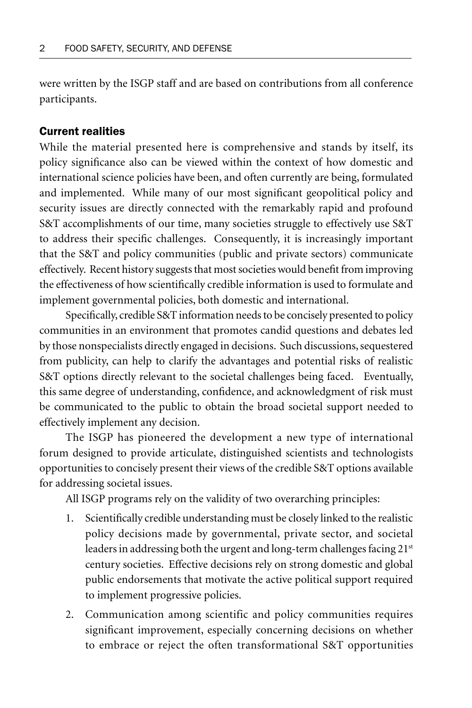were written by the ISGP staff and are based on contributions from all conference participants.

#### Current realities

While the material presented here is comprehensive and stands by itself, its policy significance also can be viewed within the context of how domestic and international science policies have been, and often currently are being, formulated and implemented. While many of our most significant geopolitical policy and security issues are directly connected with the remarkably rapid and profound S&T accomplishments of our time, many societies struggle to effectively use S&T to address their specific challenges. Consequently, it is increasingly important that the S&T and policy communities (public and private sectors) communicate effectively. Recent history suggests that most societies would benefit from improving the effectiveness of how scientifically credible information is used to formulate and implement governmental policies, both domestic and international.

Specifically, credible S&T information needs to be concisely presented to policy communities in an environment that promotes candid questions and debates led by those nonspecialists directly engaged in decisions. Such discussions, sequestered from publicity, can help to clarify the advantages and potential risks of realistic S&T options directly relevant to the societal challenges being faced. Eventually, this same degree of understanding, confidence, and acknowledgment of risk must be communicated to the public to obtain the broad societal support needed to effectively implement any decision.

The ISGP has pioneered the development a new type of international forum designed to provide articulate, distinguished scientists and technologists opportunities to concisely present their views of the credible S&T options available for addressing societal issues.

All ISGP programs rely on the validity of two overarching principles:

- 1. Scientifically credible understanding must be closely linked to the realistic policy decisions made by governmental, private sector, and societal leaders in addressing both the urgent and long-term challenges facing 21<sup>st</sup> century societies. Effective decisions rely on strong domestic and global public endorsements that motivate the active political support required to implement progressive policies.
- 2. Communication among scientific and policy communities requires significant improvement, especially concerning decisions on whether to embrace or reject the often transformational S&T opportunities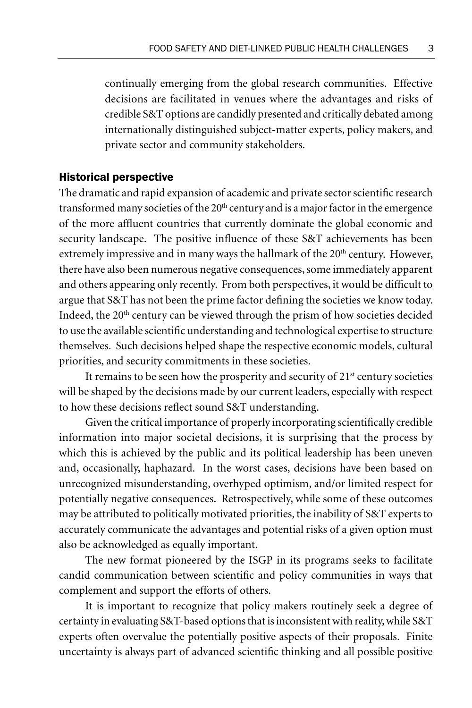continually emerging from the global research communities. Effective decisions are facilitated in venues where the advantages and risks of credible S&T options are candidly presented and critically debated among internationally distinguished subject-matter experts, policy makers, and private sector and community stakeholders.

#### Historical perspective

The dramatic and rapid expansion of academic and private sector scientific research transformed many societies of the 20<sup>th</sup> century and is a major factor in the emergence of the more affluent countries that currently dominate the global economic and security landscape. The positive influence of these S&T achievements has been extremely impressive and in many ways the hallmark of the 20<sup>th</sup> century. However, there have also been numerous negative consequences, some immediately apparent and others appearing only recently. From both perspectives, it would be difficult to argue that S&T has not been the prime factor defining the societies we know today. Indeed, the  $20<sup>th</sup>$  century can be viewed through the prism of how societies decided to use the available scientific understanding and technological expertise to structure themselves. Such decisions helped shape the respective economic models, cultural priorities, and security commitments in these societies.

It remains to be seen how the prosperity and security of  $21<sup>st</sup>$  century societies will be shaped by the decisions made by our current leaders, especially with respect to how these decisions reflect sound S&T understanding.

Given the critical importance of properly incorporating scientifically credible information into major societal decisions, it is surprising that the process by which this is achieved by the public and its political leadership has been uneven and, occasionally, haphazard. In the worst cases, decisions have been based on unrecognized misunderstanding, overhyped optimism, and/or limited respect for potentially negative consequences. Retrospectively, while some of these outcomes may be attributed to politically motivated priorities, the inability of S&T experts to accurately communicate the advantages and potential risks of a given option must also be acknowledged as equally important.

The new format pioneered by the ISGP in its programs seeks to facilitate candid communication between scientific and policy communities in ways that complement and support the efforts of others.

It is important to recognize that policy makers routinely seek a degree of certainty in evaluating S&T-based options that is inconsistent with reality, while S&T experts often overvalue the potentially positive aspects of their proposals. Finite uncertainty is always part of advanced scientific thinking and all possible positive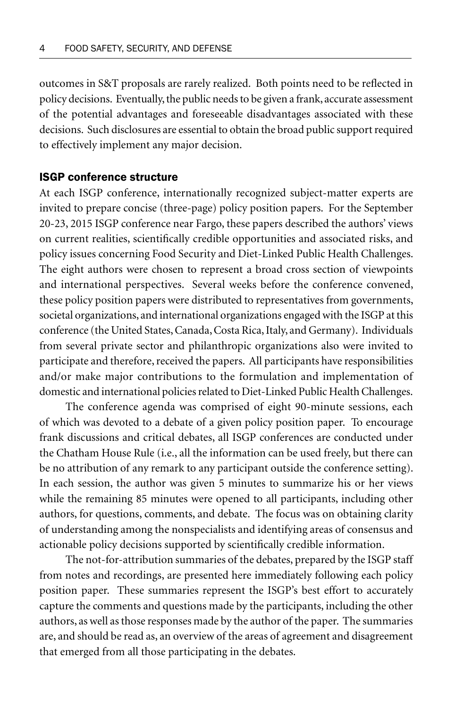outcomes in S&T proposals are rarely realized. Both points need to be reflected in policy decisions. Eventually, the public needs to be given a frank, accurate assessment of the potential advantages and foreseeable disadvantages associated with these decisions. Such disclosures are essential to obtain the broad public support required to effectively implement any major decision.

#### ISGP conference structure

At each ISGP conference, internationally recognized subject-matter experts are invited to prepare concise (three-page) policy position papers. For the September 20-23, 2015 ISGP conference near Fargo, these papers described the authors' views on current realities, scientifically credible opportunities and associated risks, and policy issues concerning Food Security and Diet-Linked Public Health Challenges. The eight authors were chosen to represent a broad cross section of viewpoints and international perspectives. Several weeks before the conference convened, these policy position papers were distributed to representatives from governments, societal organizations, and international organizations engaged with the ISGP at this conference (the United States, Canada, Costa Rica, Italy, and Germany). Individuals from several private sector and philanthropic organizations also were invited to participate and therefore, received the papers. All participants have responsibilities and/or make major contributions to the formulation and implementation of domestic and international policies related to Diet-Linked Public Health Challenges.

The conference agenda was comprised of eight 90-minute sessions, each of which was devoted to a debate of a given policy position paper. To encourage frank discussions and critical debates, all ISGP conferences are conducted under the Chatham House Rule (i.e., all the information can be used freely, but there can be no attribution of any remark to any participant outside the conference setting). In each session, the author was given 5 minutes to summarize his or her views while the remaining 85 minutes were opened to all participants, including other authors, for questions, comments, and debate. The focus was on obtaining clarity of understanding among the nonspecialists and identifying areas of consensus and actionable policy decisions supported by scientifically credible information.

The not-for-attribution summaries of the debates, prepared by the ISGP staff from notes and recordings, are presented here immediately following each policy position paper. These summaries represent the ISGP's best effort to accurately capture the comments and questions made by the participants, including the other authors, as well as those responses made by the author of the paper. The summaries are, and should be read as, an overview of the areas of agreement and disagreement that emerged from all those participating in the debates.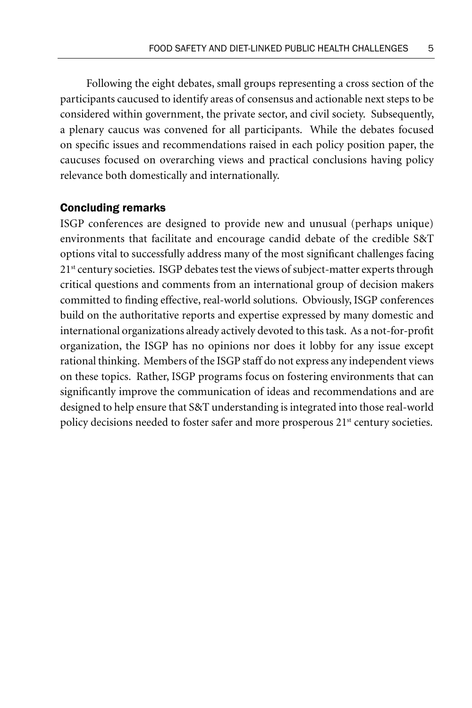Following the eight debates, small groups representing a cross section of the participants caucused to identify areas of consensus and actionable next steps to be considered within government, the private sector, and civil society. Subsequently, a plenary caucus was convened for all participants. While the debates focused on specific issues and recommendations raised in each policy position paper, the caucuses focused on overarching views and practical conclusions having policy relevance both domestically and internationally.

#### Concluding remarks

ISGP conferences are designed to provide new and unusual (perhaps unique) environments that facilitate and encourage candid debate of the credible S&T options vital to successfully address many of the most significant challenges facing 21<sup>st</sup> century societies. ISGP debates test the views of subject-matter experts through critical questions and comments from an international group of decision makers committed to finding effective, real-world solutions. Obviously, ISGP conferences build on the authoritative reports and expertise expressed by many domestic and international organizations already actively devoted to this task. As a not-for-profit organization, the ISGP has no opinions nor does it lobby for any issue except rational thinking. Members of the ISGP staff do not express any independent views on these topics. Rather, ISGP programs focus on fostering environments that can significantly improve the communication of ideas and recommendations and are designed to help ensure that S&T understanding is integrated into those real-world policy decisions needed to foster safer and more prosperous 21<sup>st</sup> century societies.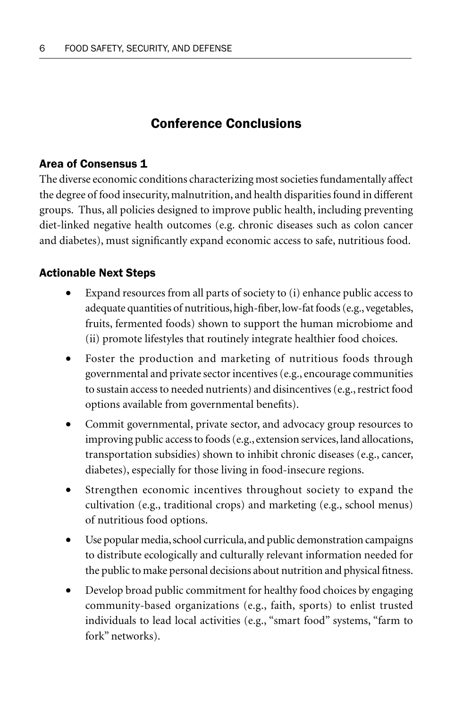# Conference Conclusions

#### Area of Consensus 1

The diverse economic conditions characterizing most societies fundamentally affect the degree of food insecurity, malnutrition, and health disparities found in different groups. Thus, all policies designed to improve public health, including preventing diet-linked negative health outcomes (e.g. chronic diseases such as colon cancer and diabetes), must significantly expand economic access to safe, nutritious food.

### Actionable Next Steps

- Expand resources from all parts of society to (i) enhance public access to adequate quantities of nutritious, high-fiber, low-fat foods (e.g., vegetables, fruits, fermented foods) shown to support the human microbiome and (ii) promote lifestyles that routinely integrate healthier food choices.
- Foster the production and marketing of nutritious foods through governmental and private sector incentives (e.g., encourage communities to sustain access to needed nutrients) and disincentives (e.g., restrict food options available from governmental benefits).
- Commit governmental, private sector, and advocacy group resources to improving public access to foods (e.g., extension services, land allocations, transportation subsidies) shown to inhibit chronic diseases (e.g., cancer, diabetes), especially for those living in food-insecure regions.
- Strengthen economic incentives throughout society to expand the cultivation (e.g., traditional crops) and marketing (e.g., school menus) of nutritious food options.
- Use popular media, school curricula, and public demonstration campaigns to distribute ecologically and culturally relevant information needed for the public to make personal decisions about nutrition and physical fitness.
- Develop broad public commitment for healthy food choices by engaging community-based organizations (e.g., faith, sports) to enlist trusted individuals to lead local activities (e.g., "smart food" systems, "farm to fork" networks).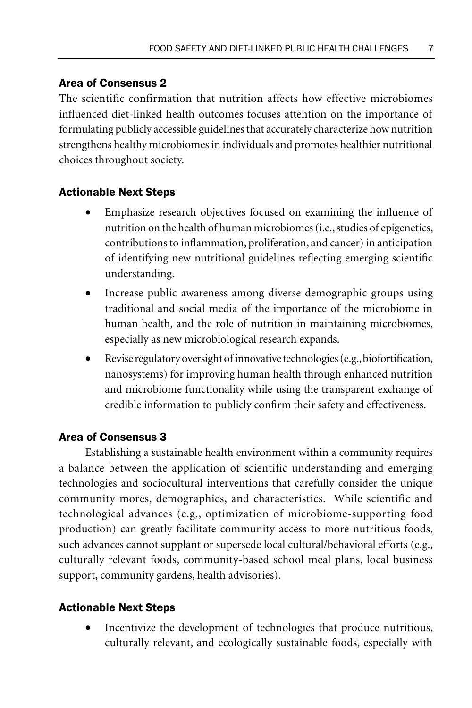### Area of Consensus 2

The scientific confirmation that nutrition affects how effective microbiomes influenced diet-linked health outcomes focuses attention on the importance of formulating publicly accessible guidelines that accurately characterize how nutrition strengthens healthy microbiomes in individuals and promotes healthier nutritional choices throughout society.

### Actionable Next Steps

- Emphasize research objectives focused on examining the influence of nutrition on the health of human microbiomes (i.e., studies of epigenetics, contributions to inflammation, proliferation, and cancer) in anticipation of identifying new nutritional guidelines reflecting emerging scientific understanding.
- Increase public awareness among diverse demographic groups using traditional and social media of the importance of the microbiome in human health, and the role of nutrition in maintaining microbiomes, especially as new microbiological research expands.
- Revise regulatory oversight of innovative technologies (e.g., biofortification, nanosystems) for improving human health through enhanced nutrition and microbiome functionality while using the transparent exchange of credible information to publicly confirm their safety and effectiveness.

#### Area of Consensus 3

Establishing a sustainable health environment within a community requires a balance between the application of scientific understanding and emerging technologies and sociocultural interventions that carefully consider the unique community mores, demographics, and characteristics. While scientific and technological advances (e.g., optimization of microbiome-supporting food production) can greatly facilitate community access to more nutritious foods, such advances cannot supplant or supersede local cultural/behavioral efforts (e.g., culturally relevant foods, community-based school meal plans, local business support, community gardens, health advisories).

#### Actionable Next Steps

Incentivize the development of technologies that produce nutritious, culturally relevant, and ecologically sustainable foods, especially with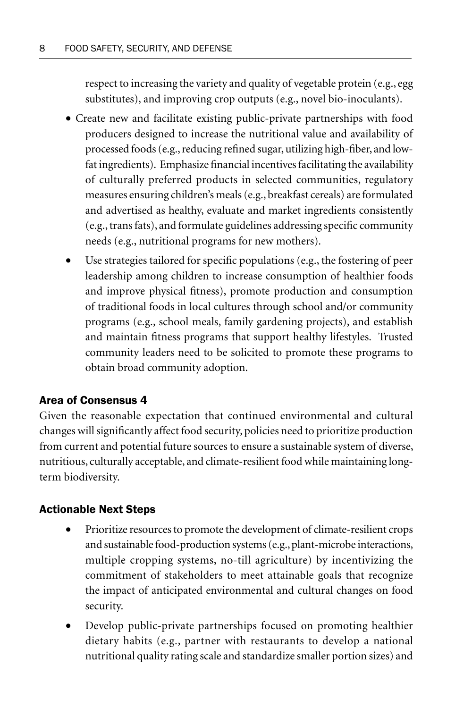respect to increasing the variety and quality of vegetable protein (e.g., egg substitutes), and improving crop outputs (e.g., novel bio-inoculants).

- Create new and facilitate existing public-private partnerships with food producers designed to increase the nutritional value and availability of processed foods (e.g., reducing refined sugar, utilizing high-fiber, and lowfat ingredients). Emphasize financial incentives facilitating the availability of culturally preferred products in selected communities, regulatory measures ensuring children's meals (e.g., breakfast cereals) are formulated and advertised as healthy, evaluate and market ingredients consistently (e.g., trans fats), and formulate guidelines addressing specific community needs (e.g., nutritional programs for new mothers).
- Use strategies tailored for specific populations (e.g., the fostering of peer leadership among children to increase consumption of healthier foods and improve physical fitness), promote production and consumption of traditional foods in local cultures through school and/or community programs (e.g., school meals, family gardening projects), and establish and maintain fitness programs that support healthy lifestyles. Trusted community leaders need to be solicited to promote these programs to obtain broad community adoption.

## Area of Consensus 4

Given the reasonable expectation that continued environmental and cultural changes will significantly affect food security, policies need to prioritize production from current and potential future sources to ensure a sustainable system of diverse, nutritious, culturally acceptable, and climate-resilient food while maintaining longterm biodiversity.

## Actionable Next Steps

- Prioritize resources to promote the development of climate-resilient crops and sustainable food-production systems (e.g., plant-microbe interactions, multiple cropping systems, no-till agriculture) by incentivizing the commitment of stakeholders to meet attainable goals that recognize the impact of anticipated environmental and cultural changes on food security.
- Develop public-private partnerships focused on promoting healthier dietary habits (e.g., partner with restaurants to develop a national nutritional quality rating scale and standardize smaller portion sizes) and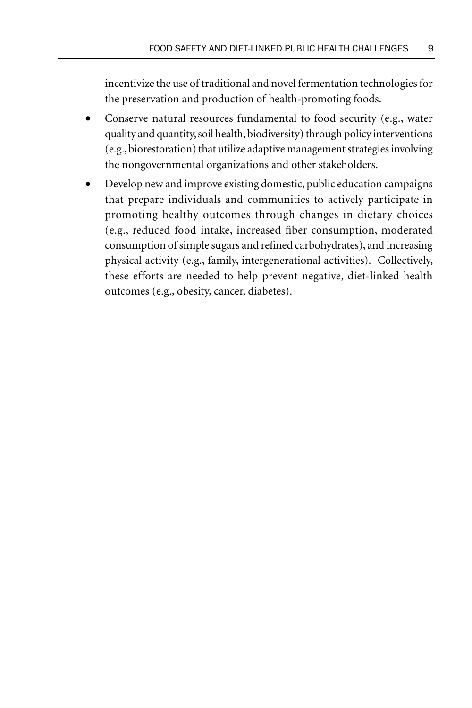incentivize the use of traditional and novel fermentation technologies for the preservation and production of health-promoting foods.

- Conserve natural resources fundamental to food security (e.g., water quality and quantity, soil health, biodiversity) through policy interventions (e.g., biorestoration) that utilize adaptive management strategies involving the nongovernmental organizations and other stakeholders.
- Develop new and improve existing domestic, public education campaigns that prepare individuals and communities to actively participate in promoting healthy outcomes through changes in dietary choices (e.g., reduced food intake, increased fiber consumption, moderated consumption of simple sugars and refined carbohydrates), and increasing physical activity (e.g., family, intergenerational activities). Collectively, these efforts are needed to help prevent negative, diet-linked health outcomes (e.g., obesity, cancer, diabetes).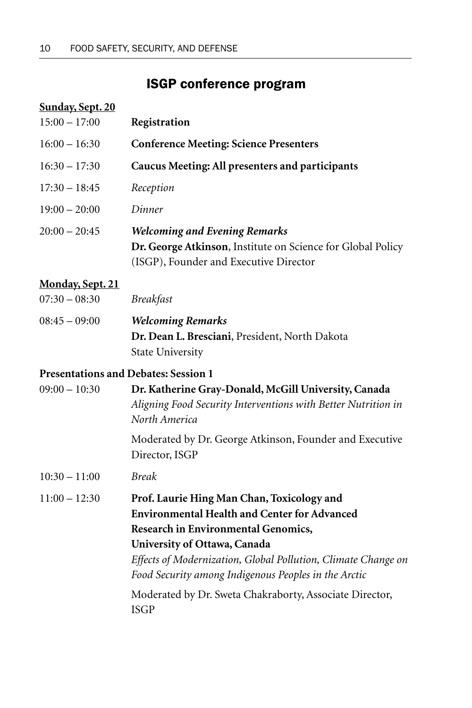## ISGP conference program

# **Sunday, Sept. 20** 15:00 – 17:00 **Registration** 16:00 – 16:30 **Conference Meeting: Science Presenters** 16:30 – 17:30 **Caucus Meeting: All presenters and participants** 17:30 – 18:45 *Reception* 19:00 – 20:00 *Dinner* 20:00 – 20:45 *Welcoming and Evening Remarks* **Dr. George Atkinson**, Institute on Science for Global Policy (ISGP), Founder and Executive Director

#### **Monday, Sept. 21**

| $07:30 - 08:30$ | <i>Breakfast</i>                               |
|-----------------|------------------------------------------------|
| $08:45 - 09:00$ | <b>Welcoming Remarks</b>                       |
|                 | Dr. Dean L. Bresciani, President, North Dakota |
|                 | <b>State University</b>                        |

#### **Presentations and Debates: Session 1**

| $09:00 - 10:30$ | Dr. Katherine Gray-Donald, McGill University, Canada<br>Aligning Food Security Interventions with Better Nutrition in<br>North America                                                                                                                                                                                                                                             |
|-----------------|------------------------------------------------------------------------------------------------------------------------------------------------------------------------------------------------------------------------------------------------------------------------------------------------------------------------------------------------------------------------------------|
|                 | Moderated by Dr. George Atkinson, Founder and Executive<br>Director, ISGP                                                                                                                                                                                                                                                                                                          |
| $10:30 - 11:00$ | <b>Break</b>                                                                                                                                                                                                                                                                                                                                                                       |
| $11:00 - 12:30$ | Prof. Laurie Hing Man Chan, Toxicology and<br><b>Environmental Health and Center for Advanced</b><br><b>Research in Environmental Genomics,</b><br>University of Ottawa, Canada<br>Effects of Modernization, Global Pollution, Climate Change on<br>Food Security among Indigenous Peoples in the Arctic<br>Moderated by Dr. Sweta Chakraborty, Associate Director,<br><b>ISGP</b> |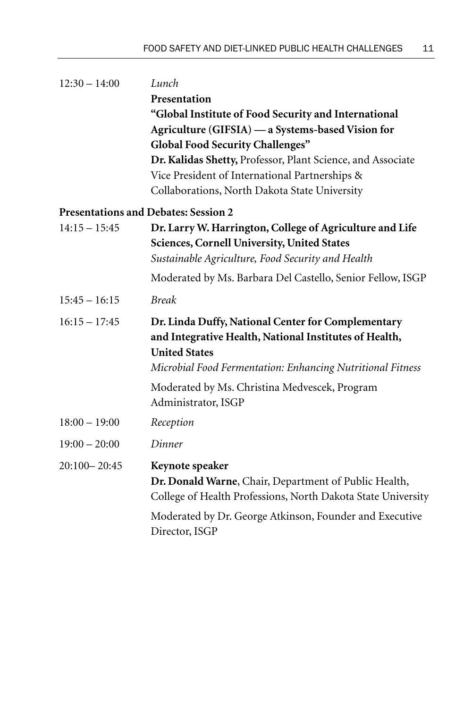| $12:30 - 14:00$  | Lunch                                                                                                                                    |
|------------------|------------------------------------------------------------------------------------------------------------------------------------------|
|                  | Presentation                                                                                                                             |
|                  | "Global Institute of Food Security and International                                                                                     |
|                  | Agriculture (GIFSIA) — a Systems-based Vision for                                                                                        |
|                  | <b>Global Food Security Challenges"</b>                                                                                                  |
|                  | Dr. Kalidas Shetty, Professor, Plant Science, and Associate                                                                              |
|                  | Vice President of International Partnerships &                                                                                           |
|                  | Collaborations, North Dakota State University                                                                                            |
|                  | <b>Presentations and Debates: Session 2</b>                                                                                              |
| $14:15 - 15:45$  | Dr. Larry W. Harrington, College of Agriculture and Life<br>Sciences, Cornell University, United States                                  |
|                  | Sustainable Agriculture, Food Security and Health                                                                                        |
|                  | Moderated by Ms. Barbara Del Castello, Senior Fellow, ISGP                                                                               |
| $15:45 - 16:15$  | <b>Break</b>                                                                                                                             |
| $16:15 - 17:45$  | Dr. Linda Duffy, National Center for Complementary<br>and Integrative Health, National Institutes of Health,<br><b>United States</b>     |
|                  | Microbial Food Fermentation: Enhancing Nutritional Fitness                                                                               |
|                  | Moderated by Ms. Christina Medvescek, Program<br>Administrator, ISGP                                                                     |
| $18:00 - 19:00$  | Reception                                                                                                                                |
| $19:00 - 20:00$  | Dinner                                                                                                                                   |
| $20:100 - 20:45$ | Keynote speaker<br>Dr. Donald Warne, Chair, Department of Public Health,<br>College of Health Professions, North Dakota State University |
|                  | Moderated by Dr. George Atkinson, Founder and Executive<br>Director, ISGP                                                                |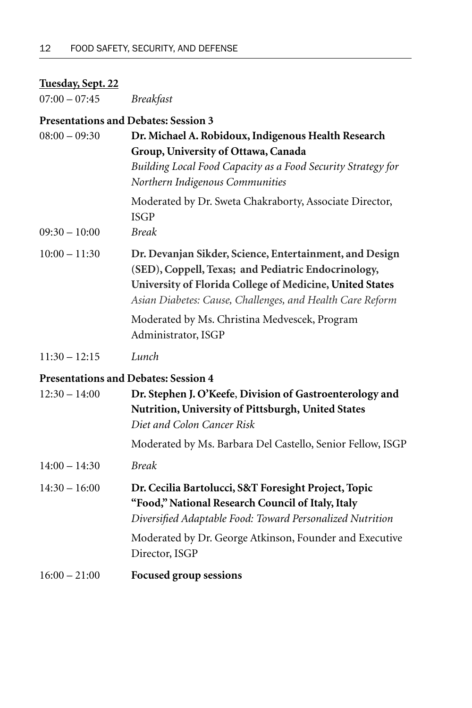## **Tuesday, Sept. 22**

07:00 – 07:45 *Breakfast*

## **Presentations and Debates: Session 3**

| $08:00 - 09:30$ | Dr. Michael A. Robidoux, Indigenous Health Research                                                                                                                                                                                     |
|-----------------|-----------------------------------------------------------------------------------------------------------------------------------------------------------------------------------------------------------------------------------------|
|                 | Group, University of Ottawa, Canada                                                                                                                                                                                                     |
|                 | Building Local Food Capacity as a Food Security Strategy for<br>Northern Indigenous Communities                                                                                                                                         |
|                 | Moderated by Dr. Sweta Chakraborty, Associate Director,<br><b>ISGP</b>                                                                                                                                                                  |
| $09:30 - 10:00$ | <b>Break</b>                                                                                                                                                                                                                            |
| $10:00 - 11:30$ | Dr. Devanjan Sikder, Science, Entertainment, and Design<br>(SED), Coppell, Texas; and Pediatric Endocrinology,<br>University of Florida College of Medicine, United States<br>Asian Diabetes: Cause, Challenges, and Health Care Reform |
|                 | Moderated by Ms. Christina Medvescek, Program<br>Administrator, ISGP                                                                                                                                                                    |
| $11:30 - 12:15$ | Lunch                                                                                                                                                                                                                                   |
|                 | <b>Presentations and Debates: Session 4</b>                                                                                                                                                                                             |
| $12:30 - 14:00$ | Dr. Stephen J. O'Keefe, Division of Gastroenterology and<br>Nutrition, University of Pittsburgh, United States<br>Diet and Colon Cancer Risk                                                                                            |
|                 | Moderated by Ms. Barbara Del Castello, Senior Fellow, ISGP                                                                                                                                                                              |
| $14:00 - 14:30$ | <b>Break</b>                                                                                                                                                                                                                            |
| $14:30 - 16:00$ | Dr. Cecilia Bartolucci, S&T Foresight Project, Topic<br>"Food," National Research Council of Italy, Italy<br>Diversified Adaptable Food: Toward Personalized Nutrition                                                                  |
|                 | Moderated by Dr. George Atkinson, Founder and Executive<br>Director, ISGP                                                                                                                                                               |
| $16:00 - 21:00$ | <b>Focused group sessions</b>                                                                                                                                                                                                           |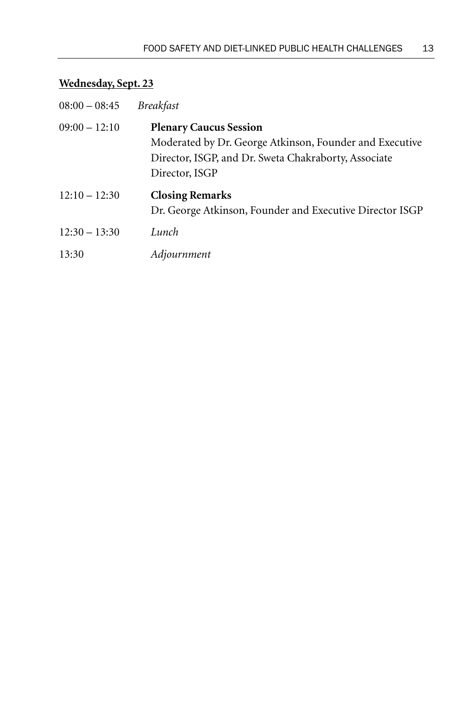# **Wednesday, Sept. 23**

| $08:00 - 08:45$ | <i>Breakfast</i>                                                                                                                                                   |
|-----------------|--------------------------------------------------------------------------------------------------------------------------------------------------------------------|
| $09:00 - 12:10$ | <b>Plenary Caucus Session</b><br>Moderated by Dr. George Atkinson, Founder and Executive<br>Director, ISGP, and Dr. Sweta Chakraborty, Associate<br>Director, ISGP |
| $12:10 - 12:30$ | <b>Closing Remarks</b><br>Dr. George Atkinson, Founder and Executive Director ISGP                                                                                 |
| $12:30 - 13:30$ | Lunch                                                                                                                                                              |
| 13:30           | Adjournment                                                                                                                                                        |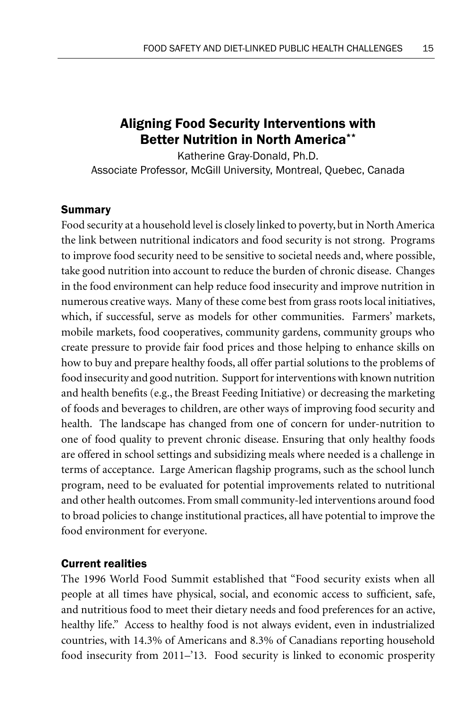## Aligning Food Security Interventions with Better Nutrition in North America\*\*

Katherine Gray-Donald, Ph.D. Associate Professor, McGill University, Montreal, Quebec, Canada

#### Summary

Food security at a household level is closely linked to poverty, but in North America the link between nutritional indicators and food security is not strong. Programs to improve food security need to be sensitive to societal needs and, where possible, take good nutrition into account to reduce the burden of chronic disease. Changes in the food environment can help reduce food insecurity and improve nutrition in numerous creative ways. Many of these come best from grass roots local initiatives, which, if successful, serve as models for other communities. Farmers' markets, mobile markets, food cooperatives, community gardens, community groups who create pressure to provide fair food prices and those helping to enhance skills on how to buy and prepare healthy foods, all offer partial solutions to the problems of food insecurity and good nutrition. Support for interventions with known nutrition and health benefits (e.g., the Breast Feeding Initiative) or decreasing the marketing of foods and beverages to children, are other ways of improving food security and health. The landscape has changed from one of concern for under-nutrition to one of food quality to prevent chronic disease. Ensuring that only healthy foods are offered in school settings and subsidizing meals where needed is a challenge in terms of acceptance. Large American flagship programs, such as the school lunch program, need to be evaluated for potential improvements related to nutritional and other health outcomes. From small community-led interventions around food to broad policies to change institutional practices, all have potential to improve the food environment for everyone.

#### Current realities

The 1996 World Food Summit established that "Food security exists when all people at all times have physical, social, and economic access to sufficient, safe, and nutritious food to meet their dietary needs and food preferences for an active, healthy life." Access to healthy food is not always evident, even in industrialized countries, with 14.3% of Americans and 8.3% of Canadians reporting household food insecurity from 2011–'13. Food security is linked to economic prosperity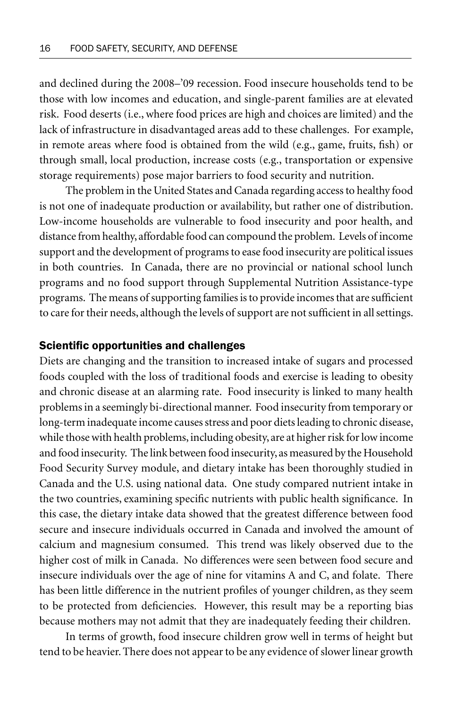and declined during the 2008–'09 recession. Food insecure households tend to be those with low incomes and education, and single-parent families are at elevated risk. Food deserts (i.e., where food prices are high and choices are limited) and the lack of infrastructure in disadvantaged areas add to these challenges. For example, in remote areas where food is obtained from the wild (e.g., game, fruits, fish) or through small, local production, increase costs (e.g., transportation or expensive storage requirements) pose major barriers to food security and nutrition.

The problem in the United States and Canada regarding access to healthy food is not one of inadequate production or availability, but rather one of distribution. Low-income households are vulnerable to food insecurity and poor health, and distance from healthy, affordable food can compound the problem. Levels of income support and the development of programs to ease food insecurity are political issues in both countries. In Canada, there are no provincial or national school lunch programs and no food support through Supplemental Nutrition Assistance-type programs. The means of supporting families is to provide incomes that are sufficient to care for their needs, although the levels of support are not sufficient in all settings.

#### Scientific opportunities and challenges

Diets are changing and the transition to increased intake of sugars and processed foods coupled with the loss of traditional foods and exercise is leading to obesity and chronic disease at an alarming rate. Food insecurity is linked to many health problems in a seemingly bi-directional manner. Food insecurity from temporary or long-term inadequate income causes stress and poor diets leading to chronic disease, while those with health problems, including obesity, are at higher risk for low income and food insecurity. The link between food insecurity, as measured by the Household Food Security Survey module, and dietary intake has been thoroughly studied in Canada and the U.S. using national data. One study compared nutrient intake in the two countries, examining specific nutrients with public health significance. In this case, the dietary intake data showed that the greatest difference between food secure and insecure individuals occurred in Canada and involved the amount of calcium and magnesium consumed. This trend was likely observed due to the higher cost of milk in Canada. No differences were seen between food secure and insecure individuals over the age of nine for vitamins A and C, and folate. There has been little difference in the nutrient profiles of younger children, as they seem to be protected from deficiencies. However, this result may be a reporting bias because mothers may not admit that they are inadequately feeding their children.

In terms of growth, food insecure children grow well in terms of height but tend to be heavier. There does not appear to be any evidence of slower linear growth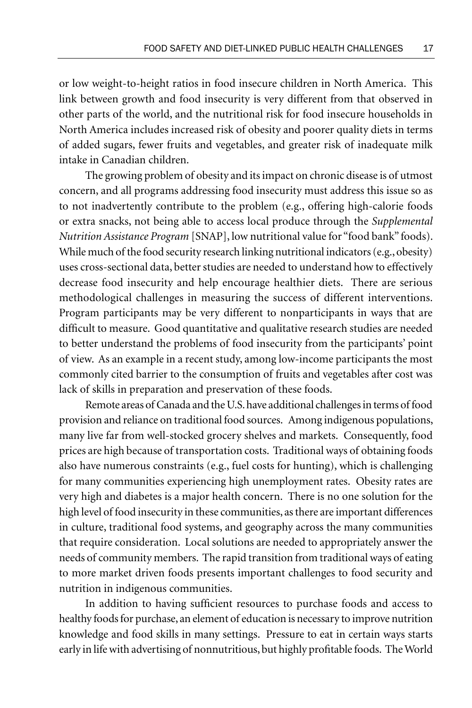or low weight-to-height ratios in food insecure children in North America. This link between growth and food insecurity is very different from that observed in other parts of the world, and the nutritional risk for food insecure households in North America includes increased risk of obesity and poorer quality diets in terms of added sugars, fewer fruits and vegetables, and greater risk of inadequate milk intake in Canadian children.

The growing problem of obesity and its impact on chronic disease is of utmost concern, and all programs addressing food insecurity must address this issue so as to not inadvertently contribute to the problem (e.g., offering high-calorie foods or extra snacks, not being able to access local produce through the *Supplemental Nutrition Assistance Program* [SNAP], low nutritional value for "food bank" foods). While much of the food security research linking nutritional indicators (e.g., obesity) uses cross-sectional data, better studies are needed to understand how to effectively decrease food insecurity and help encourage healthier diets. There are serious methodological challenges in measuring the success of different interventions. Program participants may be very different to nonparticipants in ways that are difficult to measure. Good quantitative and qualitative research studies are needed to better understand the problems of food insecurity from the participants' point of view. As an example in a recent study, among low-income participants the most commonly cited barrier to the consumption of fruits and vegetables after cost was lack of skills in preparation and preservation of these foods.

Remote areas of Canada and the U.S. have additional challenges in terms of food provision and reliance on traditional food sources. Among indigenous populations, many live far from well-stocked grocery shelves and markets. Consequently, food prices are high because of transportation costs. Traditional ways of obtaining foods also have numerous constraints (e.g., fuel costs for hunting), which is challenging for many communities experiencing high unemployment rates. Obesity rates are very high and diabetes is a major health concern. There is no one solution for the high level of food insecurity in these communities, as there are important differences in culture, traditional food systems, and geography across the many communities that require consideration. Local solutions are needed to appropriately answer the needs of community members. The rapid transition from traditional ways of eating to more market driven foods presents important challenges to food security and nutrition in indigenous communities.

In addition to having sufficient resources to purchase foods and access to healthy foods for purchase, an element of education is necessary to improve nutrition knowledge and food skills in many settings. Pressure to eat in certain ways starts early in life with advertising of nonnutritious, but highly profitable foods. The World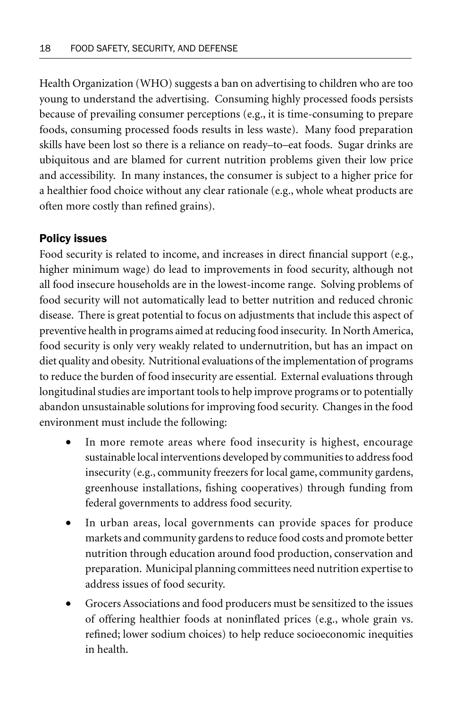Health Organization (WHO) suggests a ban on advertising to children who are too young to understand the advertising. Consuming highly processed foods persists because of prevailing consumer perceptions (e.g., it is time-consuming to prepare foods, consuming processed foods results in less waste). Many food preparation skills have been lost so there is a reliance on ready–to–eat foods. Sugar drinks are ubiquitous and are blamed for current nutrition problems given their low price and accessibility. In many instances, the consumer is subject to a higher price for a healthier food choice without any clear rationale (e.g., whole wheat products are often more costly than refined grains).

### Policy issues

Food security is related to income, and increases in direct financial support (e.g., higher minimum wage) do lead to improvements in food security, although not all food insecure households are in the lowest-income range. Solving problems of food security will not automatically lead to better nutrition and reduced chronic disease. There is great potential to focus on adjustments that include this aspect of preventive health in programs aimed at reducing food insecurity. In North America, food security is only very weakly related to undernutrition, but has an impact on diet quality and obesity. Nutritional evaluations of the implementation of programs to reduce the burden of food insecurity are essential. External evaluations through longitudinal studies are important tools to help improve programs or to potentially abandon unsustainable solutions for improving food security. Changes in the food environment must include the following:

- In more remote areas where food insecurity is highest, encourage sustainable local interventions developed by communities to address food insecurity (e.g., community freezers for local game, community gardens, greenhouse installations, fishing cooperatives) through funding from federal governments to address food security.
- In urban areas, local governments can provide spaces for produce markets and community gardens to reduce food costs and promote better nutrition through education around food production, conservation and preparation. Municipal planning committees need nutrition expertise to address issues of food security.
- Grocers Associations and food producers must be sensitized to the issues of offering healthier foods at noninflated prices (e.g., whole grain vs. refined; lower sodium choices) to help reduce socioeconomic inequities in health.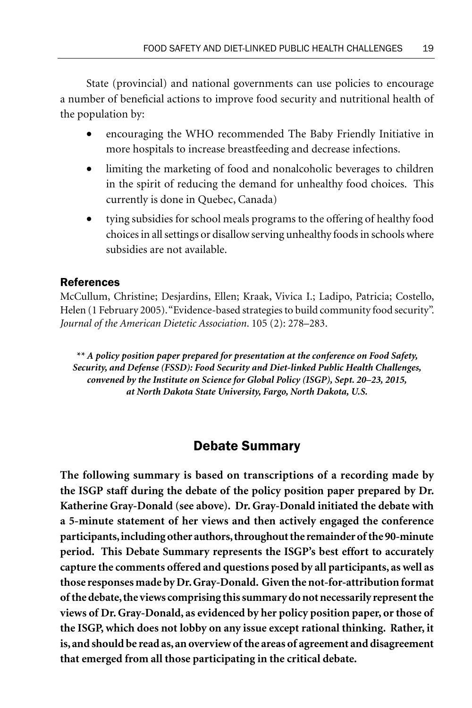State (provincial) and national governments can use policies to encourage a number of beneficial actions to improve food security and nutritional health of the population by:

- encouraging the WHO recommended The Baby Friendly Initiative in more hospitals to increase breastfeeding and decrease infections.
- limiting the marketing of food and nonalcoholic beverages to children in the spirit of reducing the demand for unhealthy food choices. This currently is done in Quebec, Canada)
- tying subsidies for school meals programs to the offering of healthy food choices in all settings or disallow serving unhealthy foods in schools where subsidies are not available.

#### References

McCullum, Christine; Desjardins, Ellen; Kraak, Vivica I.; Ladipo, Patricia; Costello, Helen (1 February 2005). "Evidence-based strategies to build community food security". *Journal of the American Dietetic Association*. 105 (2): 278–283.

*\*\* A policy position paper prepared for presentation at the conference on Food Safety, Security, and Defense (FSSD): Food Security and Diet-linked Public Health Challenges, convened by the Institute on Science for Global Policy (ISGP), Sept. 20–23, 2015, at North Dakota State University, Fargo, North Dakota, U.S.*

## Debate Summary

**The following summary is based on transcriptions of a recording made by the ISGP staff during the debate of the policy position paper prepared by Dr. Katherine Gray-Donald (see above). Dr. Gray-Donald initiated the debate with a 5-minute statement of her views and then actively engaged the conference participants, including other authors, throughout the remainder of the 90-minute period. This Debate Summary represents the ISGP's best effort to accurately capture the comments offered and questions posed by all participants, as well as those responses made by Dr. Gray-Donald. Given the not-for-attribution format of the debate, the views comprising this summary do not necessarily represent the views of Dr. Gray-Donald, as evidenced by her policy position paper, or those of the ISGP, which does not lobby on any issue except rational thinking. Rather, it is, and should be read as, an overview of the areas of agreement and disagreement that emerged from all those participating in the critical debate.**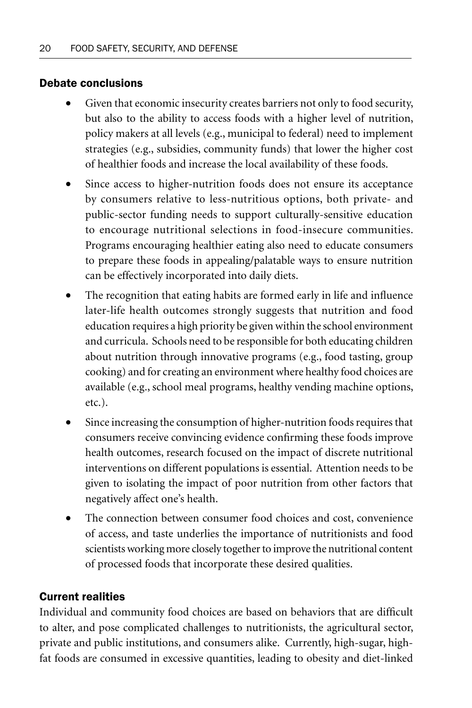#### Debate conclusions

- Given that economic insecurity creates barriers not only to food security, but also to the ability to access foods with a higher level of nutrition, policy makers at all levels (e.g., municipal to federal) need to implement strategies (e.g., subsidies, community funds) that lower the higher cost of healthier foods and increase the local availability of these foods.
- Since access to higher-nutrition foods does not ensure its acceptance by consumers relative to less-nutritious options, both private- and public-sector funding needs to support culturally-sensitive education to encourage nutritional selections in food-insecure communities. Programs encouraging healthier eating also need to educate consumers to prepare these foods in appealing/palatable ways to ensure nutrition can be effectively incorporated into daily diets.
- The recognition that eating habits are formed early in life and influence later-life health outcomes strongly suggests that nutrition and food education requires a high priority be given within the school environment and curricula. Schools need to be responsible for both educating children about nutrition through innovative programs (e.g., food tasting, group cooking) and for creating an environment where healthy food choices are available (e.g., school meal programs, healthy vending machine options, etc.).
- Since increasing the consumption of higher-nutrition foods requires that consumers receive convincing evidence confirming these foods improve health outcomes, research focused on the impact of discrete nutritional interventions on different populations is essential. Attention needs to be given to isolating the impact of poor nutrition from other factors that negatively affect one's health.
- The connection between consumer food choices and cost, convenience of access, and taste underlies the importance of nutritionists and food scientists working more closely together to improve the nutritional content of processed foods that incorporate these desired qualities.

### Current realities

Individual and community food choices are based on behaviors that are difficult to alter, and pose complicated challenges to nutritionists, the agricultural sector, private and public institutions, and consumers alike. Currently, high-sugar, highfat foods are consumed in excessive quantities, leading to obesity and diet-linked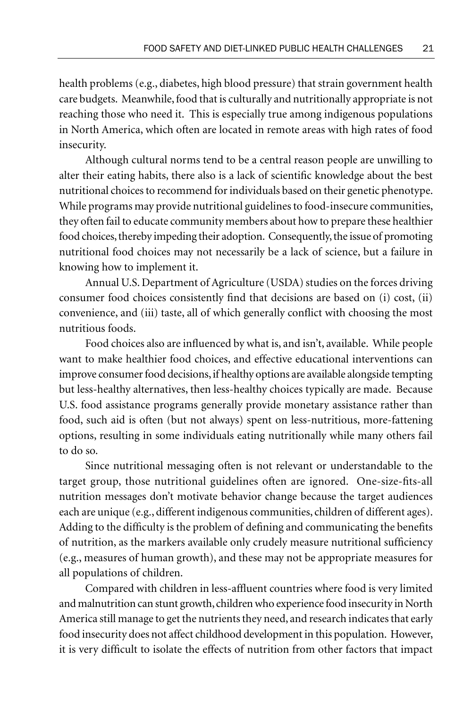health problems (e.g., diabetes, high blood pressure) that strain government health care budgets. Meanwhile, food that is culturally and nutritionally appropriate is not reaching those who need it. This is especially true among indigenous populations in North America, which often are located in remote areas with high rates of food insecurity.

Although cultural norms tend to be a central reason people are unwilling to alter their eating habits, there also is a lack of scientific knowledge about the best nutritional choices to recommend for individuals based on their genetic phenotype. While programs may provide nutritional guidelines to food-insecure communities, they often fail to educate community members about how to prepare these healthier food choices, thereby impeding their adoption. Consequently, the issue of promoting nutritional food choices may not necessarily be a lack of science, but a failure in knowing how to implement it.

Annual U.S. Department of Agriculture (USDA) studies on the forces driving consumer food choices consistently find that decisions are based on (i) cost, (ii) convenience, and (iii) taste, all of which generally conflict with choosing the most nutritious foods.

Food choices also are influenced by what is, and isn't, available. While people want to make healthier food choices, and effective educational interventions can improve consumer food decisions, if healthy options are available alongside tempting but less-healthy alternatives, then less-healthy choices typically are made. Because U.S. food assistance programs generally provide monetary assistance rather than food, such aid is often (but not always) spent on less-nutritious, more-fattening options, resulting in some individuals eating nutritionally while many others fail to do so.

Since nutritional messaging often is not relevant or understandable to the target group, those nutritional guidelines often are ignored. One-size-fits-all nutrition messages don't motivate behavior change because the target audiences each are unique (e.g., different indigenous communities, children of different ages). Adding to the difficulty is the problem of defining and communicating the benefits of nutrition, as the markers available only crudely measure nutritional sufficiency (e.g., measures of human growth), and these may not be appropriate measures for all populations of children.

Compared with children in less-affluent countries where food is very limited and malnutrition can stunt growth, children who experience food insecurity in North America still manage to get the nutrients they need, and research indicates that early food insecurity does not affect childhood development in this population. However, it is very difficult to isolate the effects of nutrition from other factors that impact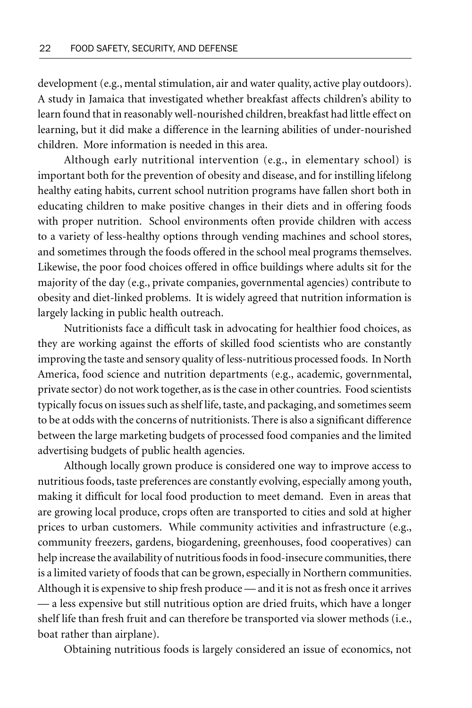development (e.g., mental stimulation, air and water quality, active play outdoors). A study in Jamaica that investigated whether breakfast affects children's ability to learn found that in reasonably well-nourished children, breakfast had little effect on learning, but it did make a difference in the learning abilities of under-nourished children. More information is needed in this area.

Although early nutritional intervention (e.g., in elementary school) is important both for the prevention of obesity and disease, and for instilling lifelong healthy eating habits, current school nutrition programs have fallen short both in educating children to make positive changes in their diets and in offering foods with proper nutrition. School environments often provide children with access to a variety of less-healthy options through vending machines and school stores, and sometimes through the foods offered in the school meal programs themselves. Likewise, the poor food choices offered in office buildings where adults sit for the majority of the day (e.g., private companies, governmental agencies) contribute to obesity and diet-linked problems. It is widely agreed that nutrition information is largely lacking in public health outreach.

Nutritionists face a difficult task in advocating for healthier food choices, as they are working against the efforts of skilled food scientists who are constantly improving the taste and sensory quality of less-nutritious processed foods. In North America, food science and nutrition departments (e.g., academic, governmental, private sector) do not work together, as is the case in other countries. Food scientists typically focus on issues such as shelf life, taste, and packaging, and sometimes seem to be at odds with the concerns of nutritionists. There is also a significant difference between the large marketing budgets of processed food companies and the limited advertising budgets of public health agencies.

Although locally grown produce is considered one way to improve access to nutritious foods, taste preferences are constantly evolving, especially among youth, making it difficult for local food production to meet demand. Even in areas that are growing local produce, crops often are transported to cities and sold at higher prices to urban customers. While community activities and infrastructure (e.g., community freezers, gardens, biogardening, greenhouses, food cooperatives) can help increase the availability of nutritious foods in food-insecure communities, there is a limited variety of foods that can be grown, especially in Northern communities. Although it is expensive to ship fresh produce — and it is not as fresh once it arrives — a less expensive but still nutritious option are dried fruits, which have a longer shelf life than fresh fruit and can therefore be transported via slower methods (i.e., boat rather than airplane).

Obtaining nutritious foods is largely considered an issue of economics, not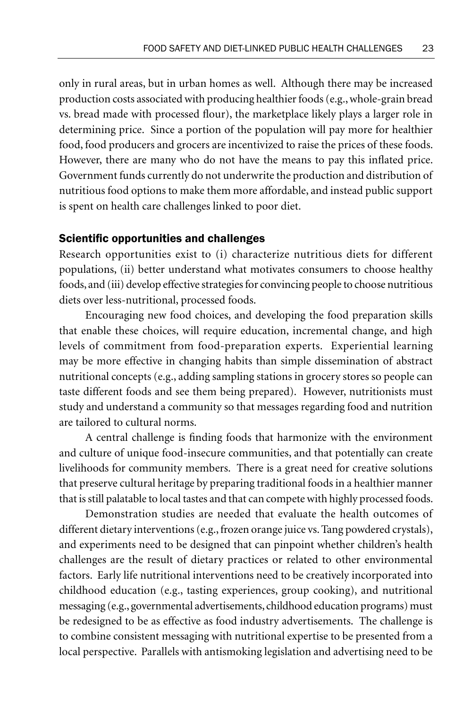only in rural areas, but in urban homes as well. Although there may be increased production costs associated with producing healthier foods (e.g., whole-grain bread vs. bread made with processed flour), the marketplace likely plays a larger role in determining price. Since a portion of the population will pay more for healthier food, food producers and grocers are incentivized to raise the prices of these foods. However, there are many who do not have the means to pay this inflated price. Government funds currently do not underwrite the production and distribution of nutritious food options to make them more affordable, and instead public support is spent on health care challenges linked to poor diet.

#### Scientific opportunities and challenges

Research opportunities exist to (i) characterize nutritious diets for different populations, (ii) better understand what motivates consumers to choose healthy foods, and (iii) develop effective strategies for convincing people to choose nutritious diets over less-nutritional, processed foods.

Encouraging new food choices, and developing the food preparation skills that enable these choices, will require education, incremental change, and high levels of commitment from food-preparation experts. Experiential learning may be more effective in changing habits than simple dissemination of abstract nutritional concepts (e.g., adding sampling stations in grocery stores so people can taste different foods and see them being prepared). However, nutritionists must study and understand a community so that messages regarding food and nutrition are tailored to cultural norms.

A central challenge is finding foods that harmonize with the environment and culture of unique food-insecure communities, and that potentially can create livelihoods for community members. There is a great need for creative solutions that preserve cultural heritage by preparing traditional foods in a healthier manner that is still palatable to local tastes and that can compete with highly processed foods.

Demonstration studies are needed that evaluate the health outcomes of different dietary interventions (e.g., frozen orange juice vs. Tang powdered crystals), and experiments need to be designed that can pinpoint whether children's health challenges are the result of dietary practices or related to other environmental factors. Early life nutritional interventions need to be creatively incorporated into childhood education (e.g., tasting experiences, group cooking), and nutritional messaging (e.g., governmental advertisements, childhood education programs) must be redesigned to be as effective as food industry advertisements. The challenge is to combine consistent messaging with nutritional expertise to be presented from a local perspective. Parallels with antismoking legislation and advertising need to be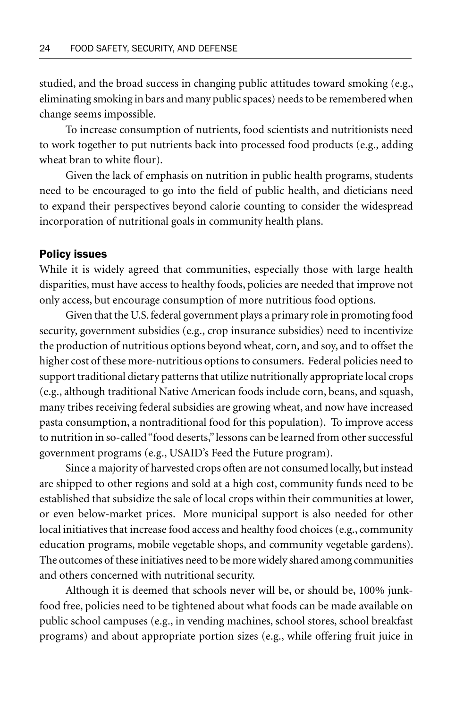studied, and the broad success in changing public attitudes toward smoking (e.g., eliminating smoking in bars and many public spaces) needs to be remembered when change seems impossible.

To increase consumption of nutrients, food scientists and nutritionists need to work together to put nutrients back into processed food products (e.g., adding wheat bran to white flour).

Given the lack of emphasis on nutrition in public health programs, students need to be encouraged to go into the field of public health, and dieticians need to expand their perspectives beyond calorie counting to consider the widespread incorporation of nutritional goals in community health plans.

#### Policy issues

While it is widely agreed that communities, especially those with large health disparities, must have access to healthy foods, policies are needed that improve not only access, but encourage consumption of more nutritious food options.

Given that the U.S. federal government plays a primary role in promoting food security, government subsidies (e.g., crop insurance subsidies) need to incentivize the production of nutritious options beyond wheat, corn, and soy, and to offset the higher cost of these more-nutritious options to consumers. Federal policies need to support traditional dietary patterns that utilize nutritionally appropriate local crops (e.g., although traditional Native American foods include corn, beans, and squash, many tribes receiving federal subsidies are growing wheat, and now have increased pasta consumption, a nontraditional food for this population). To improve access to nutrition in so-called "food deserts," lessons can be learned from other successful government programs (e.g., USAID's Feed the Future program).

Since a majority of harvested crops often are not consumed locally, but instead are shipped to other regions and sold at a high cost, community funds need to be established that subsidize the sale of local crops within their communities at lower, or even below-market prices. More municipal support is also needed for other local initiatives that increase food access and healthy food choices (e.g., community education programs, mobile vegetable shops, and community vegetable gardens). The outcomes of these initiatives need to be more widely shared among communities and others concerned with nutritional security.

Although it is deemed that schools never will be, or should be, 100% junkfood free, policies need to be tightened about what foods can be made available on public school campuses (e.g., in vending machines, school stores, school breakfast programs) and about appropriate portion sizes (e.g., while offering fruit juice in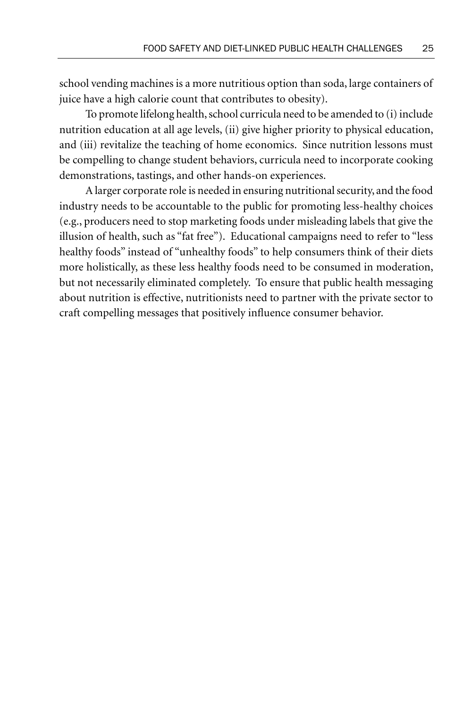school vending machines is a more nutritious option than soda, large containers of juice have a high calorie count that contributes to obesity).

To promote lifelong health, school curricula need to be amended to (i) include nutrition education at all age levels, (ii) give higher priority to physical education, and (iii) revitalize the teaching of home economics. Since nutrition lessons must be compelling to change student behaviors, curricula need to incorporate cooking demonstrations, tastings, and other hands-on experiences.

A larger corporate role is needed in ensuring nutritional security, and the food industry needs to be accountable to the public for promoting less-healthy choices (e.g., producers need to stop marketing foods under misleading labels that give the illusion of health, such as "fat free"). Educational campaigns need to refer to "less healthy foods" instead of "unhealthy foods" to help consumers think of their diets more holistically, as these less healthy foods need to be consumed in moderation, but not necessarily eliminated completely. To ensure that public health messaging about nutrition is effective, nutritionists need to partner with the private sector to craft compelling messages that positively influence consumer behavior.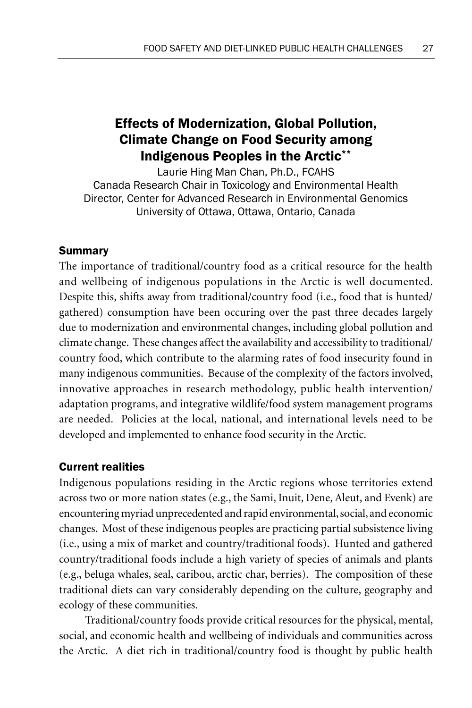# Effects of Modernization, Global Pollution, Climate Change on Food Security among Indigenous Peoples in the Arctic\*\*

Laurie Hing Man Chan, Ph.D., FCAHS Canada Research Chair in Toxicology and Environmental Health Director, Center for Advanced Research in Environmental Genomics University of Ottawa, Ottawa, Ontario, Canada

#### Summary

The importance of traditional/country food as a critical resource for the health and wellbeing of indigenous populations in the Arctic is well documented. Despite this, shifts away from traditional/country food (i.e., food that is hunted/ gathered) consumption have been occuring over the past three decades largely due to modernization and environmental changes, including global pollution and climate change. These changes affect the availability and accessibility to traditional/ country food, which contribute to the alarming rates of food insecurity found in many indigenous communities. Because of the complexity of the factors involved, innovative approaches in research methodology, public health intervention/ adaptation programs, and integrative wildlife/food system management programs are needed. Policies at the local, national, and international levels need to be developed and implemented to enhance food security in the Arctic.

#### Current realities

Indigenous populations residing in the Arctic regions whose territories extend across two or more nation states (e.g., the Sami, Inuit, Dene, Aleut, and Evenk) are encountering myriad unprecedented and rapid environmental, social, and economic changes. Most of these indigenous peoples are practicing partial subsistence living (i.e., using a mix of market and country/traditional foods). Hunted and gathered country/traditional foods include a high variety of species of animals and plants (e.g., beluga whales, seal, caribou, arctic char, berries). The composition of these traditional diets can vary considerably depending on the culture, geography and ecology of these communities.

Traditional/country foods provide critical resources for the physical, mental, social, and economic health and wellbeing of individuals and communities across the Arctic. A diet rich in traditional/country food is thought by public health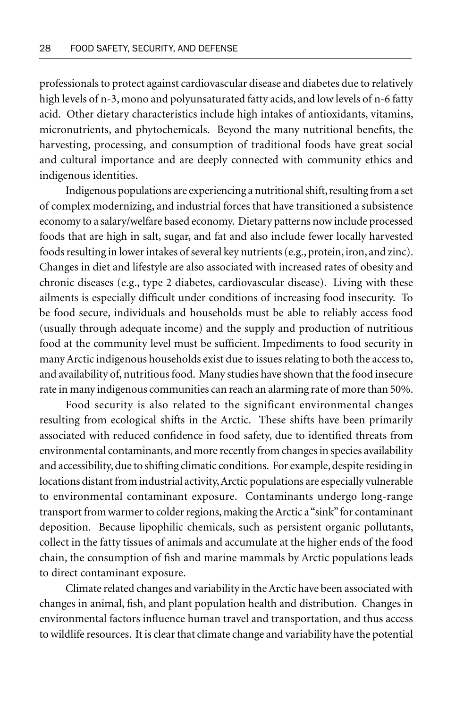professionals to protect against cardiovascular disease and diabetes due to relatively high levels of n-3, mono and polyunsaturated fatty acids, and low levels of n-6 fatty acid. Other dietary characteristics include high intakes of antioxidants, vitamins, micronutrients, and phytochemicals. Beyond the many nutritional benefits, the harvesting, processing, and consumption of traditional foods have great social and cultural importance and are deeply connected with community ethics and indigenous identities.

Indigenous populations are experiencing a nutritional shift, resulting from a set of complex modernizing, and industrial forces that have transitioned a subsistence economy to a salary/welfare based economy. Dietary patterns now include processed foods that are high in salt, sugar, and fat and also include fewer locally harvested foods resulting in lower intakes of several key nutrients (e.g., protein, iron, and zinc). Changes in diet and lifestyle are also associated with increased rates of obesity and chronic diseases (e.g., type 2 diabetes, cardiovascular disease). Living with these ailments is especially difficult under conditions of increasing food insecurity. To be food secure, individuals and households must be able to reliably access food (usually through adequate income) and the supply and production of nutritious food at the community level must be sufficient. Impediments to food security in many Arctic indigenous households exist due to issues relating to both the access to, and availability of, nutritious food. Many studies have shown that the food insecure rate in many indigenous communities can reach an alarming rate of more than 50%.

Food security is also related to the significant environmental changes resulting from ecological shifts in the Arctic. These shifts have been primarily associated with reduced confidence in food safety, due to identified threats from environmental contaminants, and more recently from changes in species availability and accessibility, due to shifting climatic conditions. For example, despite residing in locations distant from industrial activity, Arctic populations are especially vulnerable to environmental contaminant exposure. Contaminants undergo long-range transport from warmer to colder regions, making the Arctic a "sink" for contaminant deposition. Because lipophilic chemicals, such as persistent organic pollutants, collect in the fatty tissues of animals and accumulate at the higher ends of the food chain, the consumption of fish and marine mammals by Arctic populations leads to direct contaminant exposure.

Climate related changes and variability in the Arctic have been associated with changes in animal, fish, and plant population health and distribution. Changes in environmental factors influence human travel and transportation, and thus access to wildlife resources. It is clear that climate change and variability have the potential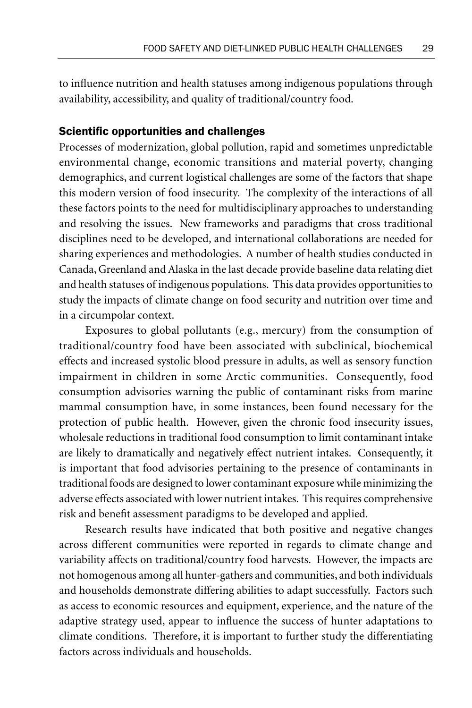to influence nutrition and health statuses among indigenous populations through availability, accessibility, and quality of traditional/country food.

#### Scientific opportunities and challenges

Processes of modernization, global pollution, rapid and sometimes unpredictable environmental change, economic transitions and material poverty, changing demographics, and current logistical challenges are some of the factors that shape this modern version of food insecurity. The complexity of the interactions of all these factors points to the need for multidisciplinary approaches to understanding and resolving the issues. New frameworks and paradigms that cross traditional disciplines need to be developed, and international collaborations are needed for sharing experiences and methodologies. A number of health studies conducted in Canada, Greenland and Alaska in the last decade provide baseline data relating diet and health statuses of indigenous populations. This data provides opportunities to study the impacts of climate change on food security and nutrition over time and in a circumpolar context.

Exposures to global pollutants (e.g., mercury) from the consumption of traditional/country food have been associated with subclinical, biochemical effects and increased systolic blood pressure in adults, as well as sensory function impairment in children in some Arctic communities. Consequently, food consumption advisories warning the public of contaminant risks from marine mammal consumption have, in some instances, been found necessary for the protection of public health. However, given the chronic food insecurity issues, wholesale reductions in traditional food consumption to limit contaminant intake are likely to dramatically and negatively effect nutrient intakes. Consequently, it is important that food advisories pertaining to the presence of contaminants in traditional foods are designed to lower contaminant exposure while minimizing the adverse effects associated with lower nutrient intakes. This requires comprehensive risk and benefit assessment paradigms to be developed and applied.

Research results have indicated that both positive and negative changes across different communities were reported in regards to climate change and variability affects on traditional/country food harvests. However, the impacts are not homogenous among all hunter-gathers and communities, and both individuals and households demonstrate differing abilities to adapt successfully. Factors such as access to economic resources and equipment, experience, and the nature of the adaptive strategy used, appear to influence the success of hunter adaptations to climate conditions. Therefore, it is important to further study the differentiating factors across individuals and households.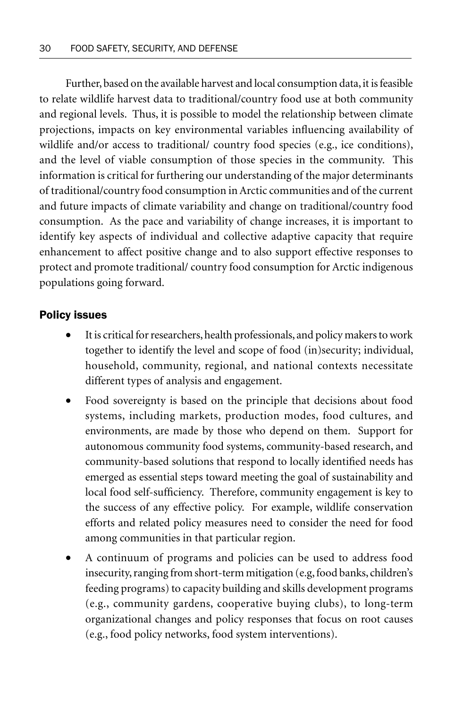Further, based on the available harvest and local consumption data, it is feasible to relate wildlife harvest data to traditional/country food use at both community and regional levels. Thus, it is possible to model the relationship between climate projections, impacts on key environmental variables influencing availability of wildlife and/or access to traditional/ country food species (e.g., ice conditions), and the level of viable consumption of those species in the community. This information is critical for furthering our understanding of the major determinants of traditional/country food consumption in Arctic communities and of the current and future impacts of climate variability and change on traditional/country food consumption. As the pace and variability of change increases, it is important to identify key aspects of individual and collective adaptive capacity that require enhancement to affect positive change and to also support effective responses to protect and promote traditional/ country food consumption for Arctic indigenous populations going forward.

#### Policy issues

- It is critical for researchers, health professionals, and policy makers to work together to identify the level and scope of food (in)security; individual, household, community, regional, and national contexts necessitate different types of analysis and engagement.
- Food sovereignty is based on the principle that decisions about food systems, including markets, production modes, food cultures, and environments, are made by those who depend on them. Support for autonomous community food systems, community-based research, and community-based solutions that respond to locally identified needs has emerged as essential steps toward meeting the goal of sustainability and local food self-sufficiency. Therefore, community engagement is key to the success of any effective policy. For example, wildlife conservation efforts and related policy measures need to consider the need for food among communities in that particular region.
- A continuum of programs and policies can be used to address food insecurity, ranging from short-term mitigation (e.g, food banks, children's feeding programs) to capacity building and skills development programs (e.g., community gardens, cooperative buying clubs), to long-term organizational changes and policy responses that focus on root causes (e.g., food policy networks, food system interventions).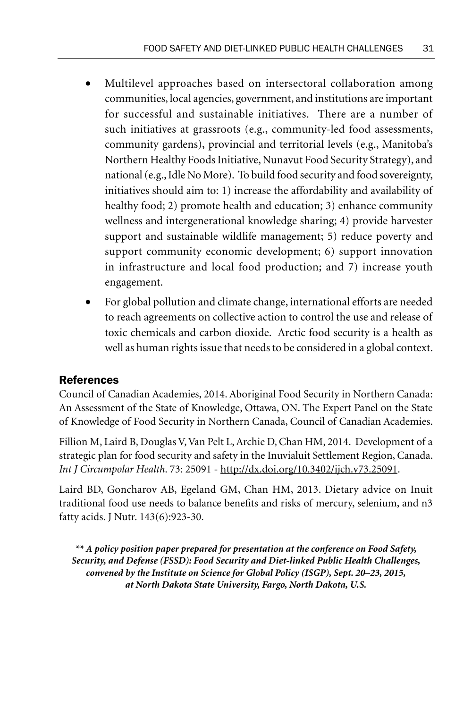- Multilevel approaches based on intersectoral collaboration among communities, local agencies, government, and institutions are important for successful and sustainable initiatives. There are a number of such initiatives at grassroots (e.g., community-led food assessments, community gardens), provincial and territorial levels (e.g., Manitoba's Northern Healthy Foods Initiative, Nunavut Food Security Strategy), and national (e.g., Idle No More). To build food security and food sovereignty, initiatives should aim to: 1) increase the affordability and availability of healthy food; 2) promote health and education; 3) enhance community wellness and intergenerational knowledge sharing; 4) provide harvester support and sustainable wildlife management; 5) reduce poverty and support community economic development; 6) support innovation in infrastructure and local food production; and 7) increase youth engagement.
- For global pollution and climate change, international efforts are needed to reach agreements on collective action to control the use and release of toxic chemicals and carbon dioxide. Arctic food security is a health as well as human rights issue that needs to be considered in a global context.

## References

Council of Canadian Academies, 2014. Aboriginal Food Security in Northern Canada: An Assessment of the State of Knowledge, Ottawa, ON. The Expert Panel on the State of Knowledge of Food Security in Northern Canada, Council of Canadian Academies.

Fillion M, Laird B, Douglas V, Van Pelt L, Archie D, Chan HM, 2014. Development of a strategic plan for food security and safety in the Inuvialuit Settlement Region, Canada. *Int J Circumpolar Health*. 73: 25091 - http://dx.doi.org/10.3402/ijch.v73.25091.

Laird BD, Goncharov AB, Egeland GM, Chan HM, 2013. Dietary advice on Inuit traditional food use needs to balance benefits and risks of mercury, selenium, and n3 fatty acids. J Nutr. 143(6):923-30.

*\*\* A policy position paper prepared for presentation at the conference on Food Safety, Security, and Defense (FSSD): Food Security and Diet-linked Public Health Challenges, convened by the Institute on Science for Global Policy (ISGP), Sept. 20–23, 2015, at North Dakota State University, Fargo, North Dakota, U.S.*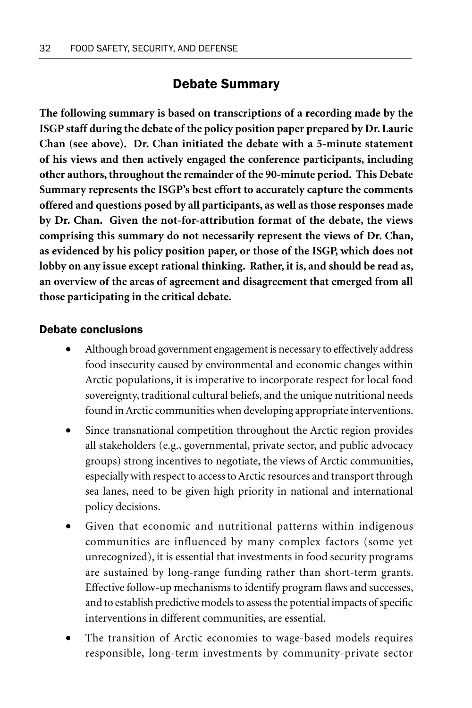# Debate Summary

**The following summary is based on transcriptions of a recording made by the ISGP staff during the debate of the policy position paper prepared by Dr. Laurie Chan (see above). Dr. Chan initiated the debate with a 5-minute statement of his views and then actively engaged the conference participants, including other authors, throughout the remainder of the 90-minute period. This Debate Summary represents the ISGP's best effort to accurately capture the comments offered and questions posed by all participants, as well as those responses made by Dr. Chan. Given the not-for-attribution format of the debate, the views comprising this summary do not necessarily represent the views of Dr. Chan, as evidenced by his policy position paper, or those of the ISGP, which does not lobby on any issue except rational thinking. Rather, it is, and should be read as, an overview of the areas of agreement and disagreement that emerged from all those participating in the critical debate.**

# Debate conclusions

- Although broad government engagement is necessary to effectively address food insecurity caused by environmental and economic changes within Arctic populations, it is imperative to incorporate respect for local food sovereignty, traditional cultural beliefs, and the unique nutritional needs found in Arctic communities when developing appropriate interventions.
- Since transnational competition throughout the Arctic region provides all stakeholders (e.g., governmental, private sector, and public advocacy groups) strong incentives to negotiate, the views of Arctic communities, especially with respect to access to Arctic resources and transport through sea lanes, need to be given high priority in national and international policy decisions.
- Given that economic and nutritional patterns within indigenous communities are influenced by many complex factors (some yet unrecognized), it is essential that investments in food security programs are sustained by long-range funding rather than short-term grants. Effective follow-up mechanisms to identify program flaws and successes, and to establish predictive models to assess the potential impacts of specific interventions in different communities, are essential.
- The transition of Arctic economies to wage-based models requires responsible, long-term investments by community-private sector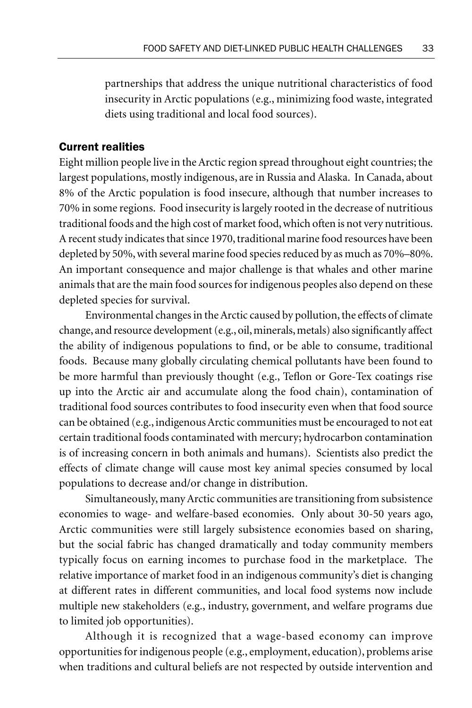partnerships that address the unique nutritional characteristics of food insecurity in Arctic populations (e.g., minimizing food waste, integrated diets using traditional and local food sources).

### Current realities

Eight million people live in the Arctic region spread throughout eight countries; the largest populations, mostly indigenous, are in Russia and Alaska. In Canada, about 8% of the Arctic population is food insecure, although that number increases to 70% in some regions. Food insecurity is largely rooted in the decrease of nutritious traditional foods and the high cost of market food, which often is not very nutritious. A recent study indicates that since 1970, traditional marine food resources have been depleted by 50%, with several marine food species reduced by as much as 70%–80%. An important consequence and major challenge is that whales and other marine animals that are the main food sources for indigenous peoples also depend on these depleted species for survival.

Environmental changes in the Arctic caused by pollution, the effects of climate change, and resource development (e.g., oil, minerals, metals) also significantly affect the ability of indigenous populations to find, or be able to consume, traditional foods. Because many globally circulating chemical pollutants have been found to be more harmful than previously thought (e.g., Teflon or Gore-Tex coatings rise up into the Arctic air and accumulate along the food chain), contamination of traditional food sources contributes to food insecurity even when that food source can be obtained (e.g., indigenous Arctic communities must be encouraged to not eat certain traditional foods contaminated with mercury; hydrocarbon contamination is of increasing concern in both animals and humans). Scientists also predict the effects of climate change will cause most key animal species consumed by local populations to decrease and/or change in distribution.

Simultaneously, many Arctic communities are transitioning from subsistence economies to wage- and welfare-based economies. Only about 30-50 years ago, Arctic communities were still largely subsistence economies based on sharing, but the social fabric has changed dramatically and today community members typically focus on earning incomes to purchase food in the marketplace. The relative importance of market food in an indigenous community's diet is changing at different rates in different communities, and local food systems now include multiple new stakeholders (e.g., industry, government, and welfare programs due to limited job opportunities).

Although it is recognized that a wage-based economy can improve opportunities for indigenous people (e.g., employment, education), problems arise when traditions and cultural beliefs are not respected by outside intervention and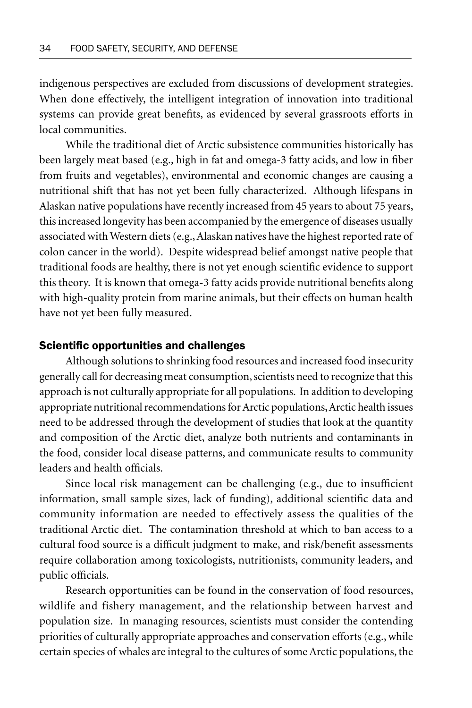indigenous perspectives are excluded from discussions of development strategies. When done effectively, the intelligent integration of innovation into traditional systems can provide great benefits, as evidenced by several grassroots efforts in local communities.

While the traditional diet of Arctic subsistence communities historically has been largely meat based (e.g., high in fat and omega-3 fatty acids, and low in fiber from fruits and vegetables), environmental and economic changes are causing a nutritional shift that has not yet been fully characterized. Although lifespans in Alaskan native populations have recently increased from 45 years to about 75 years, this increased longevity has been accompanied by the emergence of diseases usually associated with Western diets (e.g., Alaskan natives have the highest reported rate of colon cancer in the world). Despite widespread belief amongst native people that traditional foods are healthy, there is not yet enough scientific evidence to support this theory. It is known that omega-3 fatty acids provide nutritional benefits along with high-quality protein from marine animals, but their effects on human health have not yet been fully measured.

### Scientific opportunities and challenges

Although solutions to shrinking food resources and increased food insecurity generally call for decreasing meat consumption, scientists need to recognize that this approach is not culturally appropriate for all populations. In addition to developing appropriate nutritional recommendations for Arctic populations, Arctic health issues need to be addressed through the development of studies that look at the quantity and composition of the Arctic diet, analyze both nutrients and contaminants in the food, consider local disease patterns, and communicate results to community leaders and health officials.

Since local risk management can be challenging (e.g., due to insufficient information, small sample sizes, lack of funding), additional scientific data and community information are needed to effectively assess the qualities of the traditional Arctic diet. The contamination threshold at which to ban access to a cultural food source is a difficult judgment to make, and risk/benefit assessments require collaboration among toxicologists, nutritionists, community leaders, and public officials.

Research opportunities can be found in the conservation of food resources, wildlife and fishery management, and the relationship between harvest and population size. In managing resources, scientists must consider the contending priorities of culturally appropriate approaches and conservation efforts (e.g., while certain species of whales are integral to the cultures of some Arctic populations, the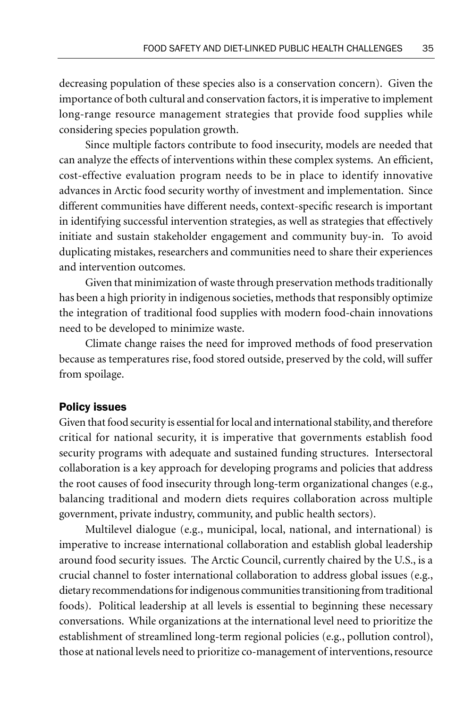decreasing population of these species also is a conservation concern). Given the importance of both cultural and conservation factors, it is imperative to implement long-range resource management strategies that provide food supplies while considering species population growth.

Since multiple factors contribute to food insecurity, models are needed that can analyze the effects of interventions within these complex systems. An efficient, cost-effective evaluation program needs to be in place to identify innovative advances in Arctic food security worthy of investment and implementation. Since different communities have different needs, context-specific research is important in identifying successful intervention strategies, as well as strategies that effectively initiate and sustain stakeholder engagement and community buy-in. To avoid duplicating mistakes, researchers and communities need to share their experiences and intervention outcomes.

Given that minimization of waste through preservation methods traditionally has been a high priority in indigenous societies, methods that responsibly optimize the integration of traditional food supplies with modern food-chain innovations need to be developed to minimize waste.

Climate change raises the need for improved methods of food preservation because as temperatures rise, food stored outside, preserved by the cold, will suffer from spoilage.

### Policy issues

Given that food security is essential for local and international stability, and therefore critical for national security, it is imperative that governments establish food security programs with adequate and sustained funding structures. Intersectoral collaboration is a key approach for developing programs and policies that address the root causes of food insecurity through long-term organizational changes (e.g., balancing traditional and modern diets requires collaboration across multiple government, private industry, community, and public health sectors).

Multilevel dialogue (e.g., municipal, local, national, and international) is imperative to increase international collaboration and establish global leadership around food security issues. The Arctic Council, currently chaired by the U.S., is a crucial channel to foster international collaboration to address global issues (e.g., dietary recommendations for indigenous communities transitioning from traditional foods). Political leadership at all levels is essential to beginning these necessary conversations. While organizations at the international level need to prioritize the establishment of streamlined long-term regional policies (e.g., pollution control), those at national levels need to prioritize co-management of interventions, resource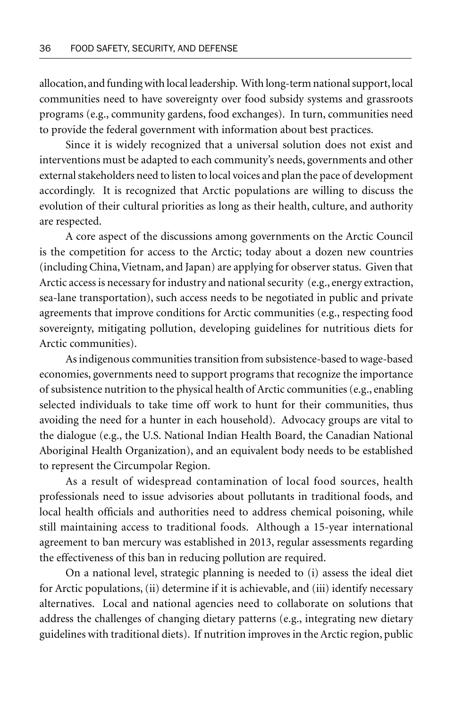allocation, and funding with local leadership. With long-term national support, local communities need to have sovereignty over food subsidy systems and grassroots programs (e.g., community gardens, food exchanges). In turn, communities need to provide the federal government with information about best practices.

Since it is widely recognized that a universal solution does not exist and interventions must be adapted to each community's needs, governments and other external stakeholders need to listen to local voices and plan the pace of development accordingly. It is recognized that Arctic populations are willing to discuss the evolution of their cultural priorities as long as their health, culture, and authority are respected.

A core aspect of the discussions among governments on the Arctic Council is the competition for access to the Arctic; today about a dozen new countries (including China, Vietnam, and Japan) are applying for observer status. Given that Arctic access is necessary for industry and national security (e.g., energy extraction, sea-lane transportation), such access needs to be negotiated in public and private agreements that improve conditions for Arctic communities (e.g., respecting food sovereignty, mitigating pollution, developing guidelines for nutritious diets for Arctic communities).

As indigenous communities transition from subsistence-based to wage-based economies, governments need to support programs that recognize the importance of subsistence nutrition to the physical health of Arctic communities (e.g., enabling selected individuals to take time off work to hunt for their communities, thus avoiding the need for a hunter in each household). Advocacy groups are vital to the dialogue (e.g., the U.S. National Indian Health Board, the Canadian National Aboriginal Health Organization), and an equivalent body needs to be established to represent the Circumpolar Region.

As a result of widespread contamination of local food sources, health professionals need to issue advisories about pollutants in traditional foods, and local health officials and authorities need to address chemical poisoning, while still maintaining access to traditional foods. Although a 15-year international agreement to ban mercury was established in 2013, regular assessments regarding the effectiveness of this ban in reducing pollution are required.

On a national level, strategic planning is needed to (i) assess the ideal diet for Arctic populations, (ii) determine if it is achievable, and (iii) identify necessary alternatives. Local and national agencies need to collaborate on solutions that address the challenges of changing dietary patterns (e.g., integrating new dietary guidelines with traditional diets). If nutrition improves in the Arctic region, public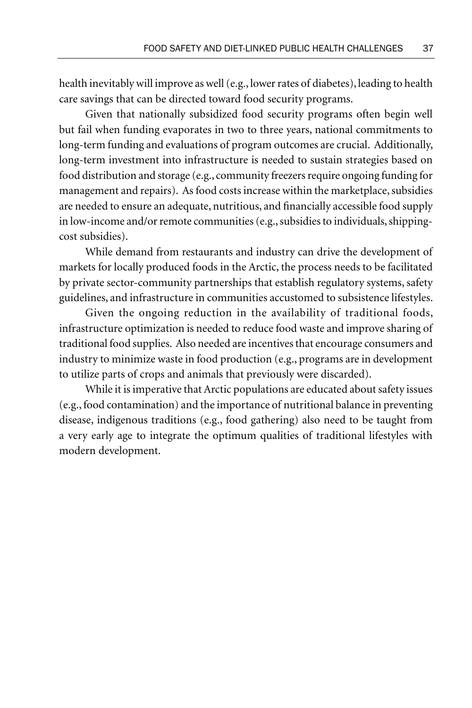health inevitably will improve as well (e.g., lower rates of diabetes), leading to health care savings that can be directed toward food security programs.

Given that nationally subsidized food security programs often begin well but fail when funding evaporates in two to three years, national commitments to long-term funding and evaluations of program outcomes are crucial. Additionally, long-term investment into infrastructure is needed to sustain strategies based on food distribution and storage (e.g., community freezers require ongoing funding for management and repairs). As food costs increase within the marketplace, subsidies are needed to ensure an adequate, nutritious, and financially accessible food supply in low-income and/or remote communities (e.g., subsidies to individuals, shippingcost subsidies).

While demand from restaurants and industry can drive the development of markets for locally produced foods in the Arctic, the process needs to be facilitated by private sector-community partnerships that establish regulatory systems, safety guidelines, and infrastructure in communities accustomed to subsistence lifestyles.

Given the ongoing reduction in the availability of traditional foods, infrastructure optimization is needed to reduce food waste and improve sharing of traditional food supplies. Also needed are incentives that encourage consumers and industry to minimize waste in food production (e.g., programs are in development to utilize parts of crops and animals that previously were discarded).

While it is imperative that Arctic populations are educated about safety issues (e.g., food contamination) and the importance of nutritional balance in preventing disease, indigenous traditions (e.g., food gathering) also need to be taught from a very early age to integrate the optimum qualities of traditional lifestyles with modern development.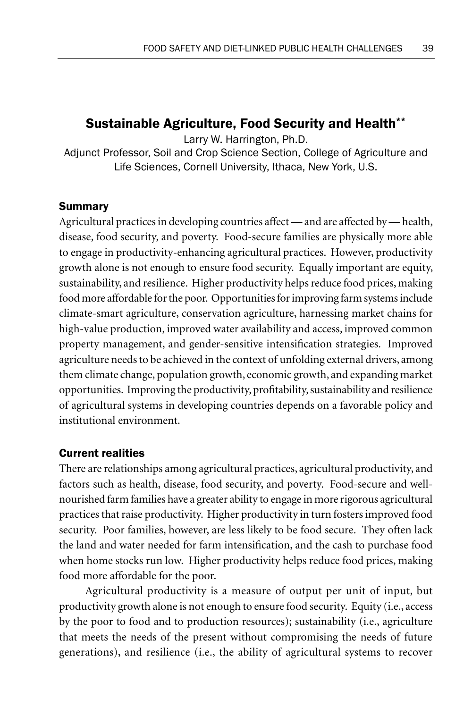# Sustainable Agriculture, Food Security and Health\*\*

Larry W. Harrington, Ph.D.

Adjunct Professor, Soil and Crop Science Section, College of Agriculture and Life Sciences, Cornell University, Ithaca, New York, U.S.

# Summary

Agricultural practices in developing countries affect — and are affected by — health, disease, food security, and poverty. Food-secure families are physically more able to engage in productivity-enhancing agricultural practices. However, productivity growth alone is not enough to ensure food security. Equally important are equity, sustainability, and resilience. Higher productivity helps reduce food prices, making food more affordable for the poor. Opportunities for improving farm systems include climate-smart agriculture, conservation agriculture, harnessing market chains for high-value production, improved water availability and access, improved common property management, and gender-sensitive intensification strategies. Improved agriculture needs to be achieved in the context of unfolding external drivers, among them climate change, population growth, economic growth, and expanding market opportunities. Improving the productivity, profitability, sustainability and resilience of agricultural systems in developing countries depends on a favorable policy and institutional environment.

# Current realities

There are relationships among agricultural practices, agricultural productivity, and factors such as health, disease, food security, and poverty. Food-secure and wellnourished farm families have a greater ability to engage in more rigorous agricultural practices that raise productivity. Higher productivity in turn fosters improved food security. Poor families, however, are less likely to be food secure. They often lack the land and water needed for farm intensification, and the cash to purchase food when home stocks run low. Higher productivity helps reduce food prices, making food more affordable for the poor.

Agricultural productivity is a measure of output per unit of input, but productivity growth alone is not enough to ensure food security. Equity (i.e., access by the poor to food and to production resources); sustainability (i.e., agriculture that meets the needs of the present without compromising the needs of future generations), and resilience (i.e., the ability of agricultural systems to recover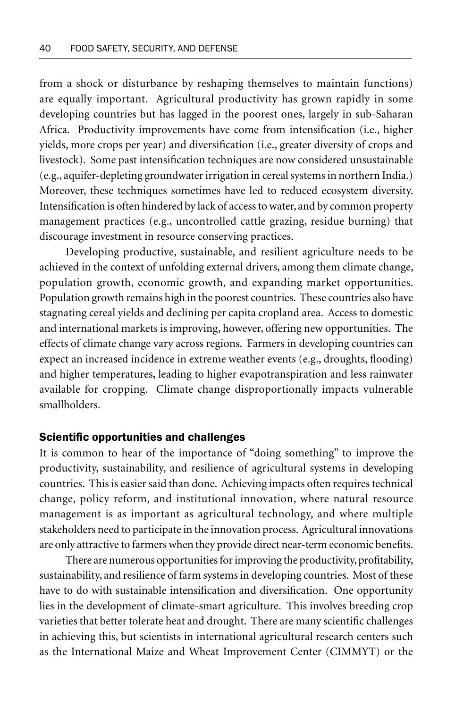from a shock or disturbance by reshaping themselves to maintain functions) are equally important. Agricultural productivity has grown rapidly in some developing countries but has lagged in the poorest ones, largely in sub-Saharan Africa. Productivity improvements have come from intensification (i.e., higher yields, more crops per year) and diversification (i.e., greater diversity of crops and livestock). Some past intensification techniques are now considered unsustainable (e.g., aquifer-depleting groundwater irrigation in cereal systems in northern India.) Moreover, these techniques sometimes have led to reduced ecosystem diversity. Intensification is often hindered by lack of access to water, and by common property management practices (e.g., uncontrolled cattle grazing, residue burning) that discourage investment in resource conserving practices.

Developing productive, sustainable, and resilient agriculture needs to be achieved in the context of unfolding external drivers, among them climate change, population growth, economic growth, and expanding market opportunities. Population growth remains high in the poorest countries. These countries also have stagnating cereal yields and declining per capita cropland area. Access to domestic and international markets is improving, however, offering new opportunities. The effects of climate change vary across regions. Farmers in developing countries can expect an increased incidence in extreme weather events (e.g., droughts, flooding) and higher temperatures, leading to higher evapotranspiration and less rainwater available for cropping. Climate change disproportionally impacts vulnerable smallholders.

#### Scientifc opportunities and challenges

It is common to hear of the importance of "doing something" to improve the productivity, sustainability, and resilience of agricultural systems in developing countries. This is easier said than done. Achieving impacts often requires technical change, policy reform, and institutional innovation, where natural resource management is as important as agricultural technology, and where multiple stakeholders need to participate in the innovation process. Agricultural innovations are only attractive to farmers when they provide direct near-term economic benefits.

There are numerous opportunities for improving the productivity, profitability, sustainability, and resilience of farm systems in developing countries. Most of these have to do with sustainable intensification and diversification. One opportunity lies in the development of climate-smart agriculture. This involves breeding crop varieties that better tolerate heat and drought. There are many scientific challenges in achieving this, but scientists in international agricultural research centers such as the International Maize and Wheat Improvement Center (CIMMYT) or the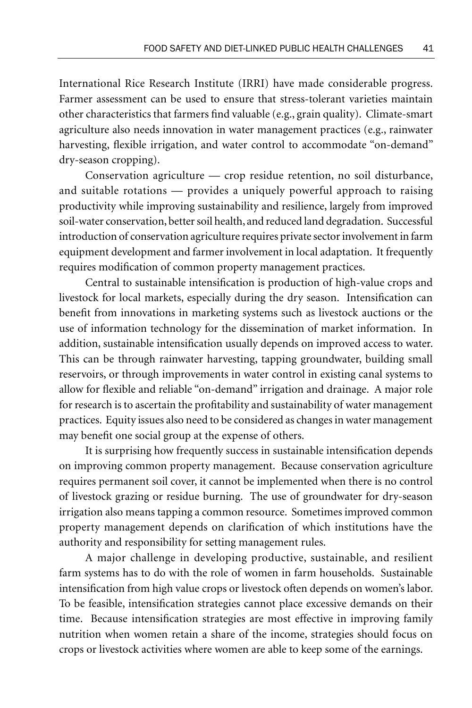International Rice Research Institute (IRRI) have made considerable progress. Farmer assessment can be used to ensure that stress-tolerant varieties maintain other characteristics that farmers find valuable (e.g., grain quality). Climate-smart agriculture also needs innovation in water management practices (e.g., rainwater harvesting, flexible irrigation, and water control to accommodate "on-demand" dry-season cropping).

Conservation agriculture — crop residue retention, no soil disturbance, and suitable rotations — provides a uniquely powerful approach to raising productivity while improving sustainability and resilience, largely from improved soil-water conservation, better soil health, and reduced land degradation. Successful introduction of conservation agriculture requires private sector involvement in farm equipment development and farmer involvement in local adaptation. It frequently requires modification of common property management practices.

Central to sustainable intensification is production of high-value crops and livestock for local markets, especially during the dry season. Intensification can benefit from innovations in marketing systems such as livestock auctions or the use of information technology for the dissemination of market information. In addition, sustainable intensification usually depends on improved access to water. This can be through rainwater harvesting, tapping groundwater, building small reservoirs, or through improvements in water control in existing canal systems to allow for flexible and reliable "on-demand" irrigation and drainage. A major role for research is to ascertain the profitability and sustainability of water management practices. Equity issues also need to be considered as changes in water management may benefit one social group at the expense of others.

It is surprising how frequently success in sustainable intensification depends on improving common property management. Because conservation agriculture requires permanent soil cover, it cannot be implemented when there is no control of livestock grazing or residue burning. The use of groundwater for dry-season irrigation also means tapping a common resource. Sometimes improved common property management depends on clarification of which institutions have the authority and responsibility for setting management rules.

A major challenge in developing productive, sustainable, and resilient farm systems has to do with the role of women in farm households. Sustainable intensification from high value crops or livestock often depends on women's labor. To be feasible, intensification strategies cannot place excessive demands on their time. Because intensification strategies are most effective in improving family nutrition when women retain a share of the income, strategies should focus on crops or livestock activities where women are able to keep some of the earnings.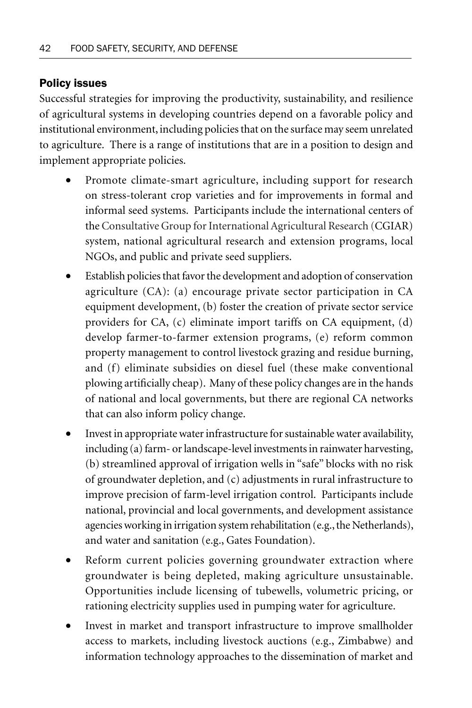# Policy issues

Successful strategies for improving the productivity, sustainability, and resilience of agricultural systems in developing countries depend on a favorable policy and institutional environment, including policies that on the surface may seem unrelated to agriculture. There is a range of institutions that are in a position to design and implement appropriate policies.

- Promote climate-smart agriculture, including support for research on stress-tolerant crop varieties and for improvements in formal and informal seed systems. Participants include the international centers of the Consultative Group for International Agricultural Research (CGIAR) system, national agricultural research and extension programs, local NGOs, and public and private seed suppliers.
- Establish policies that favor the development and adoption of conservation agriculture (CA): (a) encourage private sector participation in CA equipment development, (b) foster the creation of private sector service providers for CA, (c) eliminate import tariffs on CA equipment, (d) develop farmer-to-farmer extension programs, (e) reform common property management to control livestock grazing and residue burning, and (f) eliminate subsidies on diesel fuel (these make conventional plowing artificially cheap). Many of these policy changes are in the hands of national and local governments, but there are regional CA networks that can also inform policy change.
- Invest in appropriate water infrastructure for sustainable water availability, including (a) farm- or landscape-level investments in rainwater harvesting, (b) streamlined approval of irrigation wells in "safe" blocks with no risk of groundwater depletion, and (c) adjustments in rural infrastructure to improve precision of farm-level irrigation control. Participants include national, provincial and local governments, and development assistance agencies working in irrigation system rehabilitation (e.g., the Netherlands), and water and sanitation (e.g., Gates Foundation).
- Reform current policies governing groundwater extraction where groundwater is being depleted, making agriculture unsustainable. Opportunities include licensing of tubewells, volumetric pricing, or rationing electricity supplies used in pumping water for agriculture.
- Invest in market and transport infrastructure to improve smallholder access to markets, including livestock auctions (e.g., Zimbabwe) and information technology approaches to the dissemination of market and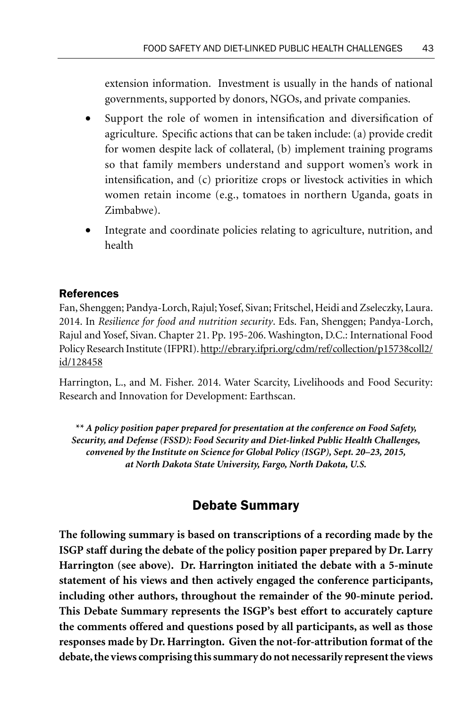extension information. Investment is usually in the hands of national governments, supported by donors, NGOs, and private companies.

- Support the role of women in intensification and diversification of agriculture. Specific actions that can be taken include: (a) provide credit for women despite lack of collateral, (b) implement training programs so that family members understand and support women's work in intensification, and (c) prioritize crops or livestock activities in which women retain income (e.g., tomatoes in northern Uganda, goats in Zimbabwe).
- Integrate and coordinate policies relating to agriculture, nutrition, and health

### References

Fan, Shenggen; Pandya-Lorch, Rajul; Yosef, Sivan; Fritschel, Heidi and Zseleczky, Laura. 2014. In *Resilience for food and nutrition security*. Eds. Fan, Shenggen; Pandya-Lorch, Rajul and Yosef, Sivan. Chapter 21. Pp. 195-206. Washington, D.C.: International Food Policy Research Institute (IFPRI). http://ebrary.ifpri.org/cdm/ref/collection/p15738coll2/ id/128458

Harrington, L., and M. Fisher. 2014. Water Scarcity, Livelihoods and Food Security: Research and Innovation for Development: Earthscan.

*\*\* A policy position paper prepared for presentation at the conference on Food Safety, Security, and Defense (FSSD): Food Security and Diet-linked Public Health Challenges, convened by the Institute on Science for Global Policy (ISGP), Sept. 20–23, 2015, at North Dakota State University, Fargo, North Dakota, U.S.*

# Debate Summary

**The following summary is based on transcriptions of a recording made by the ISGP staff during the debate of the policy position paper prepared by Dr. Larry Harrington (see above). Dr. Harrington initiated the debate with a 5-minute statement of his views and then actively engaged the conference participants, including other authors, throughout the remainder of the 90-minute period. This Debate Summary represents the ISGP's best effort to accurately capture the comments offered and questions posed by all participants, as well as those responses made by Dr. Harrington. Given the not-for-attribution format of the debate, the views comprising this summary do not necessarily represent the views**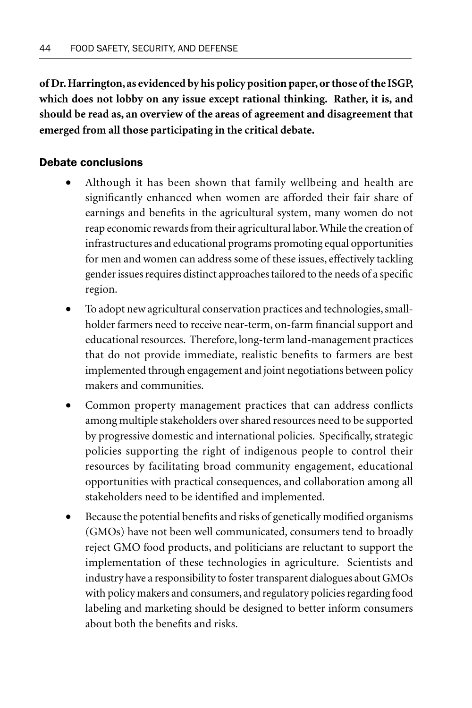**of Dr. Harrington, as evidenced by his policy position paper, or those of the ISGP, which does not lobby on any issue except rational thinking. Rather, it is, and should be read as, an overview of the areas of agreement and disagreement that emerged from all those participating in the critical debate.**

# Debate conclusions

- Although it has been shown that family wellbeing and health are significantly enhanced when women are afforded their fair share of earnings and benefits in the agricultural system, many women do not reap economic rewards from their agricultural labor. While the creation of infrastructures and educational programs promoting equal opportunities for men and women can address some of these issues, effectively tackling gender issues requires distinct approaches tailored to the needs of a specific region.
- To adopt new agricultural conservation practices and technologies, smallholder farmers need to receive near-term, on-farm financial support and educational resources. Therefore, long-term land-management practices that do not provide immediate, realistic benefits to farmers are best implemented through engagement and joint negotiations between policy makers and communities.
- Common property management practices that can address conflicts among multiple stakeholders over shared resources need to be supported by progressive domestic and international policies. Specifically, strategic policies supporting the right of indigenous people to control their resources by facilitating broad community engagement, educational opportunities with practical consequences, and collaboration among all stakeholders need to be identified and implemented.
- Because the potential benefits and risks of genetically modified organisms (GMOs) have not been well communicated, consumers tend to broadly reject GMO food products, and politicians are reluctant to support the implementation of these technologies in agriculture. Scientists and industry have a responsibility to foster transparent dialogues about GMOs with policy makers and consumers, and regulatory policies regarding food labeling and marketing should be designed to better inform consumers about both the benefits and risks.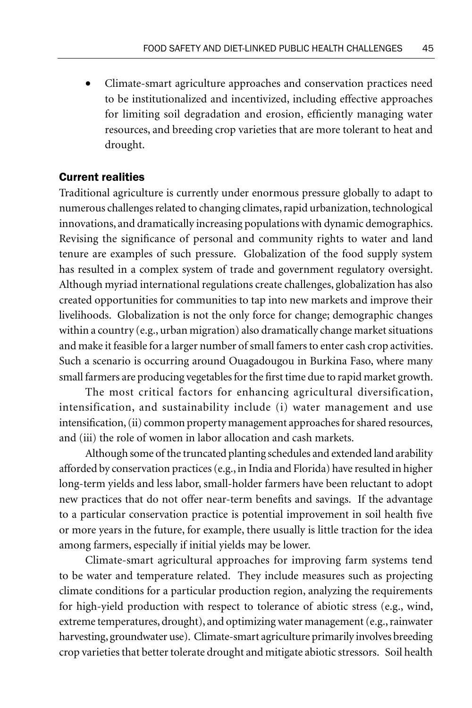• Climate-smart agriculture approaches and conservation practices need to be institutionalized and incentivized, including effective approaches for limiting soil degradation and erosion, efficiently managing water resources, and breeding crop varieties that are more tolerant to heat and drought.

### Current realities

Traditional agriculture is currently under enormous pressure globally to adapt to numerous challenges related to changing climates, rapid urbanization, technological innovations, and dramatically increasing populations with dynamic demographics. Revising the significance of personal and community rights to water and land tenure are examples of such pressure. Globalization of the food supply system has resulted in a complex system of trade and government regulatory oversight. Although myriad international regulations create challenges, globalization has also created opportunities for communities to tap into new markets and improve their livelihoods. Globalization is not the only force for change; demographic changes within a country (e.g., urban migration) also dramatically change market situations and make it feasible for a larger number of small famers to enter cash crop activities. Such a scenario is occurring around Ouagadougou in Burkina Faso, where many small farmers are producing vegetables for the first time due to rapid market growth.

The most critical factors for enhancing agricultural diversification, intensification, and sustainability include (i) water management and use intensification, (ii) common property management approaches for shared resources, and (iii) the role of women in labor allocation and cash markets.

Although some of the truncated planting schedules and extended land arability afforded by conservation practices (e.g., in India and Florida) have resulted in higher long-term yields and less labor, small-holder farmers have been reluctant to adopt new practices that do not offer near-term benefits and savings. If the advantage to a particular conservation practice is potential improvement in soil health five or more years in the future, for example, there usually is little traction for the idea among farmers, especially if initial yields may be lower.

Climate-smart agricultural approaches for improving farm systems tend to be water and temperature related. They include measures such as projecting climate conditions for a particular production region, analyzing the requirements for high-yield production with respect to tolerance of abiotic stress (e.g., wind, extreme temperatures, drought), and optimizing water management (e.g., rainwater harvesting, groundwater use). Climate-smart agriculture primarily involves breeding crop varieties that better tolerate drought and mitigate abiotic stressors. Soil health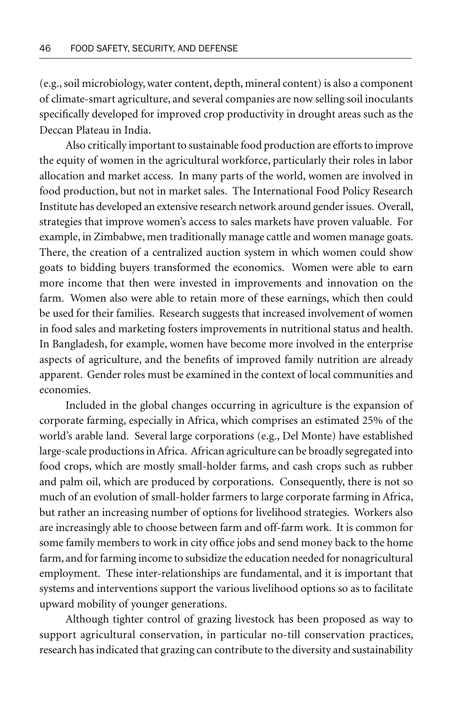(e.g., soil microbiology, water content, depth, mineral content) is also a component of climate-smart agriculture, and several companies are now selling soil inoculants specifically developed for improved crop productivity in drought areas such as the Deccan Plateau in India.

Also critically important to sustainable food production are efforts to improve the equity of women in the agricultural workforce, particularly their roles in labor allocation and market access. In many parts of the world, women are involved in food production, but not in market sales. The International Food Policy Research Institute has developed an extensive research network around gender issues. Overall, strategies that improve women's access to sales markets have proven valuable. For example, in Zimbabwe, men traditionally manage cattle and women manage goats. There, the creation of a centralized auction system in which women could show goats to bidding buyers transformed the economics. Women were able to earn more income that then were invested in improvements and innovation on the farm. Women also were able to retain more of these earnings, which then could be used for their families. Research suggests that increased involvement of women in food sales and marketing fosters improvements in nutritional status and health. In Bangladesh, for example, women have become more involved in the enterprise aspects of agriculture, and the benefits of improved family nutrition are already apparent. Gender roles must be examined in the context of local communities and economies.

Included in the global changes occurring in agriculture is the expansion of corporate farming, especially in Africa, which comprises an estimated 25% of the world's arable land. Several large corporations (e.g., Del Monte) have established large-scale productions in Africa. African agriculture can be broadly segregated into food crops, which are mostly small-holder farms, and cash crops such as rubber and palm oil, which are produced by corporations. Consequently, there is not so much of an evolution of small-holder farmers to large corporate farming in Africa, but rather an increasing number of options for livelihood strategies. Workers also are increasingly able to choose between farm and off-farm work. It is common for some family members to work in city office jobs and send money back to the home farm, and for farming income to subsidize the education needed for nonagricultural employment. These inter-relationships are fundamental, and it is important that systems and interventions support the various livelihood options so as to facilitate upward mobility of younger generations.

Although tighter control of grazing livestock has been proposed as way to support agricultural conservation, in particular no-till conservation practices, research has indicated that grazing can contribute to the diversity and sustainability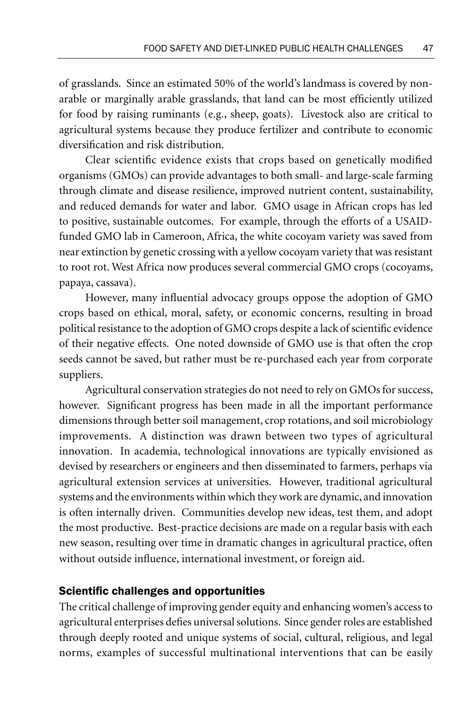of grasslands. Since an estimated 50% of the world's landmass is covered by nonarable or marginally arable grasslands, that land can be most efficiently utilized for food by raising ruminants (e.g., sheep, goats). Livestock also are critical to agricultural systems because they produce fertilizer and contribute to economic diversification and risk distribution.

Clear scientific evidence exists that crops based on genetically modified organisms (GMOs) can provide advantages to both small- and large-scale farming through climate and disease resilience, improved nutrient content, sustainability, and reduced demands for water and labor. GMO usage in African crops has led to positive, sustainable outcomes. For example, through the efforts of a USAIDfunded GMO lab in Cameroon, Africa, the white cocoyam variety was saved from near extinction by genetic crossing with a yellow cocoyam variety that was resistant to root rot. West Africa now produces several commercial GMO crops (cocoyams, papaya, cassava).

However, many influential advocacy groups oppose the adoption of GMO crops based on ethical, moral, safety, or economic concerns, resulting in broad political resistance to the adoption of GMO crops despite a lack of scientific evidence of their negative effects. One noted downside of GMO use is that often the crop seeds cannot be saved, but rather must be re-purchased each year from corporate suppliers.

Agricultural conservation strategies do not need to rely on GMOs for success, however. Significant progress has been made in all the important performance dimensions through better soil management, crop rotations, and soil microbiology improvements. A distinction was drawn between two types of agricultural innovation. In academia, technological innovations are typically envisioned as devised by researchers or engineers and then disseminated to farmers, perhaps via agricultural extension services at universities. However, traditional agricultural systems and the environments within which they work are dynamic, and innovation is often internally driven. Communities develop new ideas, test them, and adopt the most productive. Best-practice decisions are made on a regular basis with each new season, resulting over time in dramatic changes in agricultural practice, often without outside influence, international investment, or foreign aid.

### Scientific challenges and opportunities

The critical challenge of improving gender equity and enhancing women's access to agricultural enterprises defies universal solutions. Since gender roles are established through deeply rooted and unique systems of social, cultural, religious, and legal norms, examples of successful multinational interventions that can be easily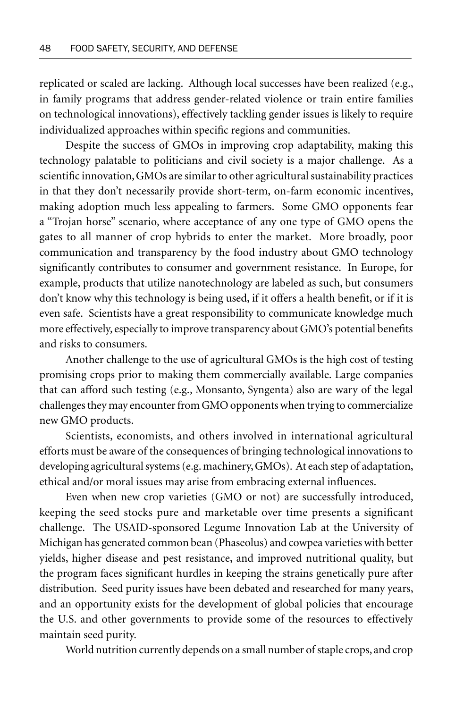replicated or scaled are lacking. Although local successes have been realized (e.g., in family programs that address gender-related violence or train entire families on technological innovations), effectively tackling gender issues is likely to require individualized approaches within specific regions and communities.

Despite the success of GMOs in improving crop adaptability, making this technology palatable to politicians and civil society is a major challenge. As a scientific innovation, GMOs are similar to other agricultural sustainability practices in that they don't necessarily provide short-term, on-farm economic incentives, making adoption much less appealing to farmers. Some GMO opponents fear a "Trojan horse" scenario, where acceptance of any one type of GMO opens the gates to all manner of crop hybrids to enter the market. More broadly, poor communication and transparency by the food industry about GMO technology significantly contributes to consumer and government resistance. In Europe, for example, products that utilize nanotechnology are labeled as such, but consumers don't know why this technology is being used, if it offers a health benefit, or if it is even safe. Scientists have a great responsibility to communicate knowledge much more effectively, especially to improve transparency about GMO's potential benefits and risks to consumers.

Another challenge to the use of agricultural GMOs is the high cost of testing promising crops prior to making them commercially available. Large companies that can afford such testing (e.g., Monsanto, Syngenta) also are wary of the legal challenges they may encounter from GMO opponents when trying to commercialize new GMO products.

Scientists, economists, and others involved in international agricultural efforts must be aware of the consequences of bringing technological innovations to developing agricultural systems (e.g. machinery, GMOs). At each step of adaptation, ethical and/or moral issues may arise from embracing external influences.

Even when new crop varieties (GMO or not) are successfully introduced, keeping the seed stocks pure and marketable over time presents a significant challenge. The USAID-sponsored Legume Innovation Lab at the University of Michigan has generated common bean (Phaseolus) and cowpea varieties with better yields, higher disease and pest resistance, and improved nutritional quality, but the program faces significant hurdles in keeping the strains genetically pure after distribution. Seed purity issues have been debated and researched for many years, and an opportunity exists for the development of global policies that encourage the U.S. and other governments to provide some of the resources to effectively maintain seed purity.

World nutrition currently depends on a small number of staple crops, and crop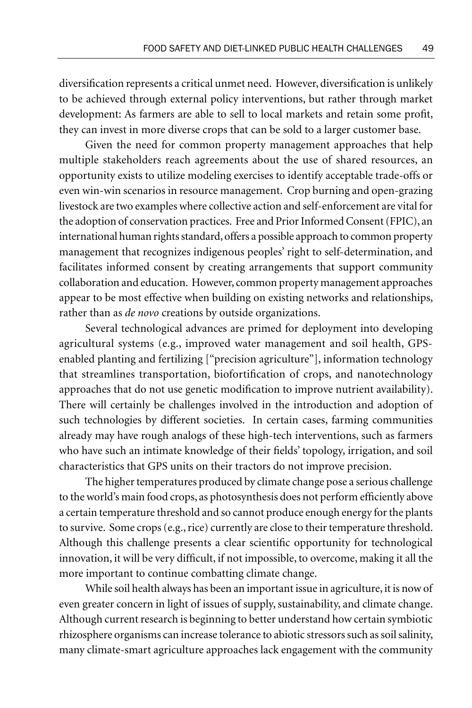diversification represents a critical unmet need. However, diversification is unlikely to be achieved through external policy interventions, but rather through market development: As farmers are able to sell to local markets and retain some profit, they can invest in more diverse crops that can be sold to a larger customer base.

Given the need for common property management approaches that help multiple stakeholders reach agreements about the use of shared resources, an opportunity exists to utilize modeling exercises to identify acceptable trade-offs or even win-win scenarios in resource management. Crop burning and open-grazing livestock are two examples where collective action and self-enforcement are vital for the adoption of conservation practices. Free and Prior Informed Consent (FPIC), an international human rights standard, offers a possible approach to common property management that recognizes indigenous peoples' right to self-determination, and facilitates informed consent by creating arrangements that support community collaboration and education. However, common property management approaches appear to be most effective when building on existing networks and relationships, rather than as *de novo* creations by outside organizations.

Several technological advances are primed for deployment into developing agricultural systems (e.g., improved water management and soil health, GPSenabled planting and fertilizing ["precision agriculture"], information technology that streamlines transportation, biofortification of crops, and nanotechnology approaches that do not use genetic modification to improve nutrient availability). There will certainly be challenges involved in the introduction and adoption of such technologies by different societies. In certain cases, farming communities already may have rough analogs of these high-tech interventions, such as farmers who have such an intimate knowledge of their fields' topology, irrigation, and soil characteristics that GPS units on their tractors do not improve precision.

The higher temperatures produced by climate change pose a serious challenge to the world's main food crops, as photosynthesis does not perform efficiently above a certain temperature threshold and so cannot produce enough energy for the plants to survive. Some crops (e.g., rice) currently are close to their temperature threshold. Although this challenge presents a clear scientific opportunity for technological innovation, it will be very difficult, if not impossible, to overcome, making it all the more important to continue combatting climate change.

While soil health always has been an important issue in agriculture, it is now of even greater concern in light of issues of supply, sustainability, and climate change. Although current research is beginning to better understand how certain symbiotic rhizosphere organisms can increase tolerance to abiotic stressors such as soil salinity, many climate-smart agriculture approaches lack engagement with the community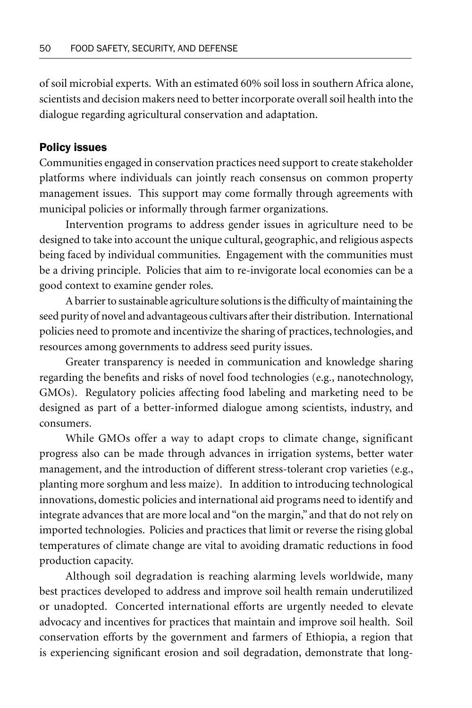of soil microbial experts. With an estimated 60% soil loss in southern Africa alone, scientists and decision makers need to better incorporate overall soil health into the dialogue regarding agricultural conservation and adaptation.

#### Policy issues

Communities engaged in conservation practices need support to create stakeholder platforms where individuals can jointly reach consensus on common property management issues. This support may come formally through agreements with municipal policies or informally through farmer organizations.

Intervention programs to address gender issues in agriculture need to be designed to take into account the unique cultural, geographic, and religious aspects being faced by individual communities. Engagement with the communities must be a driving principle. Policies that aim to re-invigorate local economies can be a good context to examine gender roles.

A barrier to sustainable agriculture solutions is the difficulty of maintaining the seed purity of novel and advantageous cultivars after their distribution. International policies need to promote and incentivize the sharing of practices, technologies, and resources among governments to address seed purity issues.

Greater transparency is needed in communication and knowledge sharing regarding the benefits and risks of novel food technologies (e.g., nanotechnology, GMOs). Regulatory policies affecting food labeling and marketing need to be designed as part of a better-informed dialogue among scientists, industry, and consumers.

While GMOs offer a way to adapt crops to climate change, significant progress also can be made through advances in irrigation systems, better water management, and the introduction of different stress-tolerant crop varieties (e.g., planting more sorghum and less maize). In addition to introducing technological innovations, domestic policies and international aid programs need to identify and integrate advances that are more local and "on the margin," and that do not rely on imported technologies. Policies and practices that limit or reverse the rising global temperatures of climate change are vital to avoiding dramatic reductions in food production capacity.

Although soil degradation is reaching alarming levels worldwide, many best practices developed to address and improve soil health remain underutilized or unadopted. Concerted international efforts are urgently needed to elevate advocacy and incentives for practices that maintain and improve soil health. Soil conservation efforts by the government and farmers of Ethiopia, a region that is experiencing significant erosion and soil degradation, demonstrate that long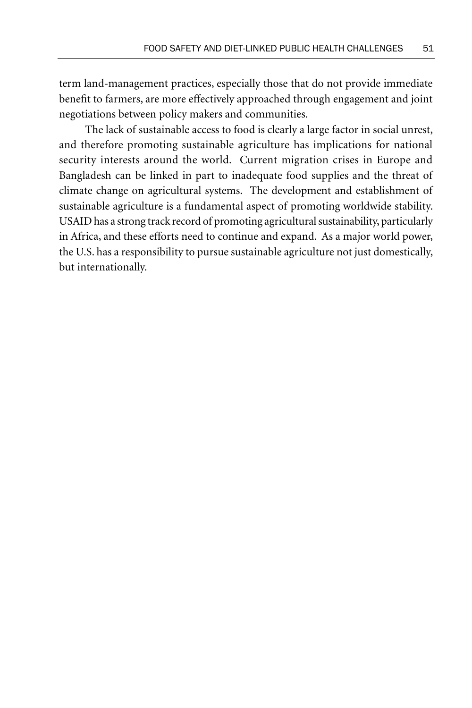term land-management practices, especially those that do not provide immediate benefit to farmers, are more effectively approached through engagement and joint negotiations between policy makers and communities.

The lack of sustainable access to food is clearly a large factor in social unrest, and therefore promoting sustainable agriculture has implications for national security interests around the world. Current migration crises in Europe and Bangladesh can be linked in part to inadequate food supplies and the threat of climate change on agricultural systems. The development and establishment of sustainable agriculture is a fundamental aspect of promoting worldwide stability. USAID has a strong track record of promoting agricultural sustainability, particularly in Africa, and these efforts need to continue and expand. As a major world power, the U.S. has a responsibility to pursue sustainable agriculture not just domestically, but internationally.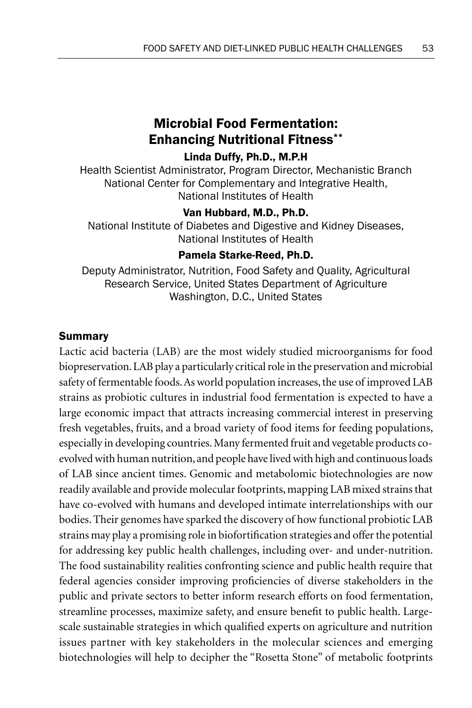# Microbial Food Fermentation: Enhancing Nutritional Fitness\*\*

# Linda Duffy, Ph.D., M.P.H

Health Scientist Administrator, Program Director, Mechanistic Branch National Center for Complementary and Integrative Health, National Institutes of Health

# Van Hubbard, M.D., Ph.D.

National Institute of Diabetes and Digestive and Kidney Diseases, National Institutes of Health

# Pamela Starke-Reed, Ph.D.

Deputy Administrator, Nutrition, Food Safety and Quality, Agricultural Research Service, United States Department of Agriculture Washington, D.C., United States

### Summary

Lactic acid bacteria (LAB) are the most widely studied microorganisms for food biopreservation. LAB play a particularly critical role in the preservation and microbial safety of fermentable foods. As world population increases, the use of improved LAB strains as probiotic cultures in industrial food fermentation is expected to have a large economic impact that attracts increasing commercial interest in preserving fresh vegetables, fruits, and a broad variety of food items for feeding populations, especially in developing countries. Many fermented fruit and vegetable products coevolved with human nutrition, and people have lived with high and continuous loads of LAB since ancient times. Genomic and metabolomic biotechnologies are now readily available and provide molecular footprints, mapping LAB mixed strains that have co-evolved with humans and developed intimate interrelationships with our bodies. Their genomes have sparked the discovery of how functional probiotic LAB strains may play a promising role in biofortification strategies and offer the potential for addressing key public health challenges, including over- and under-nutrition. The food sustainability realities confronting science and public health require that federal agencies consider improving proficiencies of diverse stakeholders in the public and private sectors to better inform research efforts on food fermentation, streamline processes, maximize safety, and ensure benefit to public health. Largescale sustainable strategies in which qualified experts on agriculture and nutrition issues partner with key stakeholders in the molecular sciences and emerging biotechnologies will help to decipher the "Rosetta Stone" of metabolic footprints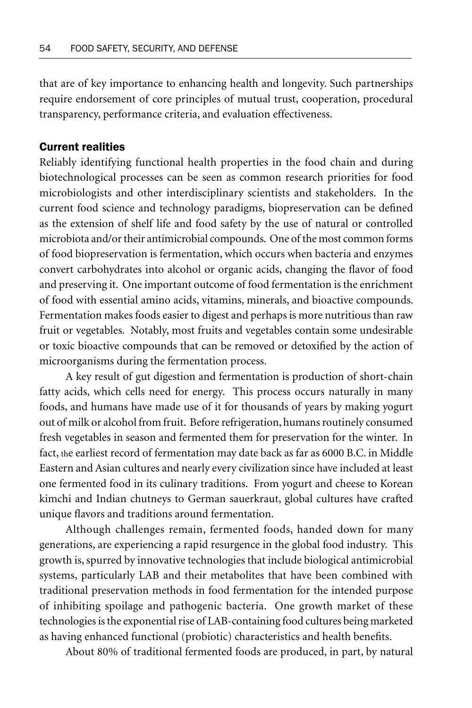that are of key importance to enhancing health and longevity. Such partnerships require endorsement of core principles of mutual trust, cooperation, procedural transparency, performance criteria, and evaluation effectiveness.

# Current realities

Reliably identifying functional health properties in the food chain and during biotechnological processes can be seen as common research priorities for food microbiologists and other interdisciplinary scientists and stakeholders. In the current food science and technology paradigms, biopreservation can be defined as the extension of shelf life and food safety by the use of natural or controlled microbiota and/or their antimicrobial compounds. One of the most common forms of food biopreservation is fermentation, which occurs when bacteria and enzymes convert carbohydrates into alcohol or organic acids, changing the flavor of food and preserving it. One important outcome of food fermentation is the enrichment of food with essential amino acids, vitamins, minerals, and bioactive compounds. Fermentation makes foods easier to digest and perhaps is more nutritious than raw fruit or vegetables. Notably, most fruits and vegetables contain some undesirable or toxic bioactive compounds that can be removed or detoxified by the action of microorganisms during the fermentation process.

A key result of gut digestion and fermentation is production of short-chain fatty acids, which cells need for energy. This process occurs naturally in many foods, and humans have made use of it for thousands of years by making yogurt out of milk or alcohol from fruit. Before refrigeration, humans routinely consumed fresh vegetables in season and fermented them for preservation for the winter. In fact, the earliest record of fermentation may date back as far as 6000 B.C. in Middle Eastern and Asian cultures and nearly every civilization since have included at least one fermented food in its culinary traditions. From yogurt and cheese to Korean kimchi and Indian chutneys to German sauerkraut, global cultures have crafted unique flavors and traditions around fermentation.

Although challenges remain, fermented foods, handed down for many generations, are experiencing a rapid resurgence in the global food industry. This growth is, spurred by innovative technologies that include biological antimicrobial systems, particularly LAB and their metabolites that have been combined with traditional preservation methods in food fermentation for the intended purpose of inhibiting spoilage and pathogenic bacteria. One growth market of these technologies is the exponential rise of LAB-containing food cultures being marketed as having enhanced functional (probiotic) characteristics and health benefits.

About 80% of traditional fermented foods are produced, in part, by natural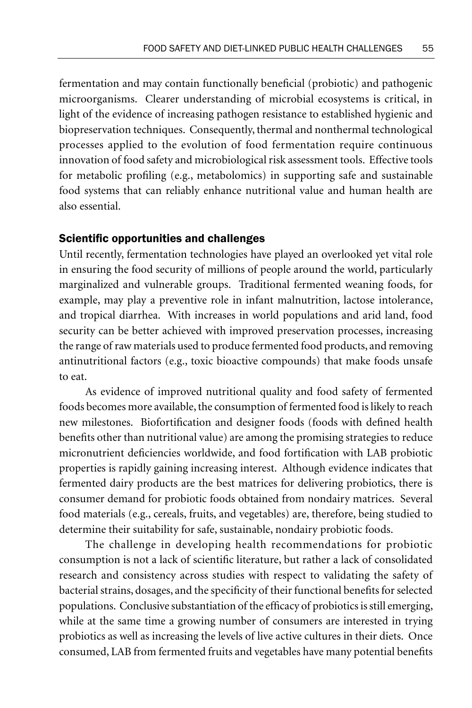fermentation and may contain functionally beneficial (probiotic) and pathogenic microorganisms. Clearer understanding of microbial ecosystems is critical, in light of the evidence of increasing pathogen resistance to established hygienic and biopreservation techniques. Consequently, thermal and nonthermal technological processes applied to the evolution of food fermentation require continuous innovation of food safety and microbiological risk assessment tools. Effective tools for metabolic profiling (e.g., metabolomics) in supporting safe and sustainable food systems that can reliably enhance nutritional value and human health are also essential.

#### Scientific opportunities and challenges

Until recently, fermentation technologies have played an overlooked yet vital role in ensuring the food security of millions of people around the world, particularly marginalized and vulnerable groups. Traditional fermented weaning foods, for example, may play a preventive role in infant malnutrition, lactose intolerance, and tropical diarrhea. With increases in world populations and arid land, food security can be better achieved with improved preservation processes, increasing the range of raw materials used to produce fermented food products, and removing antinutritional factors (e.g., toxic bioactive compounds) that make foods unsafe to eat.

As evidence of improved nutritional quality and food safety of fermented foods becomes more available, the consumption of fermented food is likely to reach new milestones. Biofortification and designer foods (foods with defined health benefits other than nutritional value) are among the promising strategies to reduce micronutrient deficiencies worldwide, and food fortification with LAB probiotic properties is rapidly gaining increasing interest. Although evidence indicates that fermented dairy products are the best matrices for delivering probiotics, there is consumer demand for probiotic foods obtained from nondairy matrices. Several food materials (e.g., cereals, fruits, and vegetables) are, therefore, being studied to determine their suitability for safe, sustainable, nondairy probiotic foods.

The challenge in developing health recommendations for probiotic consumption is not a lack of scientific literature, but rather a lack of consolidated research and consistency across studies with respect to validating the safety of bacterial strains, dosages, and the specificity of their functional benefits for selected populations. Conclusive substantiation of the efficacy of probiotics is still emerging, while at the same time a growing number of consumers are interested in trying probiotics as well as increasing the levels of live active cultures in their diets. Once consumed, LAB from fermented fruits and vegetables have many potential benefits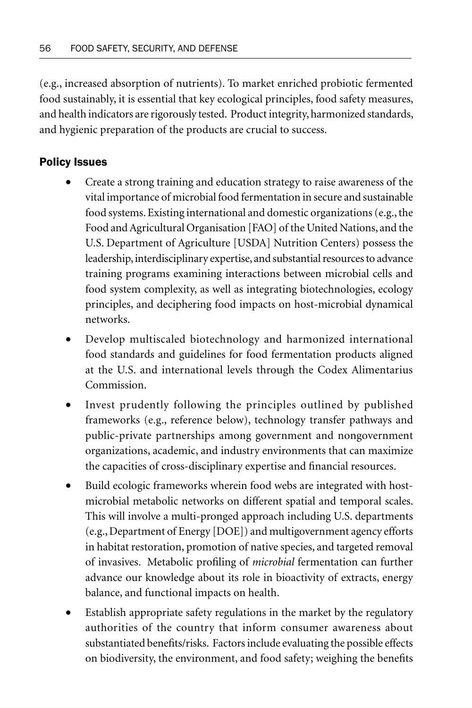(e.g., increased absorption of nutrients). To market enriched probiotic fermented food sustainably, it is essential that key ecological principles, food safety measures, and health indicators are rigorously tested. Product integrity, harmonized standards, and hygienic preparation of the products are crucial to success.

# Policy Issues

- Create a strong training and education strategy to raise awareness of the vital importance of microbial food fermentation in secure and sustainable food systems. Existing international and domestic organizations (e.g., the Food and Agricultural Organisation [FAO] of the United Nations, and the U.S. Department of Agriculture [USDA] Nutrition Centers) possess the leadership, interdisciplinary expertise, and substantial resources to advance training programs examining interactions between microbial cells and food system complexity, as well as integrating biotechnologies, ecology principles, and deciphering food impacts on host-microbial dynamical networks.
- Develop multiscaled biotechnology and harmonized international food standards and guidelines for food fermentation products aligned at the U.S. and international levels through the Codex Alimentarius Commission.
- Invest prudently following the principles outlined by published frameworks (e.g., reference below), technology transfer pathways and public-private partnerships among government and nongovernment organizations, academic, and industry environments that can maximize the capacities of cross-disciplinary expertise and financial resources.
- Build ecologic frameworks wherein food webs are integrated with hostmicrobial metabolic networks on different spatial and temporal scales. This will involve a multi-pronged approach including U.S. departments (e.g., Department of Energy [DOE]) and multigovernment agency efforts in habitat restoration, promotion of native species, and targeted removal of invasives. Metabolic profiling of *microbial* fermentation can further advance our knowledge about its role in bioactivity of extracts, energy balance, and functional impacts on health.
- Establish appropriate safety regulations in the market by the regulatory authorities of the country that inform consumer awareness about substantiated benefits/risks. Factors include evaluating the possible effects on biodiversity, the environment, and food safety; weighing the benefits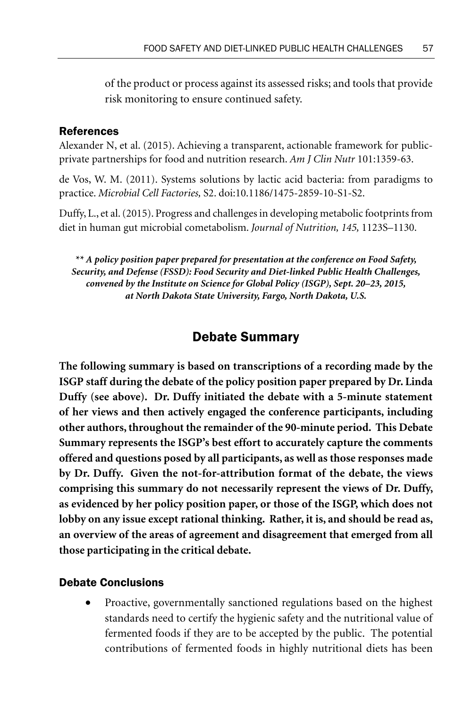of the product or process against its assessed risks; and tools that provide risk monitoring to ensure continued safety.

### References

Alexander N, et al. (2015). Achieving a transparent, actionable framework for publicprivate partnerships for food and nutrition research. *Am J Clin Nutr* 101:1359-63.

de Vos, W. M. (2011). Systems solutions by lactic acid bacteria: from paradigms to practice. *Microbial Cell Factories,* S2. doi:10.1186/1475-2859-10-S1-S2.

Duffy, L., et al. (2015). Progress and challenges in developing metabolic footprints from diet in human gut microbial cometabolism. *Journal of Nutrition, 145,* 1123S–1130.

*\*\* A policy position paper prepared for presentation at the conference on Food Safety, Security, and Defense (FSSD): Food Security and Diet-linked Public Health Challenges, convened by the Institute on Science for Global Policy (ISGP), Sept. 20–23, 2015, at North Dakota State University, Fargo, North Dakota, U.S.*

# Debate Summary

**The following summary is based on transcriptions of a recording made by the ISGP staff during the debate of the policy position paper prepared by Dr. Linda Duffy (see above). Dr. Duffy initiated the debate with a 5-minute statement of her views and then actively engaged the conference participants, including other authors, throughout the remainder of the 90-minute period. This Debate Summary represents the ISGP's best effort to accurately capture the comments offered and questions posed by all participants, as well as those responses made by Dr. Duffy. Given the not-for-attribution format of the debate, the views comprising this summary do not necessarily represent the views of Dr. Duffy, as evidenced by her policy position paper, or those of the ISGP, which does not lobby on any issue except rational thinking. Rather, it is, and should be read as, an overview of the areas of agreement and disagreement that emerged from all those participating in the critical debate.**

### Debate Conclusions

• Proactive, governmentally sanctioned regulations based on the highest standards need to certify the hygienic safety and the nutritional value of fermented foods if they are to be accepted by the public. The potential contributions of fermented foods in highly nutritional diets has been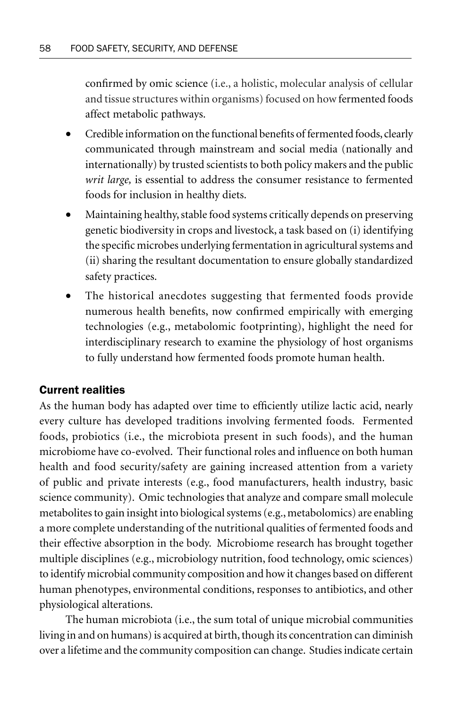confirmed by omic science (i.e., a holistic, molecular analysis of cellular and tissue structures within organisms) focused on how fermented foods affect metabolic pathways.

- Credible information on the functional benefits of fermented foods, clearly communicated through mainstream and social media (nationally and internationally) by trusted scientists to both policy makers and the public *writ large,* is essential to address the consumer resistance to fermented foods for inclusion in healthy diets.
- Maintaining healthy, stable food systems critically depends on preserving genetic biodiversity in crops and livestock, a task based on (i) identifying the specific microbes underlying fermentation in agricultural systems and (ii) sharing the resultant documentation to ensure globally standardized safety practices.
- The historical anecdotes suggesting that fermented foods provide numerous health benefits, now confirmed empirically with emerging technologies (e.g., metabolomic footprinting), highlight the need for interdisciplinary research to examine the physiology of host organisms to fully understand how fermented foods promote human health.

# Current realities

As the human body has adapted over time to efficiently utilize lactic acid, nearly every culture has developed traditions involving fermented foods. Fermented foods, probiotics (i.e., the microbiota present in such foods), and the human microbiome have co-evolved. Their functional roles and influence on both human health and food security/safety are gaining increased attention from a variety of public and private interests (e.g., food manufacturers, health industry, basic science community). Omic technologies that analyze and compare small molecule metabolites to gain insight into biological systems (e.g., metabolomics) are enabling a more complete understanding of the nutritional qualities of fermented foods and their effective absorption in the body. Microbiome research has brought together multiple disciplines (e.g., microbiology nutrition, food technology, omic sciences) to identify microbial community composition and how it changes based on different human phenotypes, environmental conditions, responses to antibiotics, and other physiological alterations.

The human microbiota (i.e., the sum total of unique microbial communities living in and on humans) is acquired at birth, though its concentration can diminish over a lifetime and the community composition can change. Studies indicate certain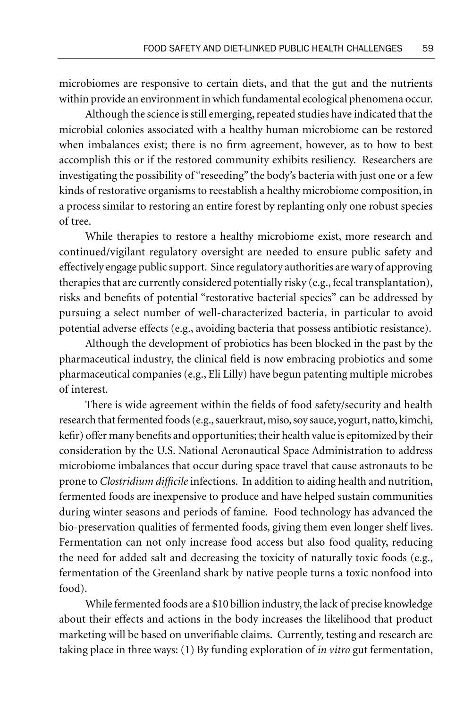microbiomes are responsive to certain diets, and that the gut and the nutrients within provide an environment in which fundamental ecological phenomena occur.

Although the science is still emerging, repeated studies have indicated that the microbial colonies associated with a healthy human microbiome can be restored when imbalances exist; there is no firm agreement, however, as to how to best accomplish this or if the restored community exhibits resiliency. Researchers are investigating the possibility of "reseeding" the body's bacteria with just one or a few kinds of restorative organisms to reestablish a healthy microbiome composition, in a process similar to restoring an entire forest by replanting only one robust species of tree.

While therapies to restore a healthy microbiome exist, more research and continued/vigilant regulatory oversight are needed to ensure public safety and effectively engage public support. Since regulatory authorities are wary of approving therapies that are currently considered potentially risky (e.g., fecal transplantation), risks and benefits of potential "restorative bacterial species" can be addressed by pursuing a select number of well-characterized bacteria, in particular to avoid potential adverse effects (e.g., avoiding bacteria that possess antibiotic resistance).

Although the development of probiotics has been blocked in the past by the pharmaceutical industry, the clinical field is now embracing probiotics and some pharmaceutical companies (e.g., Eli Lilly) have begun patenting multiple microbes of interest.

There is wide agreement within the fields of food safety/security and health research that fermented foods (e.g., sauerkraut, miso, soy sauce, yogurt, natto, kimchi, kefir) offer many benefits and opportunities; their health value is epitomized by their consideration by the U.S. National Aeronautical Space Administration to address microbiome imbalances that occur during space travel that cause astronauts to be prone to *Clostridium difficile* infections. In addition to aiding health and nutrition, fermented foods are inexpensive to produce and have helped sustain communities during winter seasons and periods of famine. Food technology has advanced the bio-preservation qualities of fermented foods, giving them even longer shelf lives. Fermentation can not only increase food access but also food quality, reducing the need for added salt and decreasing the toxicity of naturally toxic foods (e.g., fermentation of the Greenland shark by native people turns a toxic nonfood into food).

While fermented foods are a \$10 billion industry, the lack of precise knowledge about their effects and actions in the body increases the likelihood that product marketing will be based on unverifiable claims. Currently, testing and research are taking place in three ways: (1) By funding exploration of *in vitro* gut fermentation,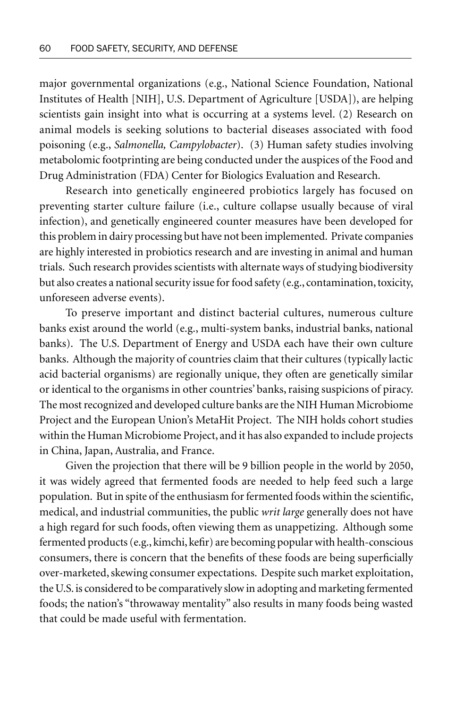major governmental organizations (e.g., National Science Foundation, National Institutes of Health [NIH], U.S. Department of Agriculture [USDA]), are helping scientists gain insight into what is occurring at a systems level. (2) Research on animal models is seeking solutions to bacterial diseases associated with food poisoning (e.g., *Salmonella, Campylobacter*). (3) Human safety studies involving metabolomic footprinting are being conducted under the auspices of the Food and Drug Administration (FDA) Center for Biologics Evaluation and Research.

Research into genetically engineered probiotics largely has focused on preventing starter culture failure (i.e., culture collapse usually because of viral infection), and genetically engineered counter measures have been developed for this problem in dairy processing but have not been implemented. Private companies are highly interested in probiotics research and are investing in animal and human trials. Such research provides scientists with alternate ways of studying biodiversity but also creates a national security issue for food safety (e.g., contamination, toxicity, unforeseen adverse events).

To preserve important and distinct bacterial cultures, numerous culture banks exist around the world (e.g., multi-system banks, industrial banks, national banks). The U.S. Department of Energy and USDA each have their own culture banks. Although the majority of countries claim that their cultures (typically lactic acid bacterial organisms) are regionally unique, they often are genetically similar or identical to the organisms in other countries' banks, raising suspicions of piracy. The most recognized and developed culture banks are the NIH Human Microbiome Project and the European Union's MetaHit Project. The NIH holds cohort studies within the Human Microbiome Project, and it has also expanded to include projects in China, Japan, Australia, and France.

Given the projection that there will be 9 billion people in the world by 2050, it was widely agreed that fermented foods are needed to help feed such a large population. But in spite of the enthusiasm for fermented foods within the scientific, medical, and industrial communities, the public *writ large* generally does not have a high regard for such foods, often viewing them as unappetizing. Although some fermented products (e.g., kimchi, kefir) are becoming popular with health-conscious consumers, there is concern that the benefits of these foods are being superficially over-marketed, skewing consumer expectations. Despite such market exploitation, the U.S. is considered to be comparatively slow in adopting and marketing fermented foods; the nation's "throwaway mentality" also results in many foods being wasted that could be made useful with fermentation.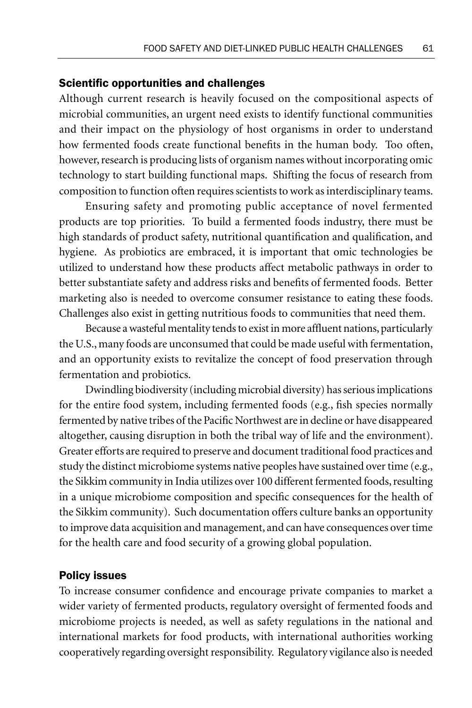#### Scientific opportunities and challenges

Although current research is heavily focused on the compositional aspects of microbial communities, an urgent need exists to identify functional communities and their impact on the physiology of host organisms in order to understand how fermented foods create functional benefits in the human body. Too often, however, research is producing lists of organism names without incorporating omic technology to start building functional maps. Shifting the focus of research from composition to function often requires scientists to work as interdisciplinary teams.

Ensuring safety and promoting public acceptance of novel fermented products are top priorities. To build a fermented foods industry, there must be high standards of product safety, nutritional quantification and qualification, and hygiene. As probiotics are embraced, it is important that omic technologies be utilized to understand how these products affect metabolic pathways in order to better substantiate safety and address risks and benefits of fermented foods. Better marketing also is needed to overcome consumer resistance to eating these foods. Challenges also exist in getting nutritious foods to communities that need them.

Because a wasteful mentality tends to exist in more affluent nations, particularly the U.S., many foods are unconsumed that could be made useful with fermentation, and an opportunity exists to revitalize the concept of food preservation through fermentation and probiotics.

Dwindling biodiversity (including microbial diversity) has serious implications for the entire food system, including fermented foods (e.g., fish species normally fermented by native tribes of the Pacific Northwest are in decline or have disappeared altogether, causing disruption in both the tribal way of life and the environment). Greater efforts are required to preserve and document traditional food practices and study the distinct microbiome systems native peoples have sustained over time (e.g., the Sikkim community in India utilizes over 100 different fermented foods, resulting in a unique microbiome composition and specific consequences for the health of the Sikkim community). Such documentation offers culture banks an opportunity to improve data acquisition and management, and can have consequences over time for the health care and food security of a growing global population.

#### Policy issues

To increase consumer confidence and encourage private companies to market a wider variety of fermented products, regulatory oversight of fermented foods and microbiome projects is needed, as well as safety regulations in the national and international markets for food products, with international authorities working cooperatively regarding oversight responsibility. Regulatory vigilance also is needed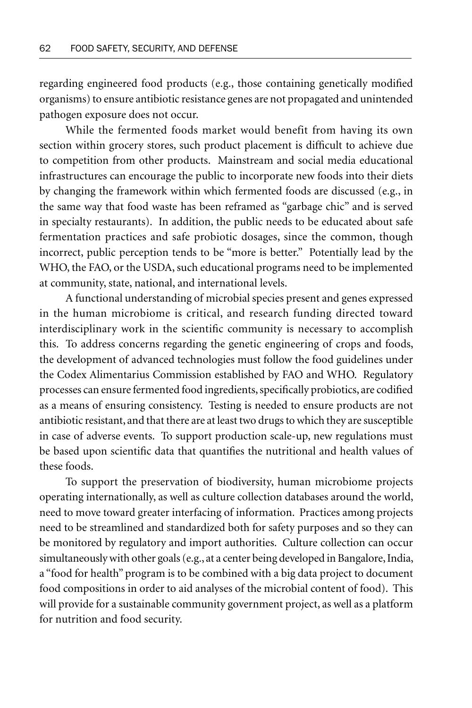regarding engineered food products (e.g., those containing genetically modified organisms) to ensure antibiotic resistance genes are not propagated and unintended pathogen exposure does not occur.

While the fermented foods market would benefit from having its own section within grocery stores, such product placement is difficult to achieve due to competition from other products. Mainstream and social media educational infrastructures can encourage the public to incorporate new foods into their diets by changing the framework within which fermented foods are discussed (e.g., in the same way that food waste has been reframed as "garbage chic" and is served in specialty restaurants). In addition, the public needs to be educated about safe fermentation practices and safe probiotic dosages, since the common, though incorrect, public perception tends to be "more is better." Potentially lead by the WHO, the FAO, or the USDA, such educational programs need to be implemented at community, state, national, and international levels.

A functional understanding of microbial species present and genes expressed in the human microbiome is critical, and research funding directed toward interdisciplinary work in the scientific community is necessary to accomplish this. To address concerns regarding the genetic engineering of crops and foods, the development of advanced technologies must follow the food guidelines under the Codex Alimentarius Commission established by FAO and WHO. Regulatory processes can ensure fermented food ingredients, specifically probiotics, are codified as a means of ensuring consistency. Testing is needed to ensure products are not antibiotic resistant, and that there are at least two drugs to which they are susceptible in case of adverse events. To support production scale-up, new regulations must be based upon scientific data that quantifies the nutritional and health values of these foods.

To support the preservation of biodiversity, human microbiome projects operating internationally, as well as culture collection databases around the world, need to move toward greater interfacing of information. Practices among projects need to be streamlined and standardized both for safety purposes and so they can be monitored by regulatory and import authorities. Culture collection can occur simultaneously with other goals (e.g., at a center being developed in Bangalore, India, a "food for health" program is to be combined with a big data project to document food compositions in order to aid analyses of the microbial content of food). This will provide for a sustainable community government project, as well as a platform for nutrition and food security.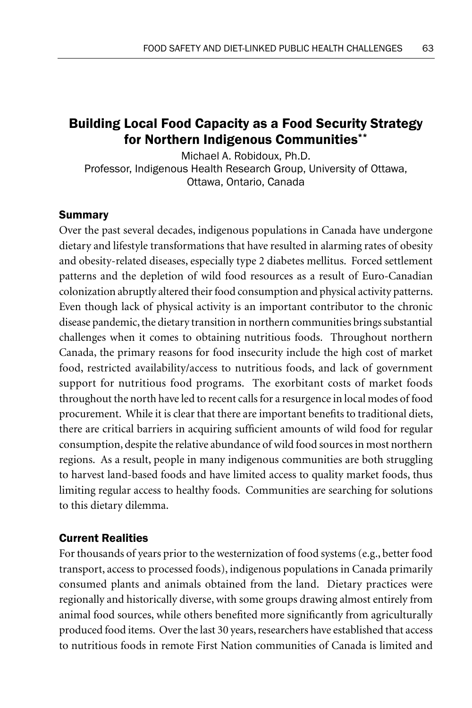# Building Local Food Capacity as a Food Security Strategy for Northern Indigenous Communities\*\*

Michael A. Robidoux, Ph.D. Professor, Indigenous Health Research Group, University of Ottawa, Ottawa, Ontario, Canada

# Summary

Over the past several decades, indigenous populations in Canada have undergone dietary and lifestyle transformations that have resulted in alarming rates of obesity and obesity-related diseases, especially type 2 diabetes mellitus. Forced settlement patterns and the depletion of wild food resources as a result of Euro-Canadian colonization abruptly altered their food consumption and physical activity patterns. Even though lack of physical activity is an important contributor to the chronic disease pandemic, the dietary transition in northern communities brings substantial challenges when it comes to obtaining nutritious foods. Throughout northern Canada, the primary reasons for food insecurity include the high cost of market food, restricted availability/access to nutritious foods, and lack of government support for nutritious food programs. The exorbitant costs of market foods throughout the north have led to recent calls for a resurgence in local modes of food procurement. While it is clear that there are important benefits to traditional diets, there are critical barriers in acquiring sufficient amounts of wild food for regular consumption, despite the relative abundance of wild food sources in most northern regions. As a result, people in many indigenous communities are both struggling to harvest land-based foods and have limited access to quality market foods, thus limiting regular access to healthy foods. Communities are searching for solutions to this dietary dilemma.

# Current Realities

For thousands of years prior to the westernization of food systems (e.g., better food transport, access to processed foods), indigenous populations in Canada primarily consumed plants and animals obtained from the land. Dietary practices were regionally and historically diverse, with some groups drawing almost entirely from animal food sources, while others benefited more significantly from agriculturally produced food items. Over the last 30 years, researchers have established that access to nutritious foods in remote First Nation communities of Canada is limited and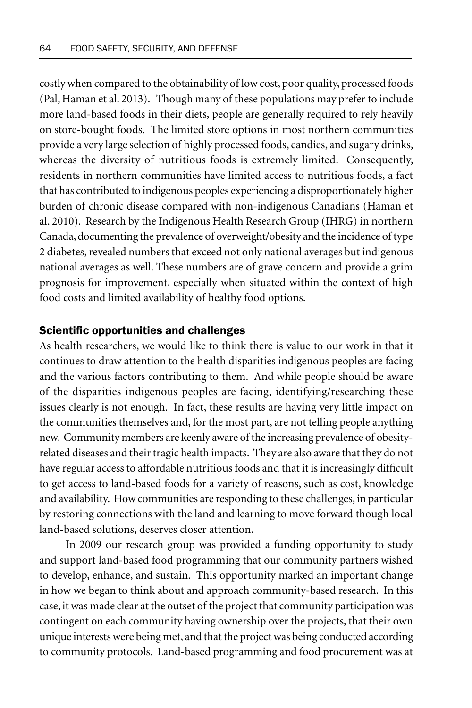costly when compared to the obtainability of low cost, poor quality, processed foods (Pal, Haman et al. 2013). Though many of these populations may prefer to include more land-based foods in their diets, people are generally required to rely heavily on store-bought foods. The limited store options in most northern communities provide a very large selection of highly processed foods, candies, and sugary drinks, whereas the diversity of nutritious foods is extremely limited. Consequently, residents in northern communities have limited access to nutritious foods, a fact that has contributed to indigenous peoples experiencing a disproportionately higher burden of chronic disease compared with non-indigenous Canadians (Haman et al. 2010). Research by the Indigenous Health Research Group (IHRG) in northern Canada, documenting the prevalence of overweight/obesity and the incidence of type 2 diabetes, revealed numbers that exceed not only national averages but indigenous national averages as well. These numbers are of grave concern and provide a grim prognosis for improvement, especially when situated within the context of high food costs and limited availability of healthy food options.

# Scientific opportunities and challenges

As health researchers, we would like to think there is value to our work in that it continues to draw attention to the health disparities indigenous peoples are facing and the various factors contributing to them. And while people should be aware of the disparities indigenous peoples are facing, identifying/researching these issues clearly is not enough. In fact, these results are having very little impact on the communities themselves and, for the most part, are not telling people anything new. Community members are keenly aware of the increasing prevalence of obesityrelated diseases and their tragic health impacts. They are also aware that they do not have regular access to affordable nutritious foods and that it is increasingly difficult to get access to land-based foods for a variety of reasons, such as cost, knowledge and availability. How communities are responding to these challenges, in particular by restoring connections with the land and learning to move forward though local land-based solutions, deserves closer attention.

In 2009 our research group was provided a funding opportunity to study and support land-based food programming that our community partners wished to develop, enhance, and sustain. This opportunity marked an important change in how we began to think about and approach community-based research. In this case, it was made clear at the outset of the project that community participation was contingent on each community having ownership over the projects, that their own unique interests were being met, and that the project was being conducted according to community protocols. Land-based programming and food procurement was at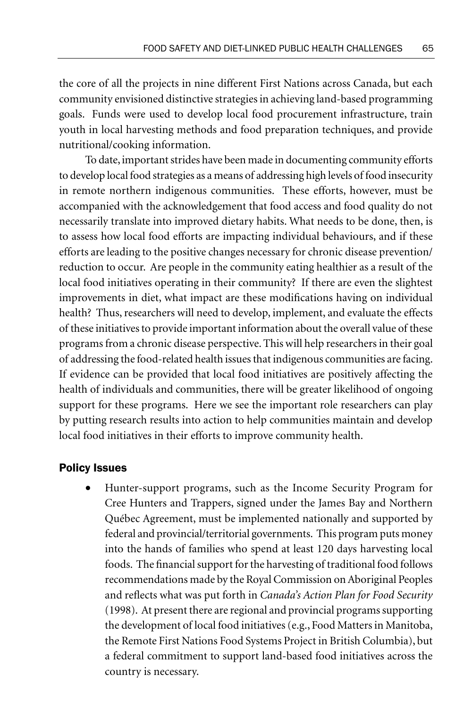the core of all the projects in nine different First Nations across Canada, but each community envisioned distinctive strategies in achieving land-based programming goals. Funds were used to develop local food procurement infrastructure, train youth in local harvesting methods and food preparation techniques, and provide nutritional/cooking information.

To date, important strides have been made in documenting community efforts to develop local food strategies as a means of addressing high levels of food insecurity in remote northern indigenous communities. These efforts, however, must be accompanied with the acknowledgement that food access and food quality do not necessarily translate into improved dietary habits. What needs to be done, then, is to assess how local food efforts are impacting individual behaviours, and if these efforts are leading to the positive changes necessary for chronic disease prevention/ reduction to occur. Are people in the community eating healthier as a result of the local food initiatives operating in their community? If there are even the slightest improvements in diet, what impact are these modifications having on individual health? Thus, researchers will need to develop, implement, and evaluate the effects of these initiatives to provide important information about the overall value of these programs from a chronic disease perspective. This will help researchers in their goal of addressing the food-related health issues that indigenous communities are facing. If evidence can be provided that local food initiatives are positively affecting the health of individuals and communities, there will be greater likelihood of ongoing support for these programs. Here we see the important role researchers can play by putting research results into action to help communities maintain and develop local food initiatives in their efforts to improve community health.

# Policy Issues

• Hunter-support programs, such as the Income Security Program for Cree Hunters and Trappers, signed under the James Bay and Northern Québec Agreement, must be implemented nationally and supported by federal and provincial/territorial governments. This program puts money into the hands of families who spend at least 120 days harvesting local foods. The financial support for the harvesting of traditional food follows recommendations made by the Royal Commission on Aboriginal Peoples and reflects what was put forth in *Canada's Action Plan for Food Security* (1998). At present there are regional and provincial programs supporting the development of local food initiatives (e.g., Food Matters in Manitoba, the Remote First Nations Food Systems Project in British Columbia), but a federal commitment to support land-based food initiatives across the country is necessary.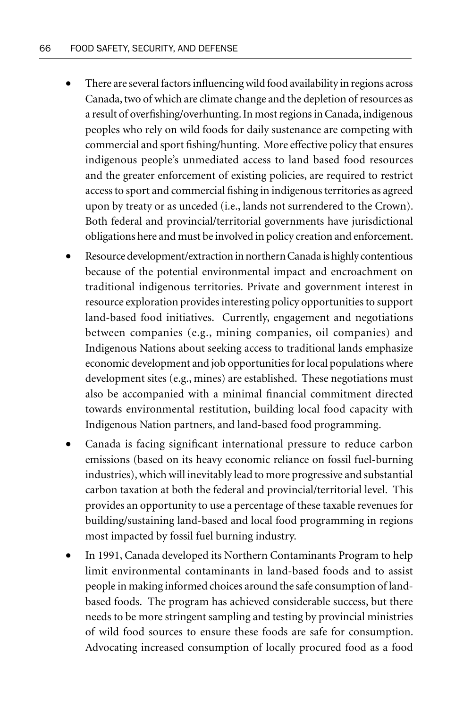- There are several factors influencing wild food availability in regions across Canada, two of which are climate change and the depletion of resources as a result of overfishing/overhunting. In most regions in Canada, indigenous peoples who rely on wild foods for daily sustenance are competing with commercial and sport fishing/hunting. More effective policy that ensures indigenous people's unmediated access to land based food resources and the greater enforcement of existing policies, are required to restrict access to sport and commercial fishing in indigenous territories as agreed upon by treaty or as unceded (i.e., lands not surrendered to the Crown). Both federal and provincial/territorial governments have jurisdictional obligations here and must be involved in policy creation and enforcement.
- Resource development/extraction in northern Canada is highly contentious because of the potential environmental impact and encroachment on traditional indigenous territories. Private and government interest in resource exploration provides interesting policy opportunities to support land-based food initiatives. Currently, engagement and negotiations between companies (e.g., mining companies, oil companies) and Indigenous Nations about seeking access to traditional lands emphasize economic development and job opportunities for local populations where development sites (e.g., mines) are established. These negotiations must also be accompanied with a minimal financial commitment directed towards environmental restitution, building local food capacity with Indigenous Nation partners, and land-based food programming.
- Canada is facing significant international pressure to reduce carbon emissions (based on its heavy economic reliance on fossil fuel-burning industries), which will inevitably lead to more progressive and substantial carbon taxation at both the federal and provincial/territorial level. This provides an opportunity to use a percentage of these taxable revenues for building/sustaining land-based and local food programming in regions most impacted by fossil fuel burning industry.
- In 1991, Canada developed its Northern Contaminants Program to help limit environmental contaminants in land-based foods and to assist people in making informed choices around the safe consumption of landbased foods. The program has achieved considerable success, but there needs to be more stringent sampling and testing by provincial ministries of wild food sources to ensure these foods are safe for consumption. Advocating increased consumption of locally procured food as a food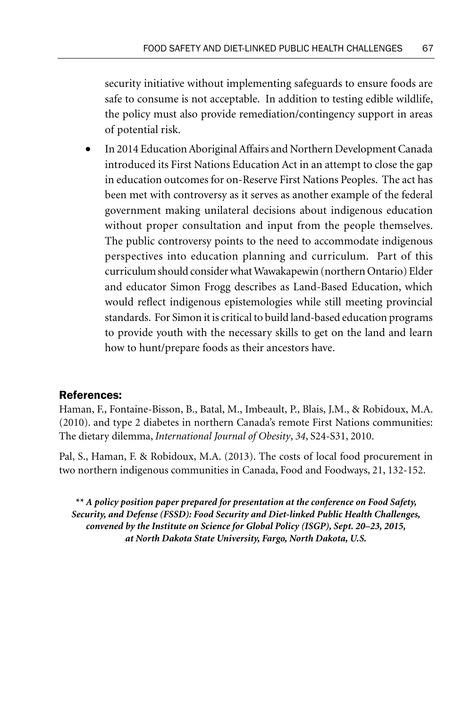security initiative without implementing safeguards to ensure foods are safe to consume is not acceptable. In addition to testing edible wildlife, the policy must also provide remediation/contingency support in areas of potential risk.

• In 2014 Education Aboriginal Affairs and Northern Development Canada introduced its First Nations Education Act in an attempt to close the gap in education outcomes for on-Reserve First Nations Peoples. The act has been met with controversy as it serves as another example of the federal government making unilateral decisions about indigenous education without proper consultation and input from the people themselves. The public controversy points to the need to accommodate indigenous perspectives into education planning and curriculum. Part of this curriculum should consider what Wawakapewin (northern Ontario) Elder and educator Simon Frogg describes as Land-Based Education, which would reflect indigenous epistemologies while still meeting provincial standards. For Simon it is critical to build land-based education programs to provide youth with the necessary skills to get on the land and learn how to hunt/prepare foods as their ancestors have.

# References:

Haman, F., Fontaine-Bisson, B., Batal, M., Imbeault, P., Blais, J.M., & Robidoux, M.A. (2010). and type 2 diabetes in northern Canada's remote First Nations communities: The dietary dilemma, *International Journal of Obesity*, *34*, S24-S31, 2010.

Pal, S., Haman, F. & Robidoux, M.A. (2013). The costs of local food procurement in two northern indigenous communities in Canada, Food and Foodways, 21, 132-152.

*\*\* A policy position paper prepared for presentation at the conference on Food Safety, Security, and Defense (FSSD): Food Security and Diet-linked Public Health Challenges, convened by the Institute on Science for Global Policy (ISGP), Sept. 20–23, 2015, at North Dakota State University, Fargo, North Dakota, U.S.*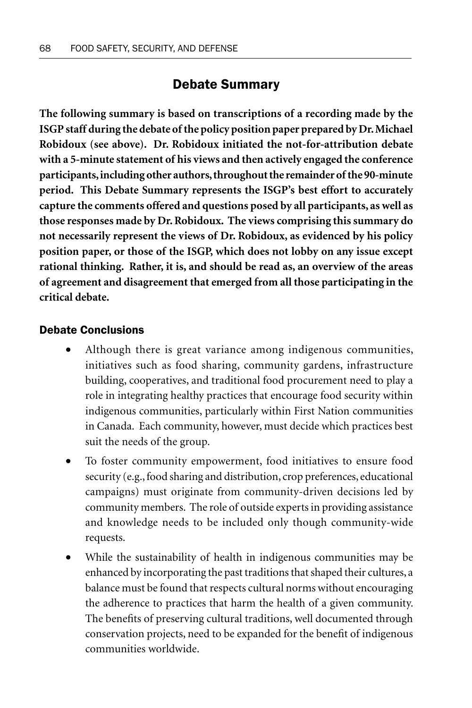# Debate Summary

**The following summary is based on transcriptions of a recording made by the ISGP staff during the debate of the policy position paper prepared by Dr. Michael Robidoux (see above). Dr. Robidoux initiated the not-for-attribution debate with a 5-minute statement of his views and then actively engaged the conference participants, including other authors, throughout the remainder of the 90-minute period. This Debate Summary represents the ISGP's best effort to accurately capture the comments offered and questions posed by all participants, as well as those responses made by Dr. Robidoux. The views comprising this summary do not necessarily represent the views of Dr. Robidoux, as evidenced by his policy position paper, or those of the ISGP, which does not lobby on any issue except rational thinking. Rather, it is, and should be read as, an overview of the areas of agreement and disagreement that emerged from all those participating in the critical debate.**

## Debate Conclusions

- Although there is great variance among indigenous communities, initiatives such as food sharing, community gardens, infrastructure building, cooperatives, and traditional food procurement need to play a role in integrating healthy practices that encourage food security within indigenous communities, particularly within First Nation communities in Canada. Each community, however, must decide which practices best suit the needs of the group.
- To foster community empowerment, food initiatives to ensure food security (e.g., food sharing and distribution, crop preferences, educational campaigns) must originate from community-driven decisions led by community members. The role of outside experts in providing assistance and knowledge needs to be included only though community-wide requests.
- While the sustainability of health in indigenous communities may be enhanced by incorporating the past traditions that shaped their cultures, a balance must be found that respects cultural norms without encouraging the adherence to practices that harm the health of a given community. The benefits of preserving cultural traditions, well documented through conservation projects, need to be expanded for the benefit of indigenous communities worldwide.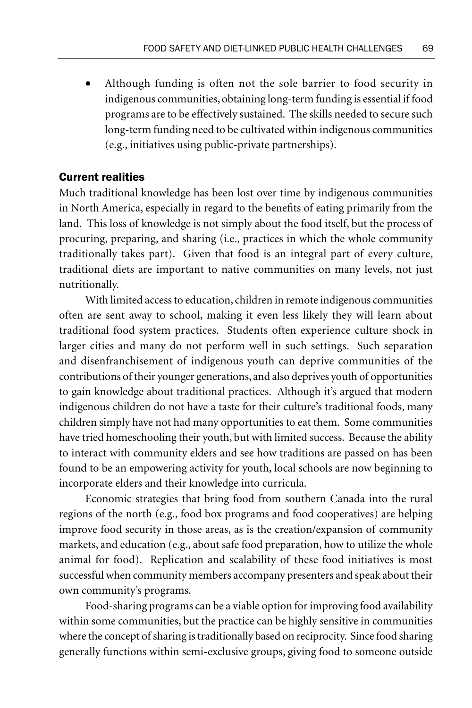Although funding is often not the sole barrier to food security in indigenous communities, obtaining long-term funding is essential if food programs are to be effectively sustained. The skills needed to secure such long-term funding need to be cultivated within indigenous communities (e.g., initiatives using public-private partnerships).

#### Current realities

Much traditional knowledge has been lost over time by indigenous communities in North America, especially in regard to the benefits of eating primarily from the land. This loss of knowledge is not simply about the food itself, but the process of procuring, preparing, and sharing (i.e., practices in which the whole community traditionally takes part). Given that food is an integral part of every culture, traditional diets are important to native communities on many levels, not just nutritionally.

With limited access to education, children in remote indigenous communities often are sent away to school, making it even less likely they will learn about traditional food system practices. Students often experience culture shock in larger cities and many do not perform well in such settings. Such separation and disenfranchisement of indigenous youth can deprive communities of the contributions of their younger generations, and also deprives youth of opportunities to gain knowledge about traditional practices. Although it's argued that modern indigenous children do not have a taste for their culture's traditional foods, many children simply have not had many opportunities to eat them. Some communities have tried homeschooling their youth, but with limited success. Because the ability to interact with community elders and see how traditions are passed on has been found to be an empowering activity for youth, local schools are now beginning to incorporate elders and their knowledge into curricula.

Economic strategies that bring food from southern Canada into the rural regions of the north (e.g., food box programs and food cooperatives) are helping improve food security in those areas, as is the creation/expansion of community markets, and education (e.g., about safe food preparation, how to utilize the whole animal for food). Replication and scalability of these food initiatives is most successful when community members accompany presenters and speak about their own community's programs.

Food-sharing programs can be a viable option for improving food availability within some communities, but the practice can be highly sensitive in communities where the concept of sharing is traditionally based on reciprocity. Since food sharing generally functions within semi-exclusive groups, giving food to someone outside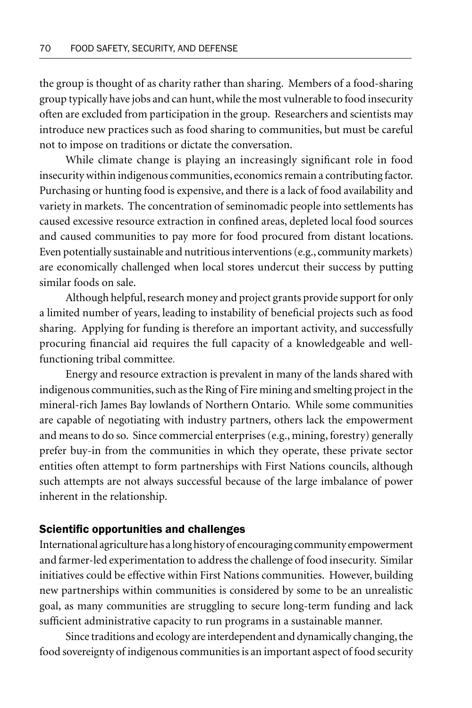the group is thought of as charity rather than sharing. Members of a food-sharing group typically have jobs and can hunt, while the most vulnerable to food insecurity often are excluded from participation in the group. Researchers and scientists may introduce new practices such as food sharing to communities, but must be careful not to impose on traditions or dictate the conversation.

While climate change is playing an increasingly significant role in food insecurity within indigenous communities, economics remain a contributing factor. Purchasing or hunting food is expensive, and there is a lack of food availability and variety in markets. The concentration of seminomadic people into settlements has caused excessive resource extraction in confined areas, depleted local food sources and caused communities to pay more for food procured from distant locations. Even potentially sustainable and nutritious interventions (e.g., community markets) are economically challenged when local stores undercut their success by putting similar foods on sale.

Although helpful, research money and project grants provide support for only a limited number of years, leading to instability of beneficial projects such as food sharing. Applying for funding is therefore an important activity, and successfully procuring financial aid requires the full capacity of a knowledgeable and wellfunctioning tribal committee.

Energy and resource extraction is prevalent in many of the lands shared with indigenous communities, such as the Ring of Fire mining and smelting project in the mineral-rich James Bay lowlands of Northern Ontario. While some communities are capable of negotiating with industry partners, others lack the empowerment and means to do so. Since commercial enterprises (e.g., mining, forestry) generally prefer buy-in from the communities in which they operate, these private sector entities often attempt to form partnerships with First Nations councils, although such attempts are not always successful because of the large imbalance of power inherent in the relationship.

#### Scientific opportunities and challenges

International agriculture has a long history of encouraging community empowerment and farmer-led experimentation to address the challenge of food insecurity. Similar initiatives could be effective within First Nations communities. However, building new partnerships within communities is considered by some to be an unrealistic goal, as many communities are struggling to secure long-term funding and lack sufficient administrative capacity to run programs in a sustainable manner.

Since traditions and ecology are interdependent and dynamically changing, the food sovereignty of indigenous communities is an important aspect of food security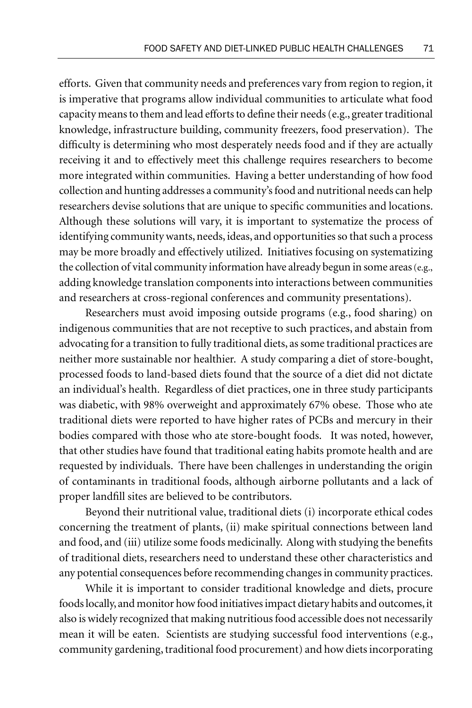efforts. Given that community needs and preferences vary from region to region, it is imperative that programs allow individual communities to articulate what food capacity means to them and lead efforts to define their needs (e.g., greater traditional knowledge, infrastructure building, community freezers, food preservation). The difficulty is determining who most desperately needs food and if they are actually receiving it and to effectively meet this challenge requires researchers to become more integrated within communities. Having a better understanding of how food collection and hunting addresses a community's food and nutritional needs can help researchers devise solutions that are unique to specific communities and locations. Although these solutions will vary, it is important to systematize the process of identifying community wants, needs, ideas, and opportunities so that such a process may be more broadly and effectively utilized. Initiatives focusing on systematizing the collection of vital community information have already begun in some areas (e.g., adding knowledge translation components into interactions between communities and researchers at cross-regional conferences and community presentations).

Researchers must avoid imposing outside programs (e.g., food sharing) on indigenous communities that are not receptive to such practices, and abstain from advocating for a transition to fully traditional diets, as some traditional practices are neither more sustainable nor healthier. A study comparing a diet of store-bought, processed foods to land-based diets found that the source of a diet did not dictate an individual's health. Regardless of diet practices, one in three study participants was diabetic, with 98% overweight and approximately 67% obese. Those who ate traditional diets were reported to have higher rates of PCBs and mercury in their bodies compared with those who ate store-bought foods. It was noted, however, that other studies have found that traditional eating habits promote health and are requested by individuals. There have been challenges in understanding the origin of contaminants in traditional foods, although airborne pollutants and a lack of proper landfill sites are believed to be contributors.

Beyond their nutritional value, traditional diets (i) incorporate ethical codes concerning the treatment of plants, (ii) make spiritual connections between land and food, and (iii) utilize some foods medicinally. Along with studying the benefits of traditional diets, researchers need to understand these other characteristics and any potential consequences before recommending changes in community practices.

While it is important to consider traditional knowledge and diets, procure foods locally, and monitor how food initiatives impact dietary habits and outcomes, it also is widely recognized that making nutritious food accessible does not necessarily mean it will be eaten. Scientists are studying successful food interventions (e.g., community gardening, traditional food procurement) and how diets incorporating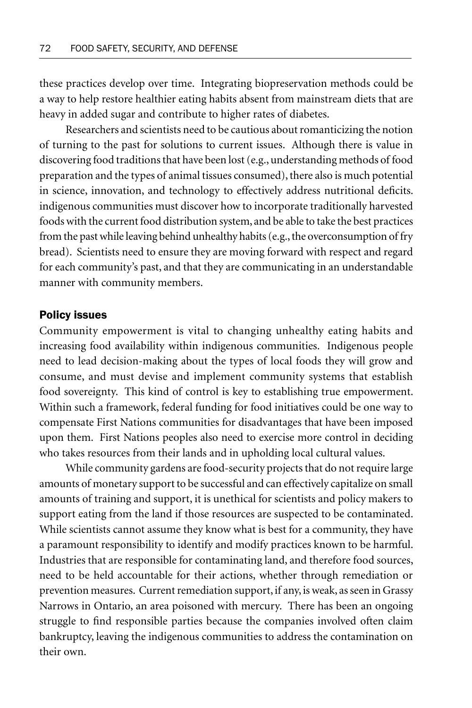these practices develop over time. Integrating biopreservation methods could be a way to help restore healthier eating habits absent from mainstream diets that are heavy in added sugar and contribute to higher rates of diabetes.

Researchers and scientists need to be cautious about romanticizing the notion of turning to the past for solutions to current issues. Although there is value in discovering food traditions that have been lost (e.g., understanding methods of food preparation and the types of animal tissues consumed), there also is much potential in science, innovation, and technology to effectively address nutritional deficits. indigenous communities must discover how to incorporate traditionally harvested foods with the current food distribution system, and be able to take the best practices from the past while leaving behind unhealthy habits (e.g., the overconsumption of fry bread). Scientists need to ensure they are moving forward with respect and regard for each community's past, and that they are communicating in an understandable manner with community members.

#### Policy issues

Community empowerment is vital to changing unhealthy eating habits and increasing food availability within indigenous communities. Indigenous people need to lead decision-making about the types of local foods they will grow and consume, and must devise and implement community systems that establish food sovereignty. This kind of control is key to establishing true empowerment. Within such a framework, federal funding for food initiatives could be one way to compensate First Nations communities for disadvantages that have been imposed upon them. First Nations peoples also need to exercise more control in deciding who takes resources from their lands and in upholding local cultural values.

While community gardens are food-security projects that do not require large amounts of monetary support to be successful and can effectively capitalize on small amounts of training and support, it is unethical for scientists and policy makers to support eating from the land if those resources are suspected to be contaminated. While scientists cannot assume they know what is best for a community, they have a paramount responsibility to identify and modify practices known to be harmful. Industries that are responsible for contaminating land, and therefore food sources, need to be held accountable for their actions, whether through remediation or prevention measures. Current remediation support, if any, is weak, as seen in Grassy Narrows in Ontario, an area poisoned with mercury. There has been an ongoing struggle to find responsible parties because the companies involved often claim bankruptcy, leaving the indigenous communities to address the contamination on their own.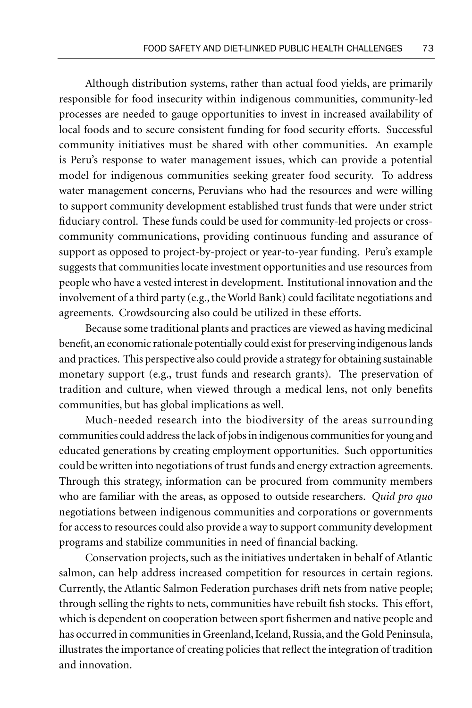Although distribution systems, rather than actual food yields, are primarily responsible for food insecurity within indigenous communities, community-led processes are needed to gauge opportunities to invest in increased availability of local foods and to secure consistent funding for food security efforts. Successful community initiatives must be shared with other communities. An example is Peru's response to water management issues, which can provide a potential model for indigenous communities seeking greater food security. To address water management concerns, Peruvians who had the resources and were willing to support community development established trust funds that were under strict fiduciary control. These funds could be used for community-led projects or crosscommunity communications, providing continuous funding and assurance of support as opposed to project-by-project or year-to-year funding. Peru's example suggests that communities locate investment opportunities and use resources from people who have a vested interest in development. Institutional innovation and the involvement of a third party (e.g., the World Bank) could facilitate negotiations and agreements. Crowdsourcing also could be utilized in these efforts.

Because some traditional plants and practices are viewed as having medicinal benefit, an economic rationale potentially could exist for preserving indigenous lands and practices. This perspective also could provide a strategy for obtaining sustainable monetary support (e.g., trust funds and research grants). The preservation of tradition and culture, when viewed through a medical lens, not only benefits communities, but has global implications as well.

Much-needed research into the biodiversity of the areas surrounding communities could address the lack of jobs in indigenous communities for young and educated generations by creating employment opportunities. Such opportunities could be written into negotiations of trust funds and energy extraction agreements. Through this strategy, information can be procured from community members who are familiar with the areas, as opposed to outside researchers. *Quid pro quo*  negotiations between indigenous communities and corporations or governments for access to resources could also provide a way to support community development programs and stabilize communities in need of financial backing.

Conservation projects, such as the initiatives undertaken in behalf of Atlantic salmon, can help address increased competition for resources in certain regions. Currently, the Atlantic Salmon Federation purchases drift nets from native people; through selling the rights to nets, communities have rebuilt fish stocks. This effort, which is dependent on cooperation between sport fishermen and native people and has occurred in communities in Greenland, Iceland, Russia, and the Gold Peninsula, illustrates the importance of creating policies that reflect the integration of tradition and innovation.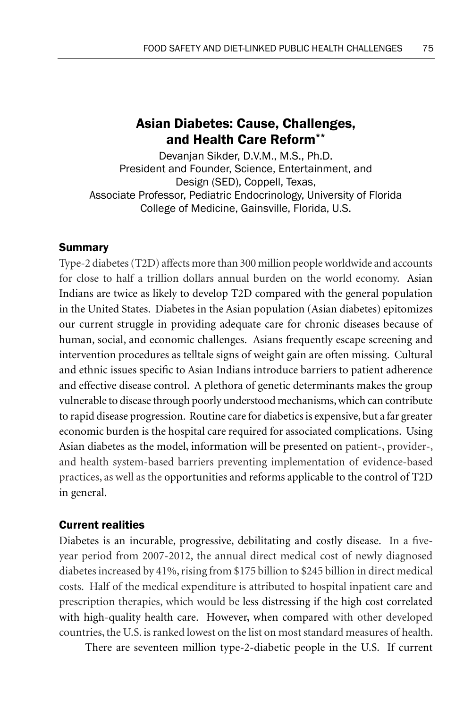# Asian Diabetes: Cause, Challenges, and Health Care Reform\*\*

Devanjan Sikder, D.V.M., M.S., Ph.D. President and Founder, Science, Entertainment, and Design (SED), Coppell, Texas, Associate Professor, Pediatric Endocrinology, University of Florida College of Medicine, Gainsville, Florida, U.S.

## Summary

Type-2 diabetes (T2D) affects more than 300 million people worldwide and accounts for close to half a trillion dollars annual burden on the world economy. Asian Indians are twice as likely to develop T2D compared with the general population in the United States. Diabetes in the Asian population (Asian diabetes) epitomizes our current struggle in providing adequate care for chronic diseases because of human, social, and economic challenges. Asians frequently escape screening and intervention procedures as telltale signs of weight gain are often missing. Cultural and ethnic issues specific to Asian Indians introduce barriers to patient adherence and effective disease control. A plethora of genetic determinants makes the group vulnerable to disease through poorly understood mechanisms, which can contribute to rapid disease progression. Routine care for diabetics is expensive, but a far greater economic burden is the hospital care required for associated complications. Using Asian diabetes as the model, information will be presented on patient-, provider-, and health system-based barriers preventing implementation of evidence-based practices, as well as the opportunities and reforms applicable to the control of T2D in general.

# Current realities

Diabetes is an incurable, progressive, debilitating and costly disease. In a fiveyear period from 2007-2012, the annual direct medical cost of newly diagnosed diabetes increased by 41%, rising from \$175 billion to \$245 billion in direct medical costs. Half of the medical expenditure is attributed to hospital inpatient care and prescription therapies, which would be less distressing if the high cost correlated with high-quality health care. However, when compared with other developed countries, the U.S. is ranked lowest on the list on most standard measures of health.

There are seventeen million type-2-diabetic people in the U.S. If current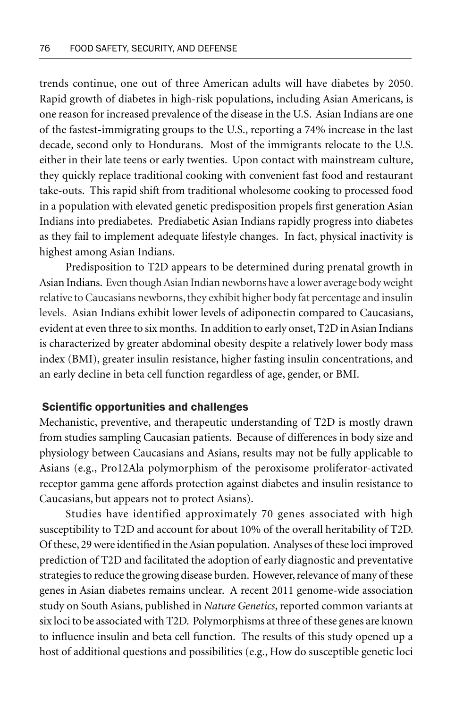trends continue, one out of three American adults will have diabetes by 2050. Rapid growth of diabetes in high-risk populations, including Asian Americans, is one reason for increased prevalence of the disease in the U.S. Asian Indians are one of the fastest-immigrating groups to the U.S., reporting a 74% increase in the last decade, second only to Hondurans. Most of the immigrants relocate to the U.S. either in their late teens or early twenties. Upon contact with mainstream culture, they quickly replace traditional cooking with convenient fast food and restaurant take-outs. This rapid shift from traditional wholesome cooking to processed food in a population with elevated genetic predisposition propels first generation Asian Indians into prediabetes. Prediabetic Asian Indians rapidly progress into diabetes as they fail to implement adequate lifestyle changes. In fact, physical inactivity is highest among Asian Indians.

Predisposition to T2D appears to be determined during prenatal growth in Asian Indians. Even though Asian Indian newborns have a lower average body weight relative to Caucasians newborns, they exhibit higher body fat percentage and insulin levels. Asian Indians exhibit lower levels of adiponectin compared to Caucasians, evident at even three to six months. In addition to early onset, T2D in Asian Indians is characterized by greater abdominal obesity despite a relatively lower body mass index (BMI), greater insulin resistance, higher fasting insulin concentrations, and an early decline in beta cell function regardless of age, gender, or BMI.

#### Scientific opportunities and challenges

Mechanistic, preventive, and therapeutic understanding of T2D is mostly drawn from studies sampling Caucasian patients. Because of differences in body size and physiology between Caucasians and Asians, results may not be fully applicable to Asians (e.g., Pro12Ala polymorphism of the peroxisome proliferator-activated receptor gamma gene affords protection against diabetes and insulin resistance to Caucasians, but appears not to protect Asians).

Studies have identified approximately 70 genes associated with high susceptibility to T2D and account for about 10% of the overall heritability of T2D. Of these, 29 were identified in the Asian population. Analyses of these loci improved prediction of T2D and facilitated the adoption of early diagnostic and preventative strategies to reduce the growing disease burden. However, relevance of many of these genes in Asian diabetes remains unclear. A recent 2011 genome-wide association study on South Asians, published in *Nature Genetics*, reported common variants at six loci to be associated with T2D. Polymorphisms at three of these genes are known to influence insulin and beta cell function. The results of this study opened up a host of additional questions and possibilities (e.g., How do susceptible genetic loci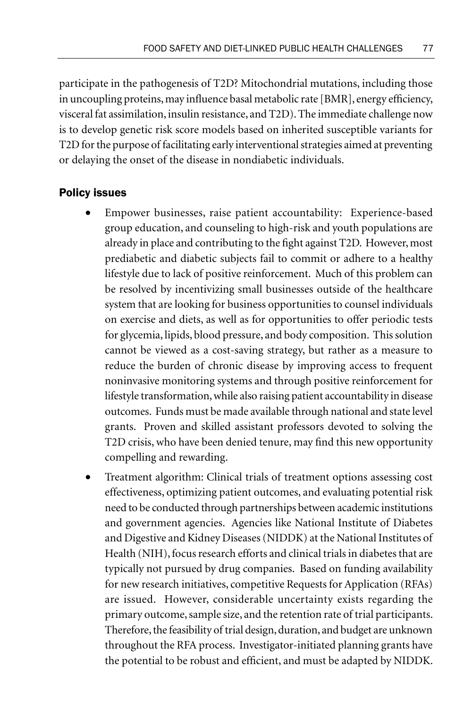participate in the pathogenesis of T2D? Mitochondrial mutations, including those in uncoupling proteins, may influence basal metabolic rate [BMR], energy efficiency, visceral fat assimilation, insulin resistance, and T2D). The immediate challenge now is to develop genetic risk score models based on inherited susceptible variants for T2D for the purpose of facilitating early interventional strategies aimed at preventing or delaying the onset of the disease in nondiabetic individuals.

## Policy issues

- Empower businesses, raise patient accountability: Experience-based group education, and counseling to high-risk and youth populations are already in place and contributing to the fight against T2D. However, most prediabetic and diabetic subjects fail to commit or adhere to a healthy lifestyle due to lack of positive reinforcement. Much of this problem can be resolved by incentivizing small businesses outside of the healthcare system that are looking for business opportunities to counsel individuals on exercise and diets, as well as for opportunities to offer periodic tests for glycemia, lipids, blood pressure, and body composition. This solution cannot be viewed as a cost-saving strategy, but rather as a measure to reduce the burden of chronic disease by improving access to frequent noninvasive monitoring systems and through positive reinforcement for lifestyle transformation, while also raising patient accountability in disease outcomes. Funds must be made available through national and state level grants. Proven and skilled assistant professors devoted to solving the T2D crisis, who have been denied tenure, may find this new opportunity compelling and rewarding.
- Treatment algorithm: Clinical trials of treatment options assessing cost effectiveness, optimizing patient outcomes, and evaluating potential risk need to be conducted through partnerships between academic institutions and government agencies. Agencies like National Institute of Diabetes and Digestive and Kidney Diseases (NIDDK) at the National Institutes of Health (NIH), focus research efforts and clinical trials in diabetes that are typically not pursued by drug companies. Based on funding availability for new research initiatives, competitive Requests for Application (RFAs) are issued. However, considerable uncertainty exists regarding the primary outcome, sample size, and the retention rate of trial participants. Therefore, the feasibility of trial design, duration, and budget are unknown throughout the RFA process. Investigator-initiated planning grants have the potential to be robust and efficient, and must be adapted by NIDDK.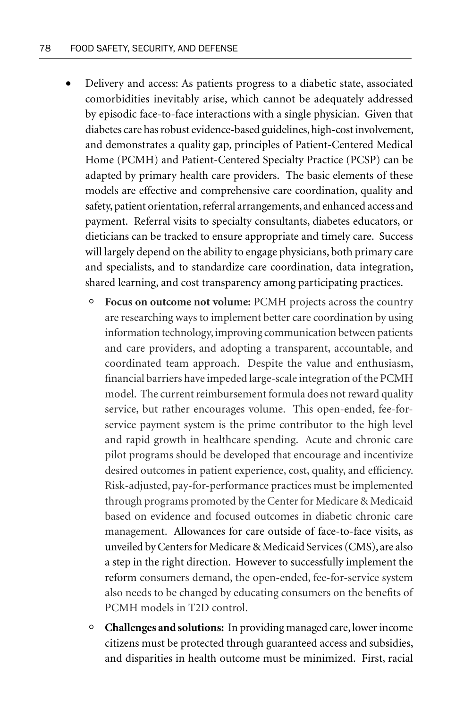- Delivery and access: As patients progress to a diabetic state, associated comorbidities inevitably arise, which cannot be adequately addressed by episodic face-to-face interactions with a single physician. Given that diabetes care has robust evidence-based guidelines, high-cost involvement, and demonstrates a quality gap, principles of Patient-Centered Medical Home (PCMH) and Patient-Centered Specialty Practice (PCSP) can be adapted by primary health care providers. The basic elements of these models are effective and comprehensive care coordination, quality and safety, patient orientation, referral arrangements, and enhanced access and payment. Referral visits to specialty consultants, diabetes educators, or dieticians can be tracked to ensure appropriate and timely care. Success will largely depend on the ability to engage physicians, both primary care and specialists, and to standardize care coordination, data integration, shared learning, and cost transparency among participating practices.
	- Focus on outcome not volume: PCMH projects across the country are researching ways to implement better care coordination by using information technology, improving communication between patients and care providers, and adopting a transparent, accountable, and coordinated team approach. Despite the value and enthusiasm, financial barriers have impeded large-scale integration of the PCMH model. The current reimbursement formula does not reward quality service, but rather encourages volume. This open-ended, fee-forservice payment system is the prime contributor to the high level and rapid growth in healthcare spending. Acute and chronic care pilot programs should be developed that encourage and incentivize desired outcomes in patient experience, cost, quality, and efficiency. Risk-adjusted, pay-for-performance practices must be implemented through programs promoted by the Center for Medicare & Medicaid based on evidence and focused outcomes in diabetic chronic care management. Allowances for care outside of face-to-face visits, as unveiled by Centers for Medicare & Medicaid Services (CMS), are also a step in the right direction. However to successfully implement the reform consumers demand, the open-ended, fee-for-service system also needs to be changed by educating consumers on the benefits of PCMH models in T2D control.
	- ° **Challenges and solutions:** In providing managed care, lower income citizens must be protected through guaranteed access and subsidies, and disparities in health outcome must be minimized. First, racial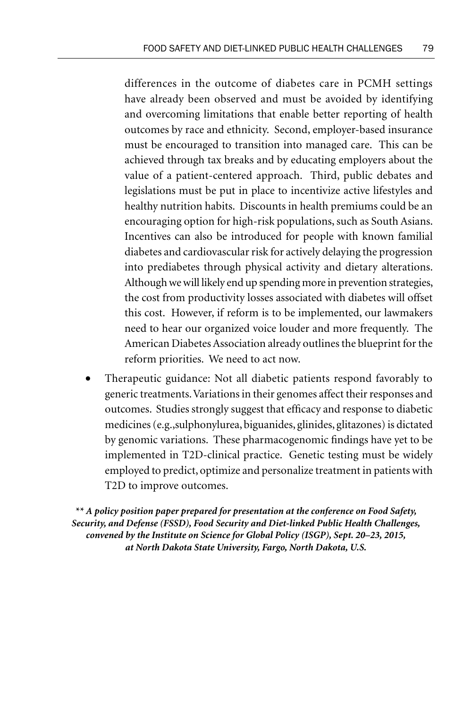differences in the outcome of diabetes care in PCMH settings have already been observed and must be avoided by identifying and overcoming limitations that enable better reporting of health outcomes by race and ethnicity. Second, employer-based insurance must be encouraged to transition into managed care. This can be achieved through tax breaks and by educating employers about the value of a patient-centered approach. Third, public debates and legislations must be put in place to incentivize active lifestyles and healthy nutrition habits. Discounts in health premiums could be an encouraging option for high-risk populations, such as South Asians. Incentives can also be introduced for people with known familial diabetes and cardiovascular risk for actively delaying the progression into prediabetes through physical activity and dietary alterations. Although we will likely end up spending more in prevention strategies, the cost from productivity losses associated with diabetes will offset this cost. However, if reform is to be implemented, our lawmakers need to hear our organized voice louder and more frequently. The American Diabetes Association already outlines the blueprint for the reform priorities. We need to act now.

• Therapeutic guidance: Not all diabetic patients respond favorably to generic treatments. Variations in their genomes affect their responses and outcomes. Studies strongly suggest that efficacy and response to diabetic medicines (e.g.,sulphonylurea, biguanides, glinides, glitazones) is dictated by genomic variations. These pharmacogenomic findings have yet to be implemented in T2D-clinical practice. Genetic testing must be widely employed to predict, optimize and personalize treatment in patients with T2D to improve outcomes.

*\*\* A policy position paper prepared for presentation at the conference on Food Safety, Security, and Defense (FSSD), Food Security and Diet-linked Public Health Challenges, convened by the Institute on Science for Global Policy (ISGP), Sept. 20–23, 2015, at North Dakota State University, Fargo, North Dakota, U.S.*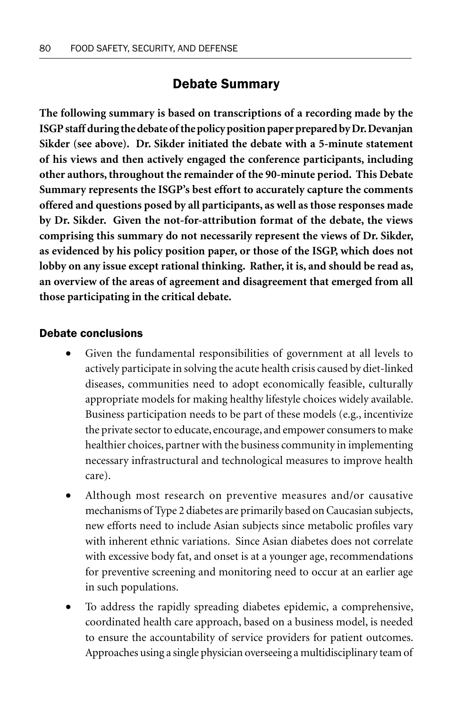# Debate Summary

**The following summary is based on transcriptions of a recording made by the ISGP staff during the debate of the policy position paper prepared by Dr. Devanjan Sikder (see above). Dr. Sikder initiated the debate with a 5-minute statement of his views and then actively engaged the conference participants, including other authors, throughout the remainder of the 90-minute period. This Debate Summary represents the ISGP's best effort to accurately capture the comments offered and questions posed by all participants, as well as those responses made by Dr. Sikder. Given the not-for-attribution format of the debate, the views comprising this summary do not necessarily represent the views of Dr. Sikder, as evidenced by his policy position paper, or those of the ISGP, which does not lobby on any issue except rational thinking. Rather, it is, and should be read as, an overview of the areas of agreement and disagreement that emerged from all those participating in the critical debate.**

## Debate conclusions

- Given the fundamental responsibilities of government at all levels to actively participate in solving the acute health crisis caused by diet-linked diseases, communities need to adopt economically feasible, culturally appropriate models for making healthy lifestyle choices widely available. Business participation needs to be part of these models (e.g., incentivize the private sector to educate, encourage, and empower consumers to make healthier choices, partner with the business community in implementing necessary infrastructural and technological measures to improve health care).
- Although most research on preventive measures and/or causative mechanisms of Type 2 diabetes are primarily based on Caucasian subjects, new efforts need to include Asian subjects since metabolic profiles vary with inherent ethnic variations. Since Asian diabetes does not correlate with excessive body fat, and onset is at a younger age, recommendations for preventive screening and monitoring need to occur at an earlier age in such populations.
- To address the rapidly spreading diabetes epidemic, a comprehensive, coordinated health care approach, based on a business model, is needed to ensure the accountability of service providers for patient outcomes. Approaches using a single physician overseeing a multidisciplinary team of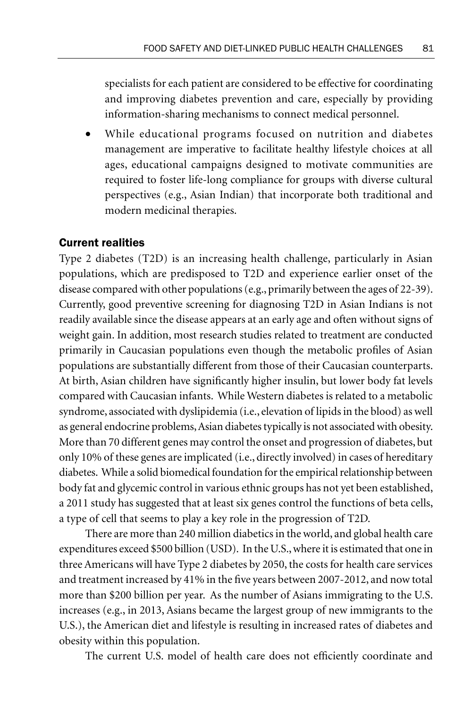specialists for each patient are considered to be effective for coordinating and improving diabetes prevention and care, especially by providing information-sharing mechanisms to connect medical personnel.

While educational programs focused on nutrition and diabetes management are imperative to facilitate healthy lifestyle choices at all ages, educational campaigns designed to motivate communities are required to foster life-long compliance for groups with diverse cultural perspectives (e.g., Asian Indian) that incorporate both traditional and modern medicinal therapies.

# Current realities

Type 2 diabetes (T2D) is an increasing health challenge, particularly in Asian populations, which are predisposed to T2D and experience earlier onset of the disease compared with other populations (e.g., primarily between the ages of 22-39). Currently, good preventive screening for diagnosing T2D in Asian Indians is not readily available since the disease appears at an early age and often without signs of weight gain. In addition, most research studies related to treatment are conducted primarily in Caucasian populations even though the metabolic profiles of Asian populations are substantially different from those of their Caucasian counterparts. At birth, Asian children have significantly higher insulin, but lower body fat levels compared with Caucasian infants. While Western diabetes is related to a metabolic syndrome, associated with dyslipidemia (i.e., elevation of lipids in the blood) as well as general endocrine problems, Asian diabetes typically is not associated with obesity. More than 70 different genes may control the onset and progression of diabetes, but only 10% of these genes are implicated (i.e., directly involved) in cases of hereditary diabetes. While a solid biomedical foundation for the empirical relationship between body fat and glycemic control in various ethnic groups has not yet been established, a 2011 study has suggested that at least six genes control the functions of beta cells, a type of cell that seems to play a key role in the progression of T2D.

There are more than 240 million diabetics in the world, and global health care expenditures exceed \$500 billion (USD). In the U.S., where it is estimated that one in three Americans will have Type 2 diabetes by 2050, the costs for health care services and treatment increased by 41% in the five years between 2007-2012, and now total more than \$200 billion per year. As the number of Asians immigrating to the U.S. increases (e.g., in 2013, Asians became the largest group of new immigrants to the U.S.), the American diet and lifestyle is resulting in increased rates of diabetes and obesity within this population.

The current U.S. model of health care does not efficiently coordinate and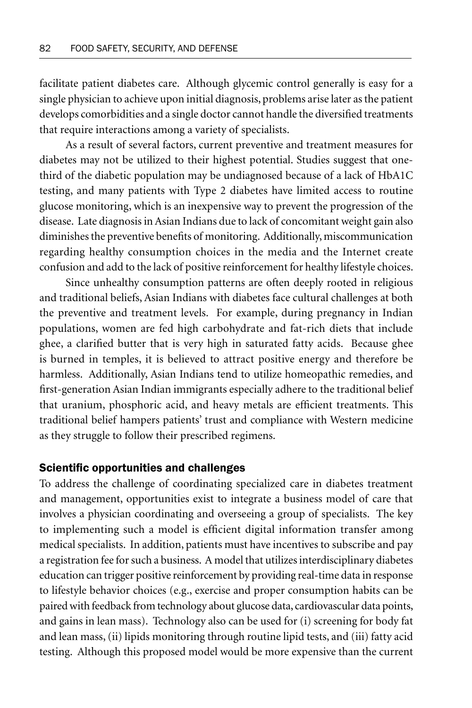facilitate patient diabetes care. Although glycemic control generally is easy for a single physician to achieve upon initial diagnosis, problems arise later as the patient develops comorbidities and a single doctor cannot handle the diversified treatments that require interactions among a variety of specialists.

As a result of several factors, current preventive and treatment measures for diabetes may not be utilized to their highest potential. Studies suggest that onethird of the diabetic population may be undiagnosed because of a lack of HbA1C testing, and many patients with Type 2 diabetes have limited access to routine glucose monitoring, which is an inexpensive way to prevent the progression of the disease. Late diagnosis in Asian Indians due to lack of concomitant weight gain also diminishes the preventive benefits of monitoring. Additionally, miscommunication regarding healthy consumption choices in the media and the Internet create confusion and add to the lack of positive reinforcement for healthy lifestyle choices.

Since unhealthy consumption patterns are often deeply rooted in religious and traditional beliefs, Asian Indians with diabetes face cultural challenges at both the preventive and treatment levels. For example, during pregnancy in Indian populations, women are fed high carbohydrate and fat-rich diets that include ghee, a clarified butter that is very high in saturated fatty acids. Because ghee is burned in temples, it is believed to attract positive energy and therefore be harmless. Additionally, Asian Indians tend to utilize homeopathic remedies, and first-generation Asian Indian immigrants especially adhere to the traditional belief that uranium, phosphoric acid, and heavy metals are efficient treatments. This traditional belief hampers patients' trust and compliance with Western medicine as they struggle to follow their prescribed regimens.

### Scientific opportunities and challenges

To address the challenge of coordinating specialized care in diabetes treatment and management, opportunities exist to integrate a business model of care that involves a physician coordinating and overseeing a group of specialists. The key to implementing such a model is efficient digital information transfer among medical specialists. In addition, patients must have incentives to subscribe and pay a registration fee for such a business. A model that utilizes interdisciplinary diabetes education can trigger positive reinforcement by providing real-time data in response to lifestyle behavior choices (e.g., exercise and proper consumption habits can be paired with feedback from technology about glucose data, cardiovascular data points, and gains in lean mass). Technology also can be used for (i) screening for body fat and lean mass, (ii) lipids monitoring through routine lipid tests, and (iii) fatty acid testing. Although this proposed model would be more expensive than the current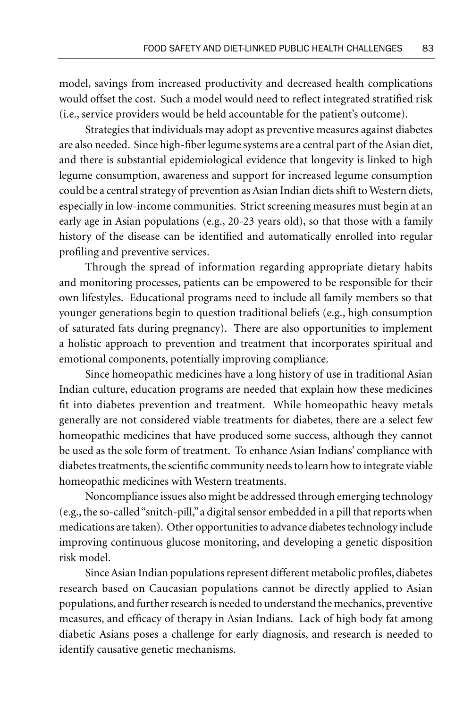model, savings from increased productivity and decreased health complications would offset the cost. Such a model would need to reflect integrated stratified risk (i.e., service providers would be held accountable for the patient's outcome).

Strategies that individuals may adopt as preventive measures against diabetes are also needed. Since high-fiber legume systems are a central part of the Asian diet, and there is substantial epidemiological evidence that longevity is linked to high legume consumption, awareness and support for increased legume consumption could be a central strategy of prevention as Asian Indian diets shift to Western diets, especially in low-income communities. Strict screening measures must begin at an early age in Asian populations (e.g., 20-23 years old), so that those with a family history of the disease can be identified and automatically enrolled into regular profiling and preventive services.

Through the spread of information regarding appropriate dietary habits and monitoring processes, patients can be empowered to be responsible for their own lifestyles. Educational programs need to include all family members so that younger generations begin to question traditional beliefs (e.g., high consumption of saturated fats during pregnancy). There are also opportunities to implement a holistic approach to prevention and treatment that incorporates spiritual and emotional components, potentially improving compliance.

Since homeopathic medicines have a long history of use in traditional Asian Indian culture, education programs are needed that explain how these medicines fit into diabetes prevention and treatment. While homeopathic heavy metals generally are not considered viable treatments for diabetes, there are a select few homeopathic medicines that have produced some success, although they cannot be used as the sole form of treatment. To enhance Asian Indians' compliance with diabetes treatments, the scientific community needs to learn how to integrate viable homeopathic medicines with Western treatments.

Noncompliance issues also might be addressed through emerging technology (e.g., the so-called "snitch-pill," a digital sensor embedded in a pill that reports when medications are taken). Other opportunities to advance diabetes technology include improving continuous glucose monitoring, and developing a genetic disposition risk model.

Since Asian Indian populations represent different metabolic profiles, diabetes research based on Caucasian populations cannot be directly applied to Asian populations, and further research is needed to understand the mechanics, preventive measures, and efficacy of therapy in Asian Indians. Lack of high body fat among diabetic Asians poses a challenge for early diagnosis, and research is needed to identify causative genetic mechanisms.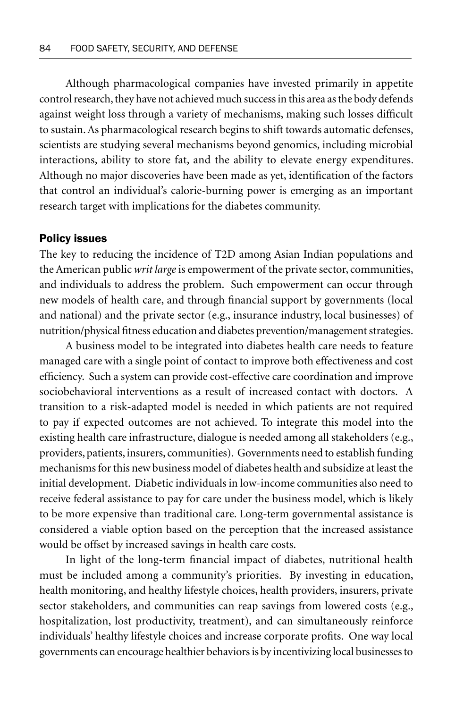Although pharmacological companies have invested primarily in appetite control research, they have not achieved much success in this area as the body defends against weight loss through a variety of mechanisms, making such losses difficult to sustain. As pharmacological research begins to shift towards automatic defenses, scientists are studying several mechanisms beyond genomics, including microbial interactions, ability to store fat, and the ability to elevate energy expenditures. Although no major discoveries have been made as yet, identification of the factors that control an individual's calorie-burning power is emerging as an important research target with implications for the diabetes community.

#### Policy issues

The key to reducing the incidence of T2D among Asian Indian populations and the American public *writ large* is empowerment of the private sector, communities, and individuals to address the problem. Such empowerment can occur through new models of health care, and through financial support by governments (local and national) and the private sector (e.g., insurance industry, local businesses) of nutrition/physical fitness education and diabetes prevention/management strategies.

A business model to be integrated into diabetes health care needs to feature managed care with a single point of contact to improve both effectiveness and cost efficiency. Such a system can provide cost-effective care coordination and improve sociobehavioral interventions as a result of increased contact with doctors. A transition to a risk-adapted model is needed in which patients are not required to pay if expected outcomes are not achieved. To integrate this model into the existing health care infrastructure, dialogue is needed among all stakeholders (e.g., providers, patients, insurers, communities). Governments need to establish funding mechanisms for this new business model of diabetes health and subsidize at least the initial development. Diabetic individuals in low-income communities also need to receive federal assistance to pay for care under the business model, which is likely to be more expensive than traditional care. Long-term governmental assistance is considered a viable option based on the perception that the increased assistance would be offset by increased savings in health care costs.

In light of the long-term financial impact of diabetes, nutritional health must be included among a community's priorities. By investing in education, health monitoring, and healthy lifestyle choices, health providers, insurers, private sector stakeholders, and communities can reap savings from lowered costs (e.g., hospitalization, lost productivity, treatment), and can simultaneously reinforce individuals' healthy lifestyle choices and increase corporate profits. One way local governments can encourage healthier behaviors is by incentivizing local businesses to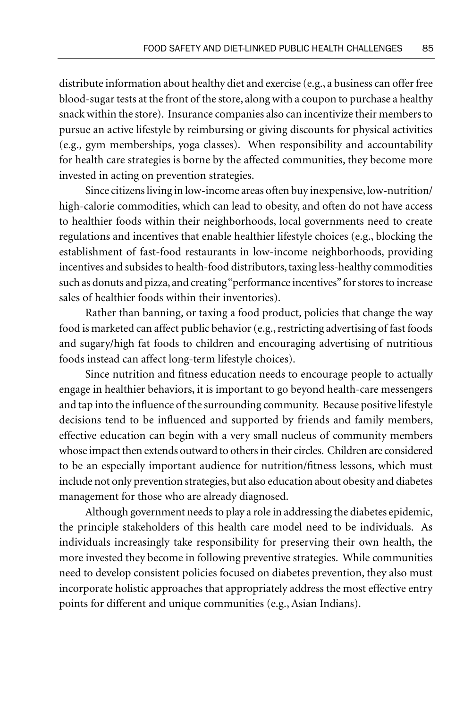distribute information about healthy diet and exercise (e.g., a business can offer free blood-sugar tests at the front of the store, along with a coupon to purchase a healthy snack within the store). Insurance companies also can incentivize their members to pursue an active lifestyle by reimbursing or giving discounts for physical activities (e.g., gym memberships, yoga classes). When responsibility and accountability for health care strategies is borne by the affected communities, they become more invested in acting on prevention strategies.

Since citizens living in low-income areas often buy inexpensive, low-nutrition/ high-calorie commodities, which can lead to obesity, and often do not have access to healthier foods within their neighborhoods, local governments need to create regulations and incentives that enable healthier lifestyle choices (e.g., blocking the establishment of fast-food restaurants in low-income neighborhoods, providing incentives and subsides to health-food distributors, taxing less-healthy commodities such as donuts and pizza, and creating "performance incentives" for stores to increase sales of healthier foods within their inventories).

Rather than banning, or taxing a food product, policies that change the way food is marketed can affect public behavior (e.g., restricting advertising of fast foods and sugary/high fat foods to children and encouraging advertising of nutritious foods instead can affect long-term lifestyle choices).

Since nutrition and fitness education needs to encourage people to actually engage in healthier behaviors, it is important to go beyond health-care messengers and tap into the influence of the surrounding community. Because positive lifestyle decisions tend to be influenced and supported by friends and family members, effective education can begin with a very small nucleus of community members whose impact then extends outward to others in their circles. Children are considered to be an especially important audience for nutrition/fitness lessons, which must include not only prevention strategies, but also education about obesity and diabetes management for those who are already diagnosed.

Although government needs to play a role in addressing the diabetes epidemic, the principle stakeholders of this health care model need to be individuals. As individuals increasingly take responsibility for preserving their own health, the more invested they become in following preventive strategies. While communities need to develop consistent policies focused on diabetes prevention, they also must incorporate holistic approaches that appropriately address the most effective entry points for different and unique communities (e.g., Asian Indians).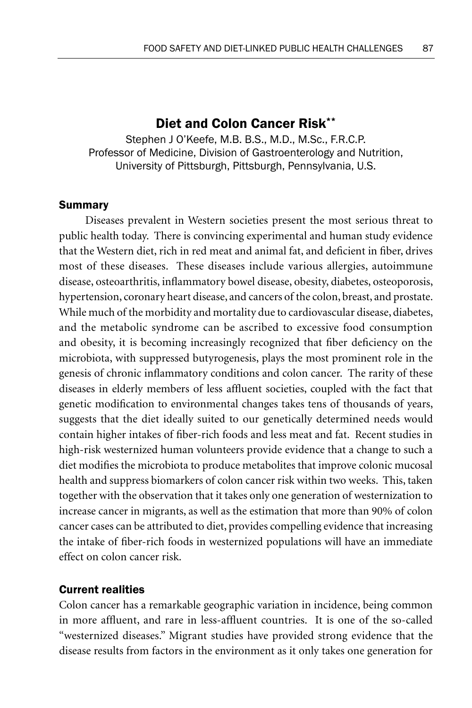# Diet and Colon Cancer Risk\*\*

Stephen J O'Keefe, M.B. B.S., M.D., M.Sc., F.R.C.P. Professor of Medicine, Division of Gastroenterology and Nutrition, University of Pittsburgh, Pittsburgh, Pennsylvania, U.S.

#### Summary

Diseases prevalent in Western societies present the most serious threat to public health today. There is convincing experimental and human study evidence that the Western diet, rich in red meat and animal fat, and deficient in fiber, drives most of these diseases. These diseases include various allergies, autoimmune disease, osteoarthritis, inflammatory bowel disease, obesity, diabetes, osteoporosis, hypertension, coronary heart disease, and cancers of the colon, breast, and prostate. While much of the morbidity and mortality due to cardiovascular disease, diabetes, and the metabolic syndrome can be ascribed to excessive food consumption and obesity, it is becoming increasingly recognized that fiber deficiency on the microbiota, with suppressed butyrogenesis, plays the most prominent role in the genesis of chronic inflammatory conditions and colon cancer. The rarity of these diseases in elderly members of less affluent societies, coupled with the fact that genetic modification to environmental changes takes tens of thousands of years, suggests that the diet ideally suited to our genetically determined needs would contain higher intakes of fiber-rich foods and less meat and fat. Recent studies in high-risk westernized human volunteers provide evidence that a change to such a diet modifies the microbiota to produce metabolites that improve colonic mucosal health and suppress biomarkers of colon cancer risk within two weeks. This, taken together with the observation that it takes only one generation of westernization to increase cancer in migrants, as well as the estimation that more than 90% of colon cancer cases can be attributed to diet, provides compelling evidence that increasing the intake of fiber-rich foods in westernized populations will have an immediate effect on colon cancer risk.

### Current realities

Colon cancer has a remarkable geographic variation in incidence, being common in more affluent, and rare in less-affluent countries. It is one of the so-called "westernized diseases." Migrant studies have provided strong evidence that the disease results from factors in the environment as it only takes one generation for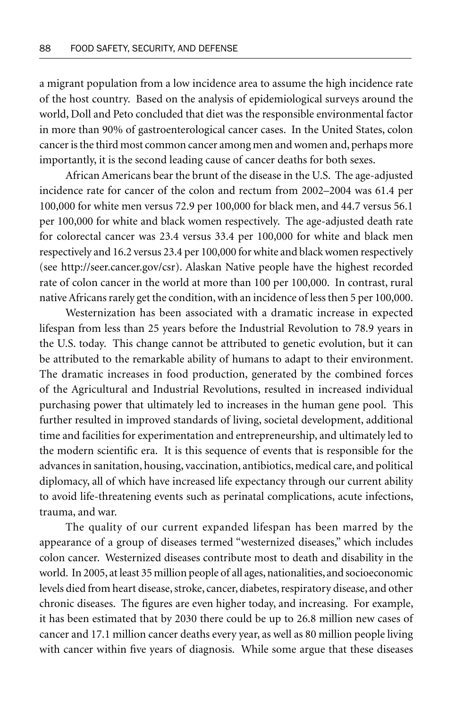a migrant population from a low incidence area to assume the high incidence rate of the host country. Based on the analysis of epidemiological surveys around the world, Doll and Peto concluded that diet was the responsible environmental factor in more than 90% of gastroenterological cancer cases. In the United States, colon cancer is the third most common cancer among men and women and, perhaps more importantly, it is the second leading cause of cancer deaths for both sexes.

African Americans bear the brunt of the disease in the U.S. The age-adjusted incidence rate for cancer of the colon and rectum from 2002–2004 was 61.4 per 100,000 for white men versus 72.9 per 100,000 for black men, and 44.7 versus 56.1 per 100,000 for white and black women respectively. The age-adjusted death rate for colorectal cancer was 23.4 versus 33.4 per 100,000 for white and black men respectively and 16.2 versus 23.4 per 100,000 for white and black women respectively (see http://seer.cancer.gov/csr). Alaskan Native people have the highest recorded rate of colon cancer in the world at more than 100 per 100,000. In contrast, rural native Africans rarely get the condition, with an incidence of less then 5 per 100,000.

Westernization has been associated with a dramatic increase in expected lifespan from less than 25 years before the Industrial Revolution to 78.9 years in the U.S. today. This change cannot be attributed to genetic evolution, but it can be attributed to the remarkable ability of humans to adapt to their environment. The dramatic increases in food production, generated by the combined forces of the Agricultural and Industrial Revolutions, resulted in increased individual purchasing power that ultimately led to increases in the human gene pool. This further resulted in improved standards of living, societal development, additional time and facilities for experimentation and entrepreneurship, and ultimately led to the modern scientific era. It is this sequence of events that is responsible for the advances in sanitation, housing, vaccination, antibiotics, medical care, and political diplomacy, all of which have increased life expectancy through our current ability to avoid life-threatening events such as perinatal complications, acute infections, trauma, and war.

The quality of our current expanded lifespan has been marred by the appearance of a group of diseases termed "westernized diseases," which includes colon cancer. Westernized diseases contribute most to death and disability in the world. In 2005, at least 35 million people of all ages, nationalities, and socioeconomic levels died from heart disease, stroke, cancer, diabetes, respiratory disease, and other chronic diseases. The figures are even higher today, and increasing. For example, it has been estimated that by 2030 there could be up to 26.8 million new cases of cancer and 17.1 million cancer deaths every year, as well as 80 million people living with cancer within five years of diagnosis. While some argue that these diseases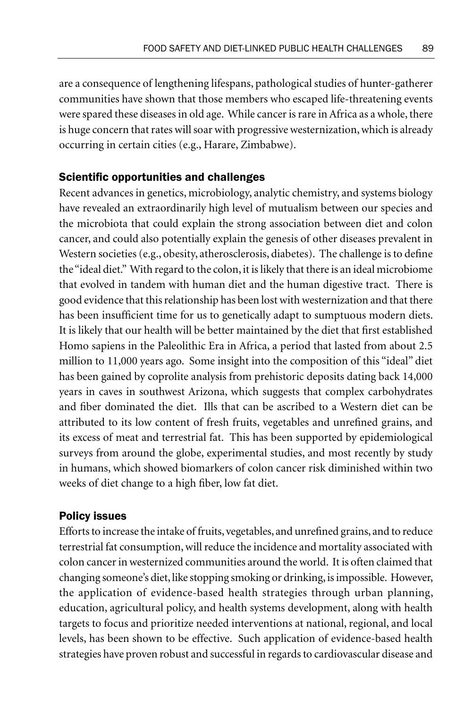are a consequence of lengthening lifespans, pathological studies of hunter-gatherer communities have shown that those members who escaped life-threatening events were spared these diseases in old age. While cancer is rare in Africa as a whole, there is huge concern that rates will soar with progressive westernization, which is already occurring in certain cities (e.g., Harare, Zimbabwe).

### Scientific opportunities and challenges

Recent advances in genetics, microbiology, analytic chemistry, and systems biology have revealed an extraordinarily high level of mutualism between our species and the microbiota that could explain the strong association between diet and colon cancer, and could also potentially explain the genesis of other diseases prevalent in Western societies (e.g., obesity, atherosclerosis, diabetes). The challenge is to define the "ideal diet." With regard to the colon, it is likely that there is an ideal microbiome that evolved in tandem with human diet and the human digestive tract. There is good evidence that this relationship has been lost with westernization and that there has been insufficient time for us to genetically adapt to sumptuous modern diets. It is likely that our health will be better maintained by the diet that first established Homo sapiens in the Paleolithic Era in Africa, a period that lasted from about 2.5 million to 11,000 years ago. Some insight into the composition of this "ideal" diet has been gained by coprolite analysis from prehistoric deposits dating back 14,000 years in caves in southwest Arizona, which suggests that complex carbohydrates and fiber dominated the diet. Ills that can be ascribed to a Western diet can be attributed to its low content of fresh fruits, vegetables and unrefined grains, and its excess of meat and terrestrial fat. This has been supported by epidemiological surveys from around the globe, experimental studies, and most recently by study in humans, which showed biomarkers of colon cancer risk diminished within two weeks of diet change to a high fiber, low fat diet.

#### Policy issues

Efforts to increase the intake of fruits, vegetables, and unrefined grains, and to reduce terrestrial fat consumption, will reduce the incidence and mortality associated with colon cancer in westernized communities around the world. It is often claimed that changing someone's diet, like stopping smoking or drinking, is impossible. However, the application of evidence-based health strategies through urban planning, education, agricultural policy, and health systems development, along with health targets to focus and prioritize needed interventions at national, regional, and local levels, has been shown to be effective. Such application of evidence-based health strategies have proven robust and successful in regards to cardiovascular disease and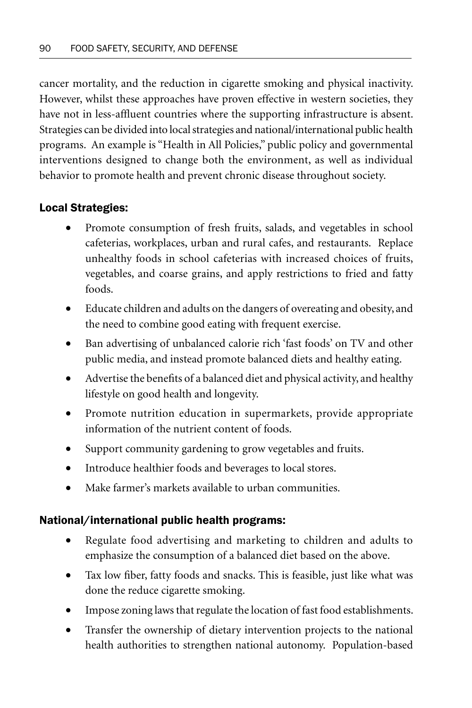cancer mortality, and the reduction in cigarette smoking and physical inactivity. However, whilst these approaches have proven effective in western societies, they have not in less-affluent countries where the supporting infrastructure is absent. Strategies can be divided into local strategies and national/international public health programs. An example is "Health in All Policies," public policy and governmental interventions designed to change both the environment, as well as individual behavior to promote health and prevent chronic disease throughout society.

# Local Strategies:

- Promote consumption of fresh fruits, salads, and vegetables in school cafeterias, workplaces, urban and rural cafes, and restaurants. Replace unhealthy foods in school cafeterias with increased choices of fruits, vegetables, and coarse grains, and apply restrictions to fried and fatty foods.
- Educate children and adults on the dangers of overeating and obesity, and the need to combine good eating with frequent exercise.
- Ban advertising of unbalanced calorie rich 'fast foods' on TV and other public media, and instead promote balanced diets and healthy eating.
- Advertise the benefits of a balanced diet and physical activity, and healthy lifestyle on good health and longevity.
- Promote nutrition education in supermarkets, provide appropriate information of the nutrient content of foods.
- Support community gardening to grow vegetables and fruits.
- Introduce healthier foods and beverages to local stores.
- Make farmer's markets available to urban communities.

# National/international public health programs:

- Regulate food advertising and marketing to children and adults to emphasize the consumption of a balanced diet based on the above.
- Tax low fiber, fatty foods and snacks. This is feasible, just like what was done the reduce cigarette smoking.
- Impose zoning laws that regulate the location of fast food establishments.
- Transfer the ownership of dietary intervention projects to the national health authorities to strengthen national autonomy. Population-based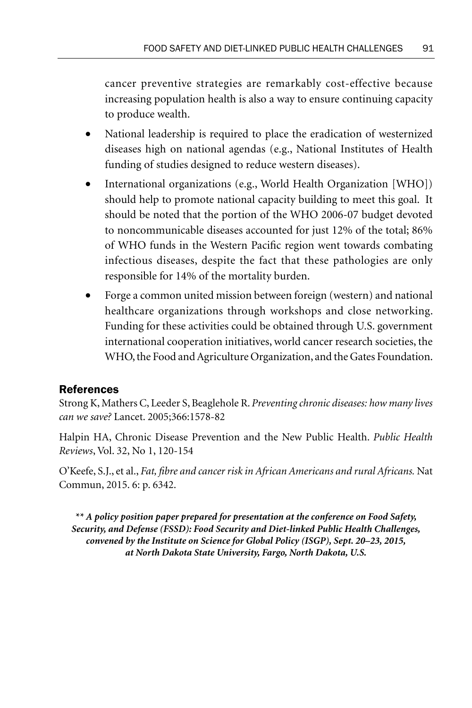cancer preventive strategies are remarkably cost-effective because increasing population health is also a way to ensure continuing capacity to produce wealth.

- National leadership is required to place the eradication of westernized diseases high on national agendas (e.g., National Institutes of Health funding of studies designed to reduce western diseases).
- International organizations (e.g., World Health Organization [WHO]) should help to promote national capacity building to meet this goal. It should be noted that the portion of the WHO 2006-07 budget devoted to noncommunicable diseases accounted for just 12% of the total; 86% of WHO funds in the Western Pacific region went towards combating infectious diseases, despite the fact that these pathologies are only responsible for 14% of the mortality burden.
- Forge a common united mission between foreign (western) and national healthcare organizations through workshops and close networking. Funding for these activities could be obtained through U.S. government international cooperation initiatives, world cancer research societies, the WHO, the Food and Agriculture Organization, and the Gates Foundation.

# References

Strong K, Mathers C, Leeder S, Beaglehole R. *Preventing chronic diseases: how many lives can we save?* Lancet. 2005;366:1578-82

Halpin HA, Chronic Disease Prevention and the New Public Health. *Public Health Reviews*, Vol. 32, No 1, 120-154

O'Keefe, S.J., et al., *Fat, fibre and cancer risk in African Americans and rural Africans.* Nat Commun, 2015. 6: p. 6342.

*\*\* A policy position paper prepared for presentation at the conference on Food Safety, Security, and Defense (FSSD): Food Security and Diet-linked Public Health Challenges, convened by the Institute on Science for Global Policy (ISGP), Sept. 20–23, 2015, at North Dakota State University, Fargo, North Dakota, U.S.*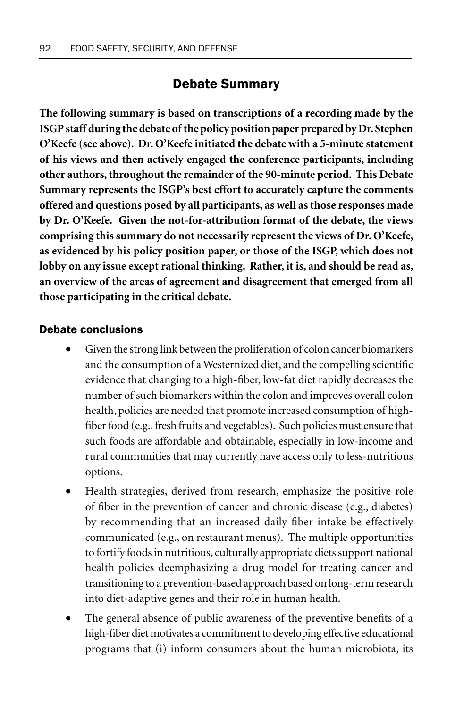# Debate Summary

**The following summary is based on transcriptions of a recording made by the ISGP staff during the debate of the policy position paper prepared by Dr. Stephen O'Keefe (see above). Dr. O'Keefe initiated the debate with a 5-minute statement of his views and then actively engaged the conference participants, including other authors, throughout the remainder of the 90-minute period. This Debate Summary represents the ISGP's best effort to accurately capture the comments offered and questions posed by all participants, as well as those responses made by Dr. O'Keefe. Given the not-for-attribution format of the debate, the views comprising this summary do not necessarily represent the views of Dr. O'Keefe, as evidenced by his policy position paper, or those of the ISGP, which does not lobby on any issue except rational thinking. Rather, it is, and should be read as, an overview of the areas of agreement and disagreement that emerged from all those participating in the critical debate.**

## Debate conclusions

- Given the strong link between the proliferation of colon cancer biomarkers and the consumption of a Westernized diet, and the compelling scientific evidence that changing to a high-fiber, low-fat diet rapidly decreases the number of such biomarkers within the colon and improves overall colon health, policies are needed that promote increased consumption of highfiber food (e.g., fresh fruits and vegetables). Such policies must ensure that such foods are affordable and obtainable, especially in low-income and rural communities that may currently have access only to less-nutritious options.
- Health strategies, derived from research, emphasize the positive role of fiber in the prevention of cancer and chronic disease (e.g., diabetes) by recommending that an increased daily fiber intake be effectively communicated (e.g., on restaurant menus). The multiple opportunities to fortify foods in nutritious, culturally appropriate diets support national health policies deemphasizing a drug model for treating cancer and transitioning to a prevention-based approach based on long-term research into diet-adaptive genes and their role in human health.
- The general absence of public awareness of the preventive benefits of a high-fiber diet motivates a commitment to developing effective educational programs that (i) inform consumers about the human microbiota, its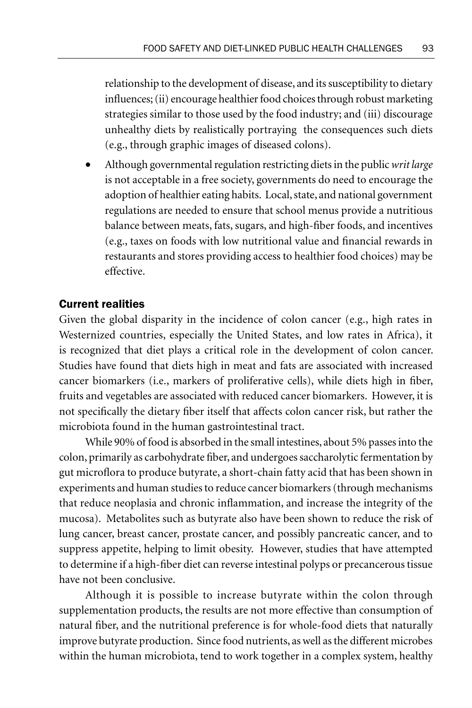relationship to the development of disease, and its susceptibility to dietary influences; (ii) encourage healthier food choices through robust marketing strategies similar to those used by the food industry; and (iii) discourage unhealthy diets by realistically portraying the consequences such diets (e.g., through graphic images of diseased colons).

• Although governmental regulation restricting diets in the public *writ large*  is not acceptable in a free society, governments do need to encourage the adoption of healthier eating habits. Local, state, and national government regulations are needed to ensure that school menus provide a nutritious balance between meats, fats, sugars, and high-fiber foods, and incentives (e.g., taxes on foods with low nutritional value and financial rewards in restaurants and stores providing access to healthier food choices) may be effective.

### Current realities

Given the global disparity in the incidence of colon cancer (e.g., high rates in Westernized countries, especially the United States, and low rates in Africa), it is recognized that diet plays a critical role in the development of colon cancer. Studies have found that diets high in meat and fats are associated with increased cancer biomarkers (i.e., markers of proliferative cells), while diets high in fiber, fruits and vegetables are associated with reduced cancer biomarkers. However, it is not specifically the dietary fiber itself that affects colon cancer risk, but rather the microbiota found in the human gastrointestinal tract.

While 90% of food is absorbed in the small intestines, about 5% passes into the colon, primarily as carbohydrate fiber, and undergoes saccharolytic fermentation by gut microflora to produce butyrate, a short-chain fatty acid that has been shown in experiments and human studies to reduce cancer biomarkers (through mechanisms that reduce neoplasia and chronic inflammation, and increase the integrity of the mucosa). Metabolites such as butyrate also have been shown to reduce the risk of lung cancer, breast cancer, prostate cancer, and possibly pancreatic cancer, and to suppress appetite, helping to limit obesity. However, studies that have attempted to determine if a high-fiber diet can reverse intestinal polyps or precancerous tissue have not been conclusive.

Although it is possible to increase butyrate within the colon through supplementation products, the results are not more effective than consumption of natural fiber, and the nutritional preference is for whole-food diets that naturally improve butyrate production. Since food nutrients, as well as the different microbes within the human microbiota, tend to work together in a complex system, healthy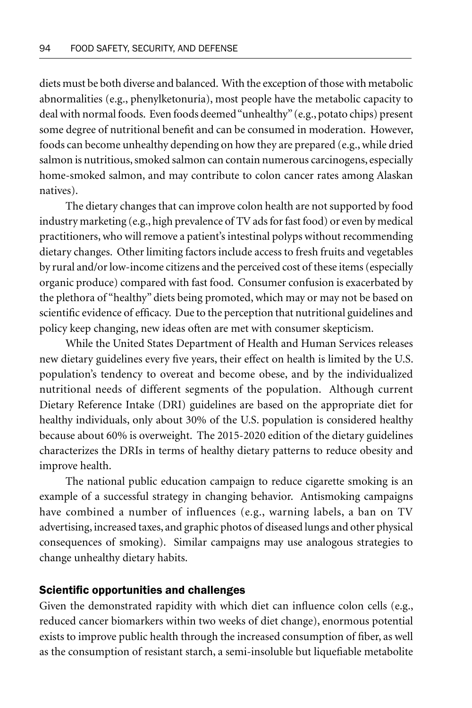diets must be both diverse and balanced. With the exception of those with metabolic abnormalities (e.g., phenylketonuria), most people have the metabolic capacity to deal with normal foods. Even foods deemed "unhealthy" (e.g., potato chips) present some degree of nutritional benefit and can be consumed in moderation. However, foods can become unhealthy depending on how they are prepared (e.g., while dried salmon is nutritious, smoked salmon can contain numerous carcinogens, especially home-smoked salmon, and may contribute to colon cancer rates among Alaskan natives).

The dietary changes that can improve colon health are not supported by food industry marketing (e.g., high prevalence of TV ads for fast food) or even by medical practitioners, who will remove a patient's intestinal polyps without recommending dietary changes. Other limiting factors include access to fresh fruits and vegetables by rural and/or low-income citizens and the perceived cost of these items (especially organic produce) compared with fast food. Consumer confusion is exacerbated by the plethora of "healthy" diets being promoted, which may or may not be based on scientific evidence of efficacy. Due to the perception that nutritional guidelines and policy keep changing, new ideas often are met with consumer skepticism.

While the United States Department of Health and Human Services releases new dietary guidelines every five years, their effect on health is limited by the U.S. population's tendency to overeat and become obese, and by the individualized nutritional needs of different segments of the population. Although current Dietary Reference Intake (DRI) guidelines are based on the appropriate diet for healthy individuals, only about 30% of the U.S. population is considered healthy because about 60% is overweight. The 2015-2020 edition of the dietary guidelines characterizes the DRIs in terms of healthy dietary patterns to reduce obesity and improve health.

The national public education campaign to reduce cigarette smoking is an example of a successful strategy in changing behavior. Antismoking campaigns have combined a number of influences (e.g., warning labels, a ban on TV advertising, increased taxes, and graphic photos of diseased lungs and other physical consequences of smoking). Similar campaigns may use analogous strategies to change unhealthy dietary habits.

#### Scientific opportunities and challenges

Given the demonstrated rapidity with which diet can influence colon cells (e.g., reduced cancer biomarkers within two weeks of diet change), enormous potential exists to improve public health through the increased consumption of fiber, as well as the consumption of resistant starch, a semi-insoluble but liquefiable metabolite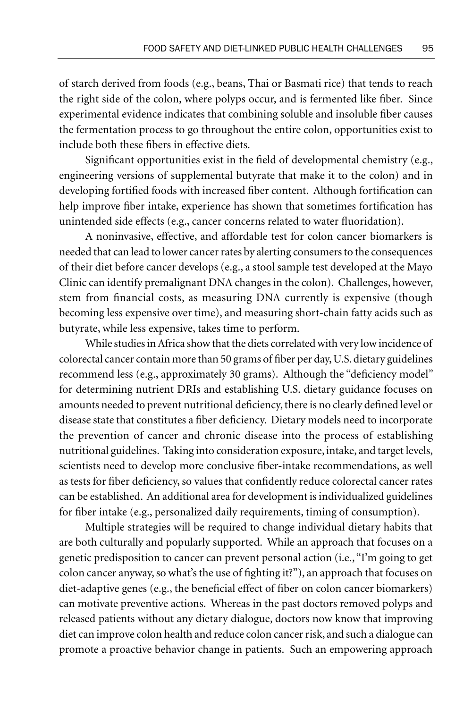of starch derived from foods (e.g., beans, Thai or Basmati rice) that tends to reach the right side of the colon, where polyps occur, and is fermented like fiber. Since experimental evidence indicates that combining soluble and insoluble fiber causes the fermentation process to go throughout the entire colon, opportunities exist to include both these fibers in effective diets.

Significant opportunities exist in the field of developmental chemistry (e.g., engineering versions of supplemental butyrate that make it to the colon) and in developing fortified foods with increased fiber content. Although fortification can help improve fiber intake, experience has shown that sometimes fortification has unintended side effects (e.g., cancer concerns related to water fluoridation).

A noninvasive, effective, and affordable test for colon cancer biomarkers is needed that can lead to lower cancer rates by alerting consumers to the consequences of their diet before cancer develops (e.g., a stool sample test developed at the Mayo Clinic can identify premalignant DNA changes in the colon). Challenges, however, stem from financial costs, as measuring DNA currently is expensive (though becoming less expensive over time), and measuring short-chain fatty acids such as butyrate, while less expensive, takes time to perform.

While studies in Africa show that the diets correlated with very low incidence of colorectal cancer contain more than 50 grams of fiber per day, U.S. dietary guidelines recommend less (e.g., approximately 30 grams). Although the "deficiency model" for determining nutrient DRIs and establishing U.S. dietary guidance focuses on amounts needed to prevent nutritional deficiency, there is no clearly defined level or disease state that constitutes a fiber deficiency. Dietary models need to incorporate the prevention of cancer and chronic disease into the process of establishing nutritional guidelines. Taking into consideration exposure, intake, and target levels, scientists need to develop more conclusive fiber-intake recommendations, as well as tests for fiber deficiency, so values that confidently reduce colorectal cancer rates can be established. An additional area for development is individualized guidelines for fiber intake (e.g., personalized daily requirements, timing of consumption).

Multiple strategies will be required to change individual dietary habits that are both culturally and popularly supported. While an approach that focuses on a genetic predisposition to cancer can prevent personal action (i.e., "I'm going to get colon cancer anyway, so what's the use of fighting it?"), an approach that focuses on diet-adaptive genes (e.g., the beneficial effect of fiber on colon cancer biomarkers) can motivate preventive actions. Whereas in the past doctors removed polyps and released patients without any dietary dialogue, doctors now know that improving diet can improve colon health and reduce colon cancer risk, and such a dialogue can promote a proactive behavior change in patients. Such an empowering approach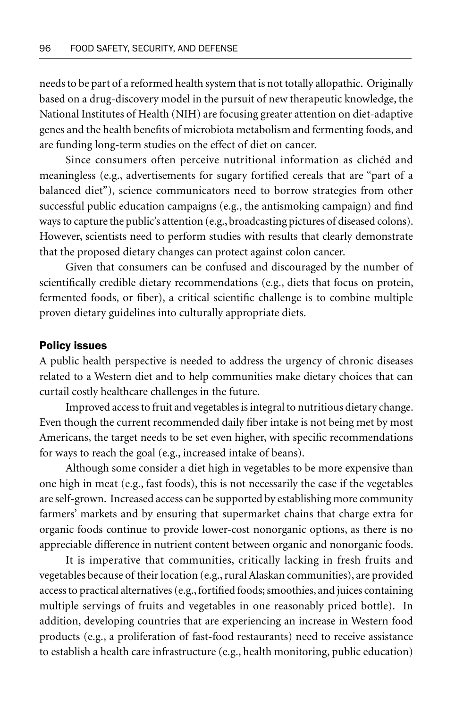needs to be part of a reformed health system that is not totally allopathic. Originally based on a drug-discovery model in the pursuit of new therapeutic knowledge, the National Institutes of Health (NIH) are focusing greater attention on diet-adaptive genes and the health benefits of microbiota metabolism and fermenting foods, and are funding long-term studies on the effect of diet on cancer.

Since consumers often perceive nutritional information as clichéd and meaningless (e.g., advertisements for sugary fortified cereals that are "part of a balanced diet"), science communicators need to borrow strategies from other successful public education campaigns (e.g., the antismoking campaign) and find ways to capture the public's attention (e.g., broadcasting pictures of diseased colons). However, scientists need to perform studies with results that clearly demonstrate that the proposed dietary changes can protect against colon cancer.

Given that consumers can be confused and discouraged by the number of scientifically credible dietary recommendations (e.g., diets that focus on protein, fermented foods, or fiber), a critical scientific challenge is to combine multiple proven dietary guidelines into culturally appropriate diets.

#### Policy issues

A public health perspective is needed to address the urgency of chronic diseases related to a Western diet and to help communities make dietary choices that can curtail costly healthcare challenges in the future.

Improved access to fruit and vegetables is integral to nutritious dietary change. Even though the current recommended daily fiber intake is not being met by most Americans, the target needs to be set even higher, with specific recommendations for ways to reach the goal (e.g., increased intake of beans).

Although some consider a diet high in vegetables to be more expensive than one high in meat (e.g., fast foods), this is not necessarily the case if the vegetables are self-grown. Increased access can be supported by establishing more community farmers' markets and by ensuring that supermarket chains that charge extra for organic foods continue to provide lower-cost nonorganic options, as there is no appreciable difference in nutrient content between organic and nonorganic foods.

It is imperative that communities, critically lacking in fresh fruits and vegetables because of their location (e.g., rural Alaskan communities), are provided access to practical alternatives (e.g., fortified foods; smoothies, and juices containing multiple servings of fruits and vegetables in one reasonably priced bottle). In addition, developing countries that are experiencing an increase in Western food products (e.g., a proliferation of fast-food restaurants) need to receive assistance to establish a health care infrastructure (e.g., health monitoring, public education)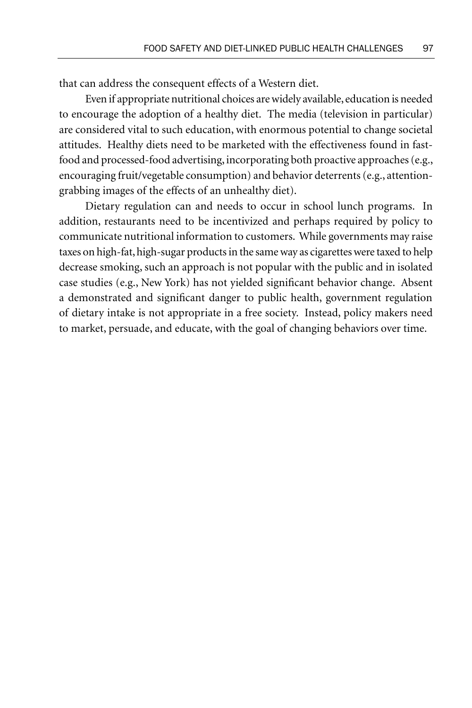that can address the consequent effects of a Western diet.

Even if appropriate nutritional choices are widely available, education is needed to encourage the adoption of a healthy diet. The media (television in particular) are considered vital to such education, with enormous potential to change societal attitudes. Healthy diets need to be marketed with the effectiveness found in fastfood and processed-food advertising, incorporating both proactive approaches (e.g., encouraging fruit/vegetable consumption) and behavior deterrents (e.g., attentiongrabbing images of the effects of an unhealthy diet).

Dietary regulation can and needs to occur in school lunch programs. In addition, restaurants need to be incentivized and perhaps required by policy to communicate nutritional information to customers. While governments may raise taxes on high-fat, high-sugar products in the same way as cigarettes were taxed to help decrease smoking, such an approach is not popular with the public and in isolated case studies (e.g., New York) has not yielded significant behavior change. Absent a demonstrated and significant danger to public health, government regulation of dietary intake is not appropriate in a free society. Instead, policy makers need to market, persuade, and educate, with the goal of changing behaviors over time.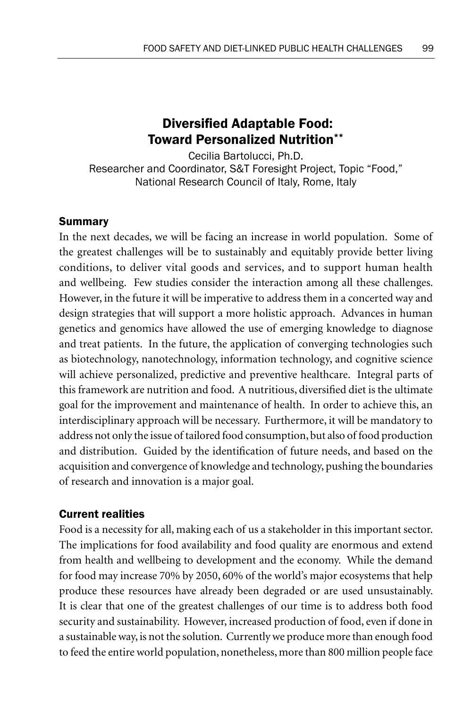# Diversifed Adaptable Food: Toward Personalized Nutrition\*\*

Cecilia Bartolucci, Ph.D. Researcher and Coordinator, S&T Foresight Project, Topic "Food," National Research Council of Italy, Rome, Italy

## Summary

In the next decades, we will be facing an increase in world population. Some of the greatest challenges will be to sustainably and equitably provide better living conditions, to deliver vital goods and services, and to support human health and wellbeing. Few studies consider the interaction among all these challenges. However, in the future it will be imperative to address them in a concerted way and design strategies that will support a more holistic approach. Advances in human genetics and genomics have allowed the use of emerging knowledge to diagnose and treat patients. In the future, the application of converging technologies such as biotechnology, nanotechnology, information technology, and cognitive science will achieve personalized, predictive and preventive healthcare. Integral parts of this framework are nutrition and food. A nutritious, diversified diet is the ultimate goal for the improvement and maintenance of health. In order to achieve this, an interdisciplinary approach will be necessary. Furthermore, it will be mandatory to address not only the issue of tailored food consumption, but also of food production and distribution. Guided by the identification of future needs, and based on the acquisition and convergence of knowledge and technology, pushing the boundaries of research and innovation is a major goal.

### Current realities

Food is a necessity for all, making each of us a stakeholder in this important sector. The implications for food availability and food quality are enormous and extend from health and wellbeing to development and the economy. While the demand for food may increase 70% by 2050, 60% of the world's major ecosystems that help produce these resources have already been degraded or are used unsustainably. It is clear that one of the greatest challenges of our time is to address both food security and sustainability. However, increased production of food, even if done in a sustainable way, is not the solution. Currently we produce more than enough food to feed the entire world population, nonetheless, more than 800 million people face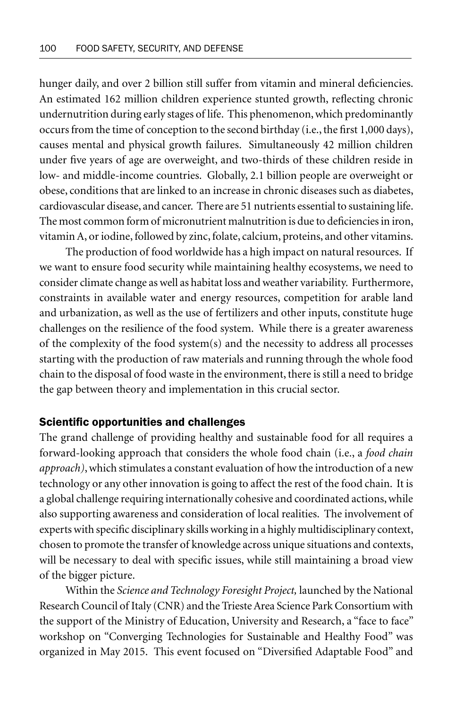hunger daily, and over 2 billion still suffer from vitamin and mineral deficiencies. An estimated 162 million children experience stunted growth, reflecting chronic undernutrition during early stages of life. This phenomenon, which predominantly occurs from the time of conception to the second birthday (i.e., the first 1,000 days), causes mental and physical growth failures. Simultaneously 42 million children under five years of age are overweight, and two-thirds of these children reside in low- and middle-income countries. Globally, 2.1 billion people are overweight or obese, conditions that are linked to an increase in chronic diseases such as diabetes, cardiovascular disease, and cancer. There are 51 nutrients essential to sustaining life. The most common form of micronutrient malnutrition is due to deficiencies in iron, vitamin A, or iodine, followed by zinc, folate, calcium, proteins, and other vitamins.

The production of food worldwide has a high impact on natural resources. If we want to ensure food security while maintaining healthy ecosystems, we need to consider climate change as well as habitat loss and weather variability. Furthermore, constraints in available water and energy resources, competition for arable land and urbanization, as well as the use of fertilizers and other inputs, constitute huge challenges on the resilience of the food system. While there is a greater awareness of the complexity of the food system(s) and the necessity to address all processes starting with the production of raw materials and running through the whole food chain to the disposal of food waste in the environment, there is still a need to bridge the gap between theory and implementation in this crucial sector.

#### Scientific opportunities and challenges

The grand challenge of providing healthy and sustainable food for all requires a forward-looking approach that considers the whole food chain (i.e., a *food chain approach)*, which stimulates a constant evaluation of how the introduction of a new technology or any other innovation is going to affect the rest of the food chain. It is a global challenge requiring internationally cohesive and coordinated actions, while also supporting awareness and consideration of local realities. The involvement of experts with specific disciplinary skills working in a highly multidisciplinary context, chosen to promote the transfer of knowledge across unique situations and contexts, will be necessary to deal with specific issues, while still maintaining a broad view of the bigger picture.

Within the *Science and Technology Foresight Project,* launched by the National Research Council of Italy (CNR) and the Trieste Area Science Park Consortium with the support of the Ministry of Education, University and Research, a "face to face" workshop on "Converging Technologies for Sustainable and Healthy Food" was organized in May 2015. This event focused on "Diversified Adaptable Food" and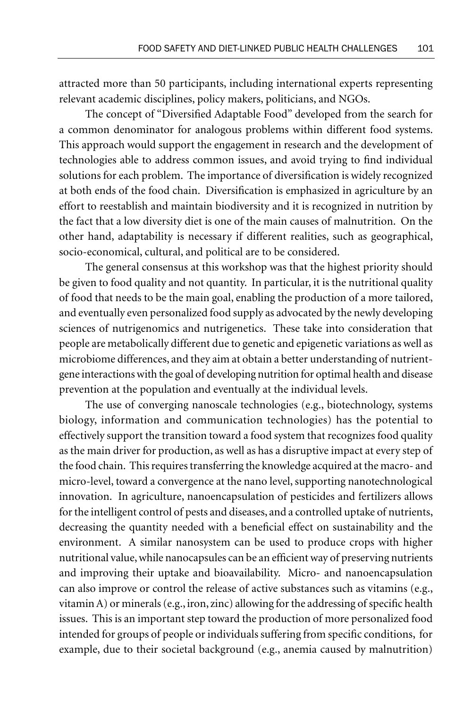attracted more than 50 participants, including international experts representing relevant academic disciplines, policy makers, politicians, and NGOs.

The concept of "Diversified Adaptable Food" developed from the search for a common denominator for analogous problems within different food systems. This approach would support the engagement in research and the development of technologies able to address common issues, and avoid trying to find individual solutions for each problem. The importance of diversification is widely recognized at both ends of the food chain. Diversification is emphasized in agriculture by an effort to reestablish and maintain biodiversity and it is recognized in nutrition by the fact that a low diversity diet is one of the main causes of malnutrition. On the other hand, adaptability is necessary if different realities, such as geographical, socio-economical, cultural, and political are to be considered.

The general consensus at this workshop was that the highest priority should be given to food quality and not quantity. In particular, it is the nutritional quality of food that needs to be the main goal, enabling the production of a more tailored, and eventually even personalized food supply as advocated by the newly developing sciences of nutrigenomics and nutrigenetics. These take into consideration that people are metabolically different due to genetic and epigenetic variations as well as microbiome differences, and they aim at obtain a better understanding of nutrientgene interactions with the goal of developing nutrition for optimal health and disease prevention at the population and eventually at the individual levels.

The use of converging nanoscale technologies (e.g., biotechnology, systems biology, information and communication technologies) has the potential to effectively support the transition toward a food system that recognizes food quality as the main driver for production, as well as has a disruptive impact at every step of the food chain. This requires transferring the knowledge acquired at the macro- and micro-level, toward a convergence at the nano level, supporting nanotechnological innovation. In agriculture, nanoencapsulation of pesticides and fertilizers allows for the intelligent control of pests and diseases, and a controlled uptake of nutrients, decreasing the quantity needed with a beneficial effect on sustainability and the environment. A similar nanosystem can be used to produce crops with higher nutritional value, while nanocapsules can be an efficient way of preserving nutrients and improving their uptake and bioavailability. Micro- and nanoencapsulation can also improve or control the release of active substances such as vitamins (e.g., vitamin A) or minerals (e.g., iron, zinc) allowing for the addressing of specific health issues. This is an important step toward the production of more personalized food intended for groups of people or individuals suffering from specific conditions, for example, due to their societal background (e.g., anemia caused by malnutrition)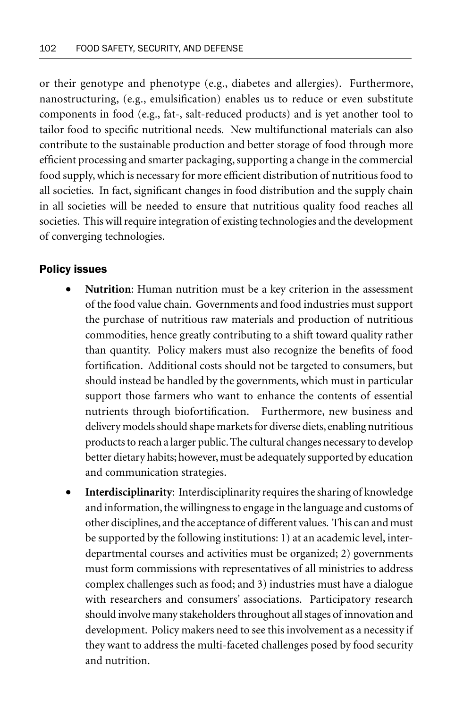or their genotype and phenotype (e.g., diabetes and allergies). Furthermore, nanostructuring, (e.g., emulsification) enables us to reduce or even substitute components in food (e.g., fat-, salt-reduced products) and is yet another tool to tailor food to specific nutritional needs. New multifunctional materials can also contribute to the sustainable production and better storage of food through more efficient processing and smarter packaging, supporting a change in the commercial food supply, which is necessary for more efficient distribution of nutritious food to all societies. In fact, significant changes in food distribution and the supply chain in all societies will be needed to ensure that nutritious quality food reaches all societies. This will require integration of existing technologies and the development of converging technologies.

#### Policy issues

- **Nutrition**: Human nutrition must be a key criterion in the assessment of the food value chain. Governments and food industries must support the purchase of nutritious raw materials and production of nutritious commodities, hence greatly contributing to a shift toward quality rather than quantity. Policy makers must also recognize the benefits of food fortification. Additional costs should not be targeted to consumers, but should instead be handled by the governments, which must in particular support those farmers who want to enhance the contents of essential nutrients through biofortification. Furthermore, new business and delivery models should shape markets for diverse diets, enabling nutritious products to reach a larger public. The cultural changes necessary to develop better dietary habits; however, must be adequately supported by education and communication strategies.
- **Interdisciplinarity**: Interdisciplinarity requires the sharing of knowledge and information, the willingness to engage in the language and customs of other disciplines, and the acceptance of different values. This can and must be supported by the following institutions: 1) at an academic level, interdepartmental courses and activities must be organized; 2) governments must form commissions with representatives of all ministries to address complex challenges such as food; and 3) industries must have a dialogue with researchers and consumers' associations. Participatory research should involve many stakeholders throughout all stages of innovation and development. Policy makers need to see this involvement as a necessity if they want to address the multi-faceted challenges posed by food security and nutrition.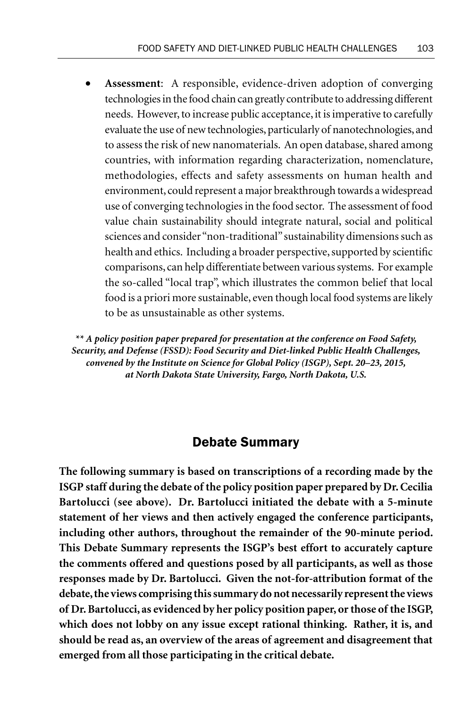• **Assessment**: A responsible, evidence-driven adoption of converging technologies in the food chain can greatly contribute to addressing different needs. However, to increase public acceptance, it is imperative to carefully evaluate the use of new technologies, particularly of nanotechnologies, and to assess the risk of new nanomaterials. An open database, shared among countries, with information regarding characterization, nomenclature, methodologies, effects and safety assessments on human health and environment, could represent a major breakthrough towards a widespread use of converging technologies in the food sector. The assessment of food value chain sustainability should integrate natural, social and political sciences and consider "non-traditional" sustainability dimensions such as health and ethics. Including a broader perspective, supported by scientific comparisons, can help differentiate between various systems. For example the so-called "local trap", which illustrates the common belief that local food is a priori more sustainable, even though local food systems are likely to be as unsustainable as other systems.

*\*\* A policy position paper prepared for presentation at the conference on Food Safety, Security, and Defense (FSSD): Food Security and Diet-linked Public Health Challenges, convened by the Institute on Science for Global Policy (ISGP), Sept. 20–23, 2015, at North Dakota State University, Fargo, North Dakota, U.S.*

# Debate Summary

**The following summary is based on transcriptions of a recording made by the ISGP staff during the debate of the policy position paper prepared by Dr. Cecilia Bartolucci (see above). Dr. Bartolucci initiated the debate with a 5-minute statement of her views and then actively engaged the conference participants, including other authors, throughout the remainder of the 90-minute period. This Debate Summary represents the ISGP's best effort to accurately capture the comments offered and questions posed by all participants, as well as those responses made by Dr. Bartolucci. Given the not-for-attribution format of the debate, the views comprising this summary do not necessarily represent the views of Dr. Bartolucci, as evidenced by her policy position paper, or those of the ISGP, which does not lobby on any issue except rational thinking. Rather, it is, and should be read as, an overview of the areas of agreement and disagreement that emerged from all those participating in the critical debate.**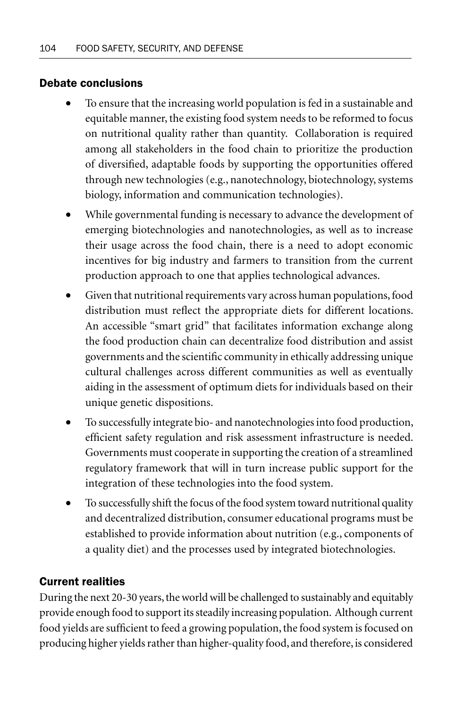# Debate conclusions

- To ensure that the increasing world population is fed in a sustainable and equitable manner, the existing food system needs to be reformed to focus on nutritional quality rather than quantity. Collaboration is required among all stakeholders in the food chain to prioritize the production of diversified, adaptable foods by supporting the opportunities offered through new technologies (e.g., nanotechnology, biotechnology, systems biology, information and communication technologies).
- While governmental funding is necessary to advance the development of emerging biotechnologies and nanotechnologies, as well as to increase their usage across the food chain, there is a need to adopt economic incentives for big industry and farmers to transition from the current production approach to one that applies technological advances.
- Given that nutritional requirements vary across human populations, food distribution must reflect the appropriate diets for different locations. An accessible "smart grid" that facilitates information exchange along the food production chain can decentralize food distribution and assist governments and the scientific community in ethically addressing unique cultural challenges across different communities as well as eventually aiding in the assessment of optimum diets for individuals based on their unique genetic dispositions.
- To successfully integrate bio- and nanotechnologies into food production, efficient safety regulation and risk assessment infrastructure is needed. Governments must cooperate in supporting the creation of a streamlined regulatory framework that will in turn increase public support for the integration of these technologies into the food system.
- To successfully shift the focus of the food system toward nutritional quality and decentralized distribution, consumer educational programs must be established to provide information about nutrition (e.g., components of a quality diet) and the processes used by integrated biotechnologies.

# Current realities

During the next 20-30 years, the world will be challenged to sustainably and equitably provide enough food to support its steadily increasing population. Although current food yields are sufficient to feed a growing population, the food system is focused on producing higher yields rather than higher-quality food, and therefore, is considered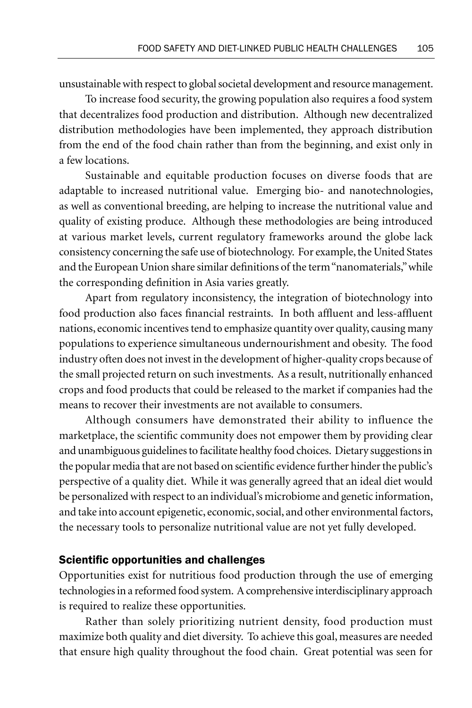unsustainable with respect to global societal development and resource management.

To increase food security, the growing population also requires a food system that decentralizes food production and distribution. Although new decentralized distribution methodologies have been implemented, they approach distribution from the end of the food chain rather than from the beginning, and exist only in a few locations.

Sustainable and equitable production focuses on diverse foods that are adaptable to increased nutritional value. Emerging bio- and nanotechnologies, as well as conventional breeding, are helping to increase the nutritional value and quality of existing produce. Although these methodologies are being introduced at various market levels, current regulatory frameworks around the globe lack consistency concerning the safe use of biotechnology. For example, the United States and the European Union share similar definitions of the term "nanomaterials," while the corresponding definition in Asia varies greatly.

Apart from regulatory inconsistency, the integration of biotechnology into food production also faces financial restraints. In both affluent and less-affluent nations, economic incentives tend to emphasize quantity over quality, causing many populations to experience simultaneous undernourishment and obesity. The food industry often does not invest in the development of higher-quality crops because of the small projected return on such investments. As a result, nutritionally enhanced crops and food products that could be released to the market if companies had the means to recover their investments are not available to consumers.

Although consumers have demonstrated their ability to influence the marketplace, the scientific community does not empower them by providing clear and unambiguous guidelines to facilitate healthy food choices. Dietary suggestions in the popular media that are not based on scientific evidence further hinder the public's perspective of a quality diet. While it was generally agreed that an ideal diet would be personalized with respect to an individual's microbiome and genetic information, and take into account epigenetic, economic, social, and other environmental factors, the necessary tools to personalize nutritional value are not yet fully developed.

#### Scientific opportunities and challenges

Opportunities exist for nutritious food production through the use of emerging technologies in a reformed food system. A comprehensive interdisciplinary approach is required to realize these opportunities.

Rather than solely prioritizing nutrient density, food production must maximize both quality and diet diversity. To achieve this goal, measures are needed that ensure high quality throughout the food chain. Great potential was seen for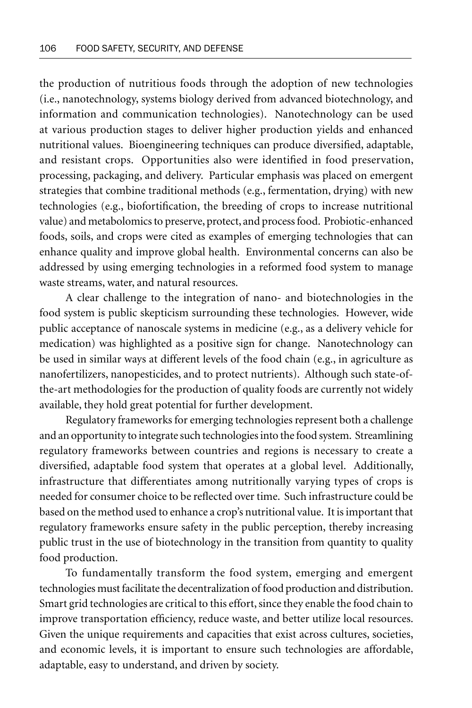the production of nutritious foods through the adoption of new technologies (i.e., nanotechnology, systems biology derived from advanced biotechnology, and information and communication technologies). Nanotechnology can be used at various production stages to deliver higher production yields and enhanced nutritional values. Bioengineering techniques can produce diversified, adaptable, and resistant crops. Opportunities also were identified in food preservation, processing, packaging, and delivery. Particular emphasis was placed on emergent strategies that combine traditional methods (e.g., fermentation, drying) with new technologies (e.g., biofortification, the breeding of crops to increase nutritional value) and metabolomics to preserve, protect, and process food. Probiotic-enhanced foods, soils, and crops were cited as examples of emerging technologies that can enhance quality and improve global health. Environmental concerns can also be addressed by using emerging technologies in a reformed food system to manage waste streams, water, and natural resources.

A clear challenge to the integration of nano- and biotechnologies in the food system is public skepticism surrounding these technologies. However, wide public acceptance of nanoscale systems in medicine (e.g., as a delivery vehicle for medication) was highlighted as a positive sign for change. Nanotechnology can be used in similar ways at different levels of the food chain (e.g., in agriculture as nanofertilizers, nanopesticides, and to protect nutrients). Although such state-ofthe-art methodologies for the production of quality foods are currently not widely available, they hold great potential for further development.

Regulatory frameworks for emerging technologies represent both a challenge and an opportunity to integrate such technologies into the food system. Streamlining regulatory frameworks between countries and regions is necessary to create a diversified, adaptable food system that operates at a global level. Additionally, infrastructure that differentiates among nutritionally varying types of crops is needed for consumer choice to be reflected over time. Such infrastructure could be based on the method used to enhance a crop's nutritional value. It is important that regulatory frameworks ensure safety in the public perception, thereby increasing public trust in the use of biotechnology in the transition from quantity to quality food production.

To fundamentally transform the food system, emerging and emergent technologies must facilitate the decentralization of food production and distribution. Smart grid technologies are critical to this effort, since they enable the food chain to improve transportation efficiency, reduce waste, and better utilize local resources. Given the unique requirements and capacities that exist across cultures, societies, and economic levels, it is important to ensure such technologies are affordable, adaptable, easy to understand, and driven by society.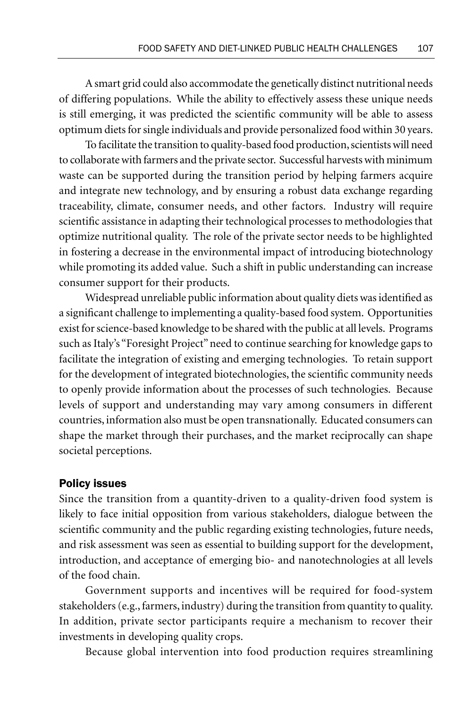A smart grid could also accommodate the genetically distinct nutritional needs of differing populations. While the ability to effectively assess these unique needs is still emerging, it was predicted the scientific community will be able to assess optimum diets for single individuals and provide personalized food within 30 years.

To facilitate the transition to quality-based food production, scientists will need to collaborate with farmers and the private sector. Successful harvests with minimum waste can be supported during the transition period by helping farmers acquire and integrate new technology, and by ensuring a robust data exchange regarding traceability, climate, consumer needs, and other factors. Industry will require scientific assistance in adapting their technological processes to methodologies that optimize nutritional quality. The role of the private sector needs to be highlighted in fostering a decrease in the environmental impact of introducing biotechnology while promoting its added value. Such a shift in public understanding can increase consumer support for their products.

Widespread unreliable public information about quality diets was identified as a significant challenge to implementing a quality-based food system. Opportunities exist for science-based knowledge to be shared with the public at all levels. Programs such as Italy's "Foresight Project" need to continue searching for knowledge gaps to facilitate the integration of existing and emerging technologies. To retain support for the development of integrated biotechnologies, the scientific community needs to openly provide information about the processes of such technologies. Because levels of support and understanding may vary among consumers in different countries, information also must be open transnationally. Educated consumers can shape the market through their purchases, and the market reciprocally can shape societal perceptions.

#### Policy issues

Since the transition from a quantity-driven to a quality-driven food system is likely to face initial opposition from various stakeholders, dialogue between the scientific community and the public regarding existing technologies, future needs, and risk assessment was seen as essential to building support for the development, introduction, and acceptance of emerging bio- and nanotechnologies at all levels of the food chain.

Government supports and incentives will be required for food-system stakeholders (e.g., farmers, industry) during the transition from quantity to quality. In addition, private sector participants require a mechanism to recover their investments in developing quality crops.

Because global intervention into food production requires streamlining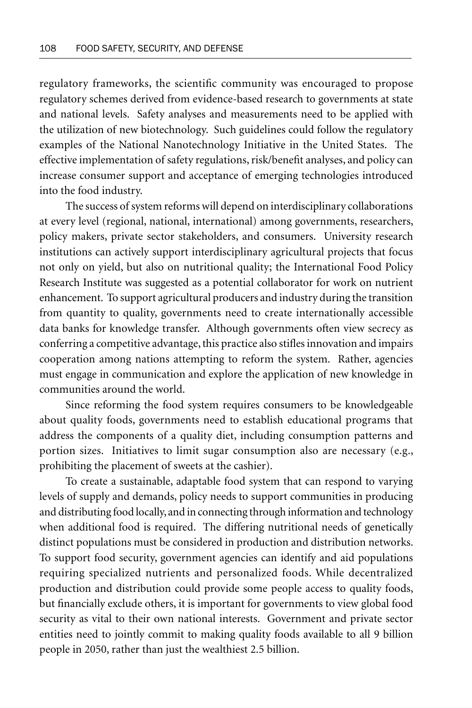regulatory frameworks, the scientific community was encouraged to propose regulatory schemes derived from evidence-based research to governments at state and national levels. Safety analyses and measurements need to be applied with the utilization of new biotechnology. Such guidelines could follow the regulatory examples of the National Nanotechnology Initiative in the United States. The effective implementation of safety regulations, risk/benefit analyses, and policy can increase consumer support and acceptance of emerging technologies introduced into the food industry.

The success of system reforms will depend on interdisciplinary collaborations at every level (regional, national, international) among governments, researchers, policy makers, private sector stakeholders, and consumers. University research institutions can actively support interdisciplinary agricultural projects that focus not only on yield, but also on nutritional quality; the International Food Policy Research Institute was suggested as a potential collaborator for work on nutrient enhancement. To support agricultural producers and industry during the transition from quantity to quality, governments need to create internationally accessible data banks for knowledge transfer. Although governments often view secrecy as conferring a competitive advantage, this practice also stifles innovation and impairs cooperation among nations attempting to reform the system. Rather, agencies must engage in communication and explore the application of new knowledge in communities around the world.

Since reforming the food system requires consumers to be knowledgeable about quality foods, governments need to establish educational programs that address the components of a quality diet, including consumption patterns and portion sizes. Initiatives to limit sugar consumption also are necessary (e.g., prohibiting the placement of sweets at the cashier).

To create a sustainable, adaptable food system that can respond to varying levels of supply and demands, policy needs to support communities in producing and distributing food locally, and in connecting through information and technology when additional food is required. The differing nutritional needs of genetically distinct populations must be considered in production and distribution networks. To support food security, government agencies can identify and aid populations requiring specialized nutrients and personalized foods. While decentralized production and distribution could provide some people access to quality foods, but financially exclude others, it is important for governments to view global food security as vital to their own national interests. Government and private sector entities need to jointly commit to making quality foods available to all 9 billion people in 2050, rather than just the wealthiest 2.5 billion.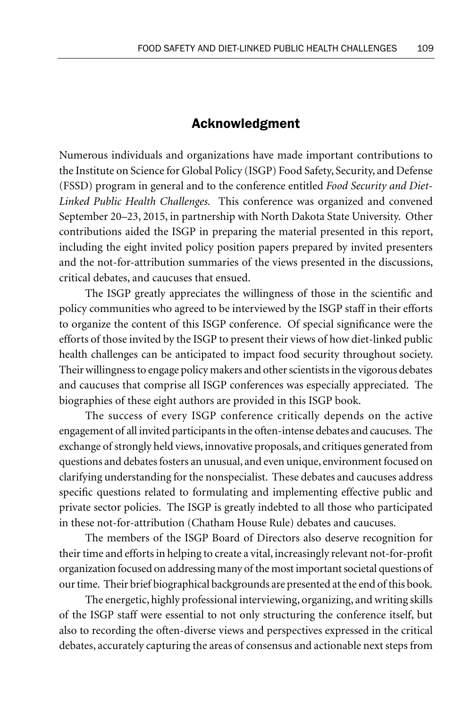# Acknowledgment

Numerous individuals and organizations have made important contributions to the Institute on Science for Global Policy (ISGP) Food Safety, Security, and Defense (FSSD) program in general and to the conference entitled *Food Security and Diet-Linked Public Health Challenges.* This conference was organized and convened September 20–23, 2015, in partnership with North Dakota State University. Other contributions aided the ISGP in preparing the material presented in this report, including the eight invited policy position papers prepared by invited presenters and the not-for-attribution summaries of the views presented in the discussions, critical debates, and caucuses that ensued.

The ISGP greatly appreciates the willingness of those in the scientific and policy communities who agreed to be interviewed by the ISGP staff in their efforts to organize the content of this ISGP conference. Of special significance were the efforts of those invited by the ISGP to present their views of how diet-linked public health challenges can be anticipated to impact food security throughout society. Their willingness to engage policy makers and other scientists in the vigorous debates and caucuses that comprise all ISGP conferences was especially appreciated. The biographies of these eight authors are provided in this ISGP book.

The success of every ISGP conference critically depends on the active engagement of all invited participants in the often-intense debates and caucuses. The exchange of strongly held views, innovative proposals, and critiques generated from questions and debates fosters an unusual, and even unique, environment focused on clarifying understanding for the nonspecialist. These debates and caucuses address specific questions related to formulating and implementing effective public and private sector policies. The ISGP is greatly indebted to all those who participated in these not-for-attribution (Chatham House Rule) debates and caucuses.

The members of the ISGP Board of Directors also deserve recognition for their time and efforts in helping to create a vital, increasingly relevant not-for-profit organization focused on addressing many of the most important societal questions of our time. Their brief biographical backgrounds are presented at the end of this book.

The energetic, highly professional interviewing, organizing, and writing skills of the ISGP staff were essential to not only structuring the conference itself, but also to recording the often-diverse views and perspectives expressed in the critical debates, accurately capturing the areas of consensus and actionable next steps from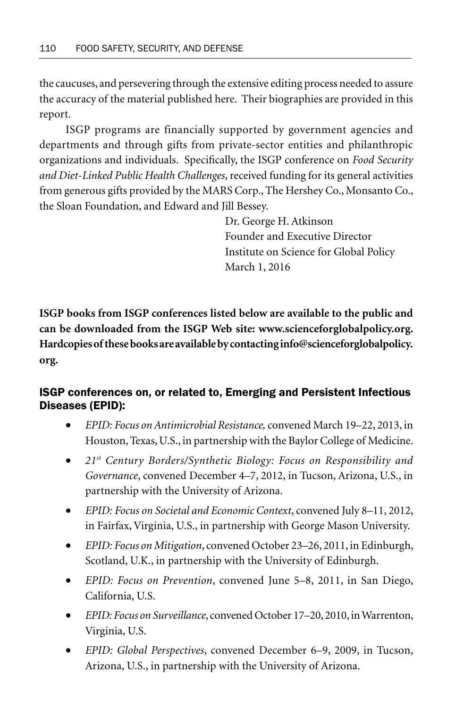the caucuses, and persevering through the extensive editing process needed to assure the accuracy of the material published here. Their biographies are provided in this report.

ISGP programs are financially supported by government agencies and departments and through gifts from private-sector entities and philanthropic organizations and individuals. Specifically, the ISGP conference on *Food Security and Diet-Linked Public Health Challenges*, received funding for its general activities from generous gifts provided by the MARS Corp., The Hershey Co., Monsanto Co., the Sloan Foundation, and Edward and Jill Bessey.

> Dr. George H. Atkinson Founder and Executive Director Institute on Science for Global Policy March 1, 2016

**ISGP books from ISGP conferences listed below are available to the public and can be downloaded from the ISGP Web site: www.scienceforglobalpolicy.org. Hardcopies of these books are available by contacting info@scienceforglobalpolicy. org.**

# ISGP conferences on, or related to, Emerging and Persistent Infectious Diseases (EPID):

- *EPID: Focus on Antimicrobial Resistance,* convened March 19–22, 2013, in Houston, Texas, U.S., in partnership with the Baylor College of Medicine.
- *21st Century Borders/Synthetic Biology: Focus on Responsibility and Governance*, convened December 4–7, 2012, in Tucson, Arizona, U.S., in partnership with the University of Arizona.
- *EPID: Focus on Societal and Economic Context*, convened July 8–11, 2012, in Fairfax, Virginia, U.S., in partnership with George Mason University.
- *EPID: Focus on Mitigation*, convened October 23–26, 2011, in Edinburgh, Scotland, U.K., in partnership with the University of Edinburgh.
- *EPID: Focus on Prevention*, convened June 5–8, 2011, in San Diego, California, U.S.
- *EPID: Focus on Surveillance*, convened October 17–20, 2010, in Warrenton, Virginia, U.S.
- *EPID: Global Perspectives*, convened December 6–9, 2009, in Tucson, Arizona, U.S., in partnership with the University of Arizona.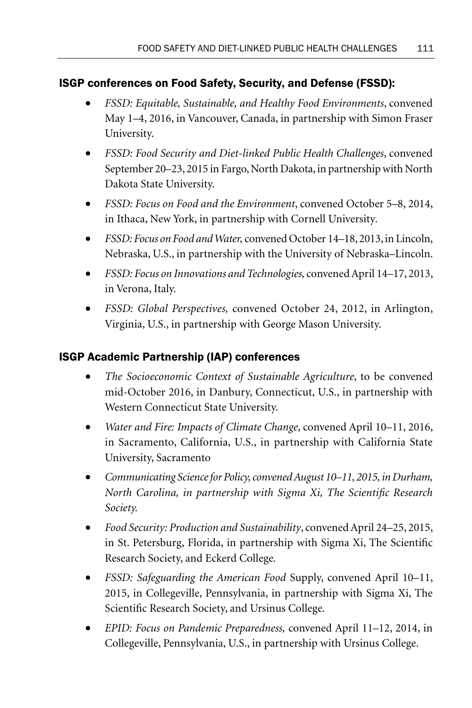# ISGP conferences on Food Safety, Security, and Defense (FSSD):

- *FSSD: Equitable, Sustainable, and Healthy Food Environments*, convened May 1–4, 2016, in Vancouver, Canada, in partnership with Simon Fraser University.
- *FSSD: Food Security and Diet-linked Public Health Challenges*, convened September 20–23, 2015 in Fargo, North Dakota, in partnership with North Dakota State University.
- *FSSD: Focus on Food and the Environment*, convened October 5–8, 2014, in Ithaca, New York, in partnership with Cornell University*.*
- *FSSD: Focus on Food and Water,* convened October 14–18, 2013, in Lincoln, Nebraska, U.S., in partnership with the University of Nebraska–Lincoln.
- *FSSD: Focus on Innovations and Technologies,* convened April 14–17, 2013, in Verona, Italy.
- *FSSD: Global Perspectives,* convened October 24, 2012, in Arlington, Virginia, U.S., in partnership with George Mason University.

# ISGP Academic Partnership (IAP) conferences

- *The Socioeconomic Context of Sustainable Agriculture*, to be convened mid-October 2016, in Danbury, Connecticut, U.S., in partnership with Western Connecticut State University.
- *Water and Fire: Impacts of Climate Change*, convened April 10–11, 2016, in Sacramento, California, U.S., in partnership with California State University, Sacramento
- *Communicating Science for Policy, convened August 10–11, 2015, in Durham, North Carolina, in partnership with Sigma Xi, The Scientific Research Society.*
- *Food Security: Production and Sustainability*, convened April 24–25, 2015, in St. Petersburg, Florida, in partnership with Sigma Xi, The Scientific Research Society, and Eckerd College*.*
- *FSSD: Safeguarding the American Food* Supply, convened April 10–11, 2015, in Collegeville, Pennsylvania, in partnership with Sigma Xi, The Scientific Research Society, and Ursinus College*.*
- *EPID: Focus on Pandemic Preparedness,* convened April 11–12, 2014, in Collegeville, Pennsylvania, U.S., in partnership with Ursinus College.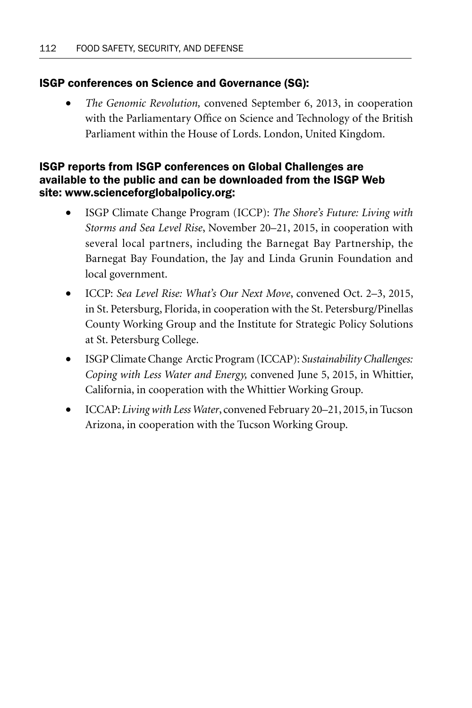# ISGP conferences on Science and Governance (SG):

• *The Genomic Revolution,* convened September 6, 2013, in cooperation with the Parliamentary Office on Science and Technology of the British Parliament within the House of Lords. London, United Kingdom.

# ISGP reports from ISGP conferences on Global Challenges are available to the public and can be downloaded from the ISGP Web site: www.scienceforglobalpolicy.org:

- ISGP Climate Change Program (ICCP): *The Shore's Future: Living with Storms and Sea Level Rise*, November 20–21, 2015, in cooperation with several local partners, including the Barnegat Bay Partnership, the Barnegat Bay Foundation, the Jay and Linda Grunin Foundation and local government.
- ICCP: *Sea Level Rise: What's Our Next Move*, convened Oct. 2–3, 2015, in St. Petersburg, Florida, in cooperation with the St. Petersburg/Pinellas County Working Group and the Institute for Strategic Policy Solutions at St. Petersburg College.
- ISGP Climate Change Arctic Program (ICCAP): *Sustainability Challenges: Coping with Less Water and Energy,* convened June 5, 2015, in Whittier, California, in cooperation with the Whittier Working Group.
- ICCAP: *Living with Less Water*, convened February 20–21, 2015, in Tucson Arizona, in cooperation with the Tucson Working Group.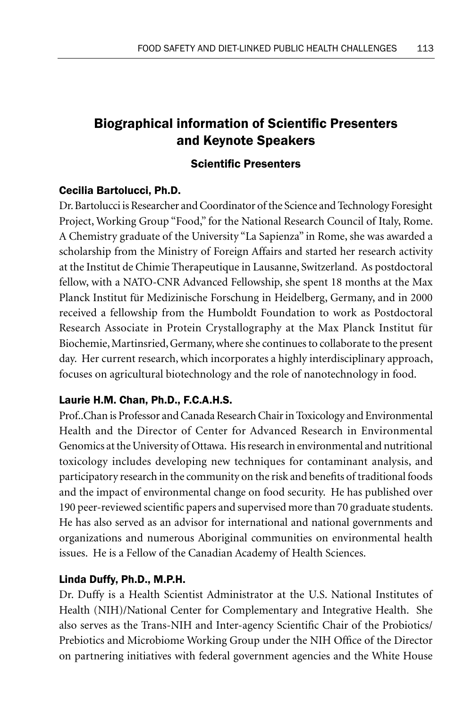# **Biographical information of Scientific Presenters** and Keynote Speakers

# **Scientific Presenters**

# Cecilia Bartolucci, Ph.D.

Dr. Bartolucci is Researcher and Coordinator of the Science and Technology Foresight Project, Working Group "Food," for the National Research Council of Italy, Rome. A Chemistry graduate of the University "La Sapienza" in Rome, she was awarded a scholarship from the Ministry of Foreign Affairs and started her research activity at the Institut de Chimie Therapeutique in Lausanne, Switzerland. As postdoctoral fellow, with a NATO-CNR Advanced Fellowship, she spent 18 months at the Max Planck Institut für Medizinische Forschung in Heidelberg, Germany, and in 2000 received a fellowship from the Humboldt Foundation to work as Postdoctoral Research Associate in Protein Crystallography at the Max Planck Institut für Biochemie, Martinsried, Germany, where she continues to collaborate to the present day. Her current research, which incorporates a highly interdisciplinary approach, focuses on agricultural biotechnology and the role of nanotechnology in food.

# Laurie H.M. Chan, Ph.D., F.C.A.H.S.

Prof..Chan is Professor and Canada Research Chair in Toxicology and Environmental Health and the Director of Center for Advanced Research in Environmental Genomics at the University of Ottawa. His research in environmental and nutritional toxicology includes developing new techniques for contaminant analysis, and participatory research in the community on the risk and benefits of traditional foods and the impact of environmental change on food security. He has published over 190 peer-reviewed scientific papers and supervised more than 70 graduate students. He has also served as an advisor for international and national governments and organizations and numerous Aboriginal communities on environmental health issues. He is a Fellow of the Canadian Academy of Health Sciences.

# Linda Duffy, Ph.D., M.P.H.

Dr. Duffy is a Health Scientist Administrator at the U.S. National Institutes of Health (NIH)/National Center for Complementary and Integrative Health. She also serves as the Trans-NIH and Inter-agency Scientific Chair of the Probiotics/ Prebiotics and Microbiome Working Group under the NIH Office of the Director on partnering initiatives with federal government agencies and the White House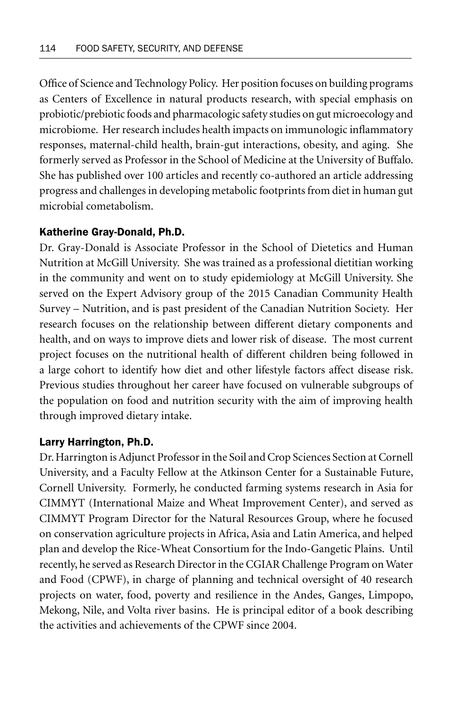Office of Science and Technology Policy. Her position focuses on building programs as Centers of Excellence in natural products research, with special emphasis on probiotic/prebiotic foods and pharmacologic safety studies on gut microecology and microbiome. Her research includes health impacts on immunologic inflammatory responses, maternal-child health, brain-gut interactions, obesity, and aging. She formerly served as Professor in the School of Medicine at the University of Buffalo. She has published over 100 articles and recently co-authored an article addressing progress and challenges in developing metabolic footprints from diet in human gut microbial cometabolism.

## Katherine Gray-Donald, Ph.D.

Dr. Gray-Donald is Associate Professor in the School of Dietetics and Human Nutrition at McGill University. She was trained as a professional dietitian working in the community and went on to study epidemiology at McGill University. She served on the Expert Advisory group of the 2015 Canadian Community Health Survey – Nutrition, and is past president of the Canadian Nutrition Society. Her research focuses on the relationship between different dietary components and health, and on ways to improve diets and lower risk of disease. The most current project focuses on the nutritional health of different children being followed in a large cohort to identify how diet and other lifestyle factors affect disease risk. Previous studies throughout her career have focused on vulnerable subgroups of the population on food and nutrition security with the aim of improving health through improved dietary intake.

#### Larry Harrington, Ph.D.

Dr. Harrington is Adjunct Professor in the Soil and Crop Sciences Section at Cornell University, and a Faculty Fellow at the Atkinson Center for a Sustainable Future, Cornell University. Formerly, he conducted farming systems research in Asia for CIMMYT (International Maize and Wheat Improvement Center), and served as CIMMYT Program Director for the Natural Resources Group, where he focused on conservation agriculture projects in Africa, Asia and Latin America, and helped plan and develop the Rice-Wheat Consortium for the Indo-Gangetic Plains. Until recently, he served as Research Director in the CGIAR Challenge Program on Water and Food (CPWF), in charge of planning and technical oversight of 40 research projects on water, food, poverty and resilience in the Andes, Ganges, Limpopo, Mekong, Nile, and Volta river basins. He is principal editor of a book describing the activities and achievements of the CPWF since 2004.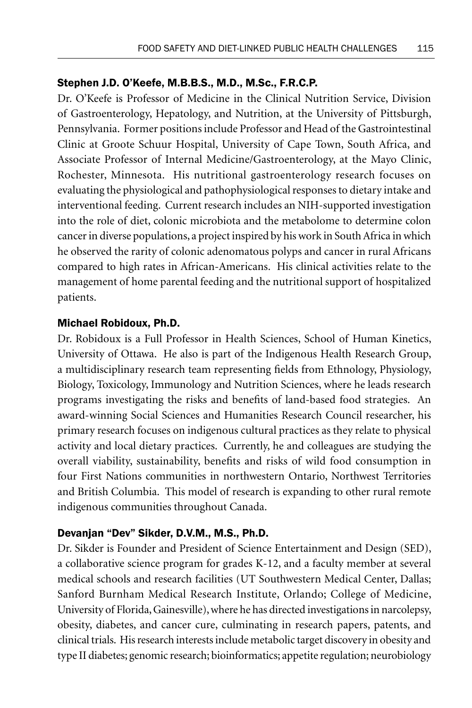### Stephen J.D. O'Keefe, M.B.B.S., M.D., M.Sc., F.R.C.P.

Dr. O'Keefe is Professor of Medicine in the Clinical Nutrition Service, Division of Gastroenterology, Hepatology, and Nutrition, at the University of Pittsburgh, Pennsylvania. Former positions include Professor and Head of the Gastrointestinal Clinic at Groote Schuur Hospital, University of Cape Town, South Africa, and Associate Professor of Internal Medicine/Gastroenterology, at the Mayo Clinic, Rochester, Minnesota. His nutritional gastroenterology research focuses on evaluating the physiological and pathophysiological responses to dietary intake and interventional feeding. Current research includes an NIH-supported investigation into the role of diet, colonic microbiota and the metabolome to determine colon cancer in diverse populations, a project inspired by his work in South Africa in which he observed the rarity of colonic adenomatous polyps and cancer in rural Africans compared to high rates in African-Americans. His clinical activities relate to the management of home parental feeding and the nutritional support of hospitalized patients.

### Michael Robidoux, Ph.D.

Dr. Robidoux is a Full Professor in Health Sciences, School of Human Kinetics, University of Ottawa. He also is part of the Indigenous Health Research Group, a multidisciplinary research team representing fields from Ethnology, Physiology, Biology, Toxicology, Immunology and Nutrition Sciences, where he leads research programs investigating the risks and benefits of land-based food strategies. An award-winning Social Sciences and Humanities Research Council researcher, his primary research focuses on indigenous cultural practices as they relate to physical activity and local dietary practices. Currently, he and colleagues are studying the overall viability, sustainability, benefits and risks of wild food consumption in four First Nations communities in northwestern Ontario, Northwest Territories and British Columbia. This model of research is expanding to other rural remote indigenous communities throughout Canada.

## Devanjan "Dev" Sikder, D.V.M., M.S., Ph.D.

Dr. Sikder is Founder and President of Science Entertainment and Design (SED), a collaborative science program for grades K-12, and a faculty member at several medical schools and research facilities (UT Southwestern Medical Center, Dallas; Sanford Burnham Medical Research Institute, Orlando; College of Medicine, University of Florida, Gainesville), where he has directed investigations in narcolepsy, obesity, diabetes, and cancer cure, culminating in research papers, patents, and clinical trials. His research interests include metabolic target discovery in obesity and type II diabetes; genomic research; bioinformatics; appetite regulation; neurobiology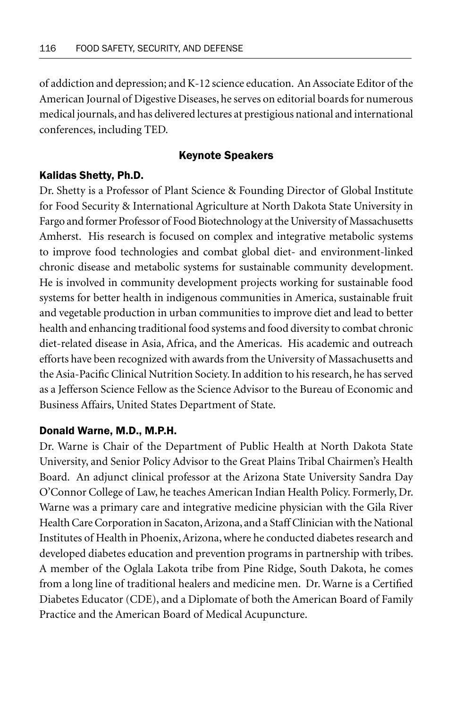of addiction and depression; and K-12 science education. An Associate Editor of the American Journal of Digestive Diseases, he serves on editorial boards for numerous medical journals, and has delivered lectures at prestigious national and international conferences, including TED.

#### Keynote Speakers

#### Kalidas Shetty, Ph.D.

Dr. Shetty is a Professor of Plant Science & Founding Director of Global Institute for Food Security & International Agriculture at North Dakota State University in Fargo and former Professor of Food Biotechnology at the University of Massachusetts Amherst. His research is focused on complex and integrative metabolic systems to improve food technologies and combat global diet- and environment-linked chronic disease and metabolic systems for sustainable community development. He is involved in community development projects working for sustainable food systems for better health in indigenous communities in America, sustainable fruit and vegetable production in urban communities to improve diet and lead to better health and enhancing traditional food systems and food diversity to combat chronic diet-related disease in Asia, Africa, and the Americas. His academic and outreach efforts have been recognized with awards from the University of Massachusetts and the Asia-Pacific Clinical Nutrition Society. In addition to his research, he has served as a Jefferson Science Fellow as the Science Advisor to the Bureau of Economic and Business Affairs, United States Department of State.

#### Donald Warne, M.D., M.P.H.

Dr. Warne is Chair of the Department of Public Health at North Dakota State University, and Senior Policy Advisor to the Great Plains Tribal Chairmen's Health Board. An adjunct clinical professor at the Arizona State University Sandra Day O'Connor College of Law, he teaches American Indian Health Policy. Formerly, Dr. Warne was a primary care and integrative medicine physician with the Gila River Health Care Corporation in Sacaton, Arizona, and a Staff Clinician with the National Institutes of Health in Phoenix, Arizona, where he conducted diabetes research and developed diabetes education and prevention programs in partnership with tribes. A member of the Oglala Lakota tribe from Pine Ridge, South Dakota, he comes from a long line of traditional healers and medicine men. Dr. Warne is a Certified Diabetes Educator (CDE), and a Diplomate of both the American Board of Family Practice and the American Board of Medical Acupuncture.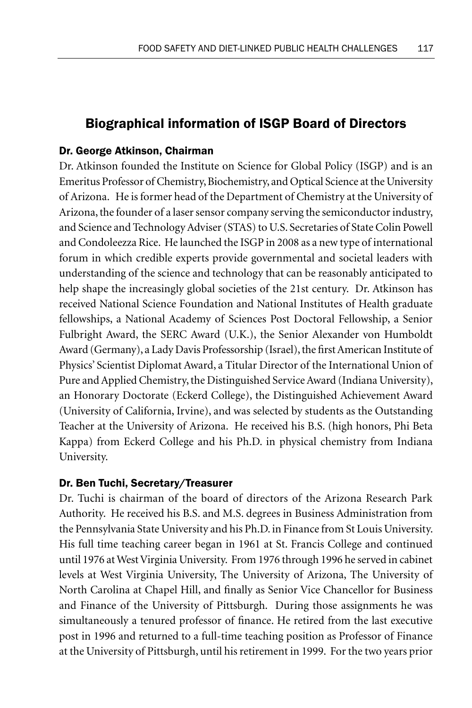# Biographical information of ISGP Board of Directors

# Dr. George Atkinson, Chairman

Dr. Atkinson founded the Institute on Science for Global Policy (ISGP) and is an Emeritus Professor of Chemistry, Biochemistry, and Optical Science at the University of Arizona. He is former head of the Department of Chemistry at the University of Arizona, the founder of a laser sensor company serving the semiconductor industry, and Science and Technology Adviser (STAS) to U.S. Secretaries of State Colin Powell and Condoleezza Rice. He launched the ISGP in 2008 as a new type of international forum in which credible experts provide governmental and societal leaders with understanding of the science and technology that can be reasonably anticipated to help shape the increasingly global societies of the 21st century. Dr. Atkinson has received National Science Foundation and National Institutes of Health graduate fellowships, a National Academy of Sciences Post Doctoral Fellowship, a Senior Fulbright Award, the SERC Award (U.K.), the Senior Alexander von Humboldt Award (Germany), a Lady Davis Professorship (Israel), the first American Institute of Physics' Scientist Diplomat Award, a Titular Director of the International Union of Pure and Applied Chemistry, the Distinguished Service Award (Indiana University), an Honorary Doctorate (Eckerd College), the Distinguished Achievement Award (University of California, Irvine), and was selected by students as the Outstanding Teacher at the University of Arizona. He received his B.S. (high honors, Phi Beta Kappa) from Eckerd College and his Ph.D. in physical chemistry from Indiana University.

## Dr. Ben Tuchi, Secretary/Treasurer

Dr. Tuchi is chairman of the board of directors of the Arizona Research Park Authority. He received his B.S. and M.S. degrees in Business Administration from the Pennsylvania State University and his Ph.D. in Finance from St Louis University. His full time teaching career began in 1961 at St. Francis College and continued until 1976 at West Virginia University. From 1976 through 1996 he served in cabinet levels at West Virginia University, The University of Arizona, The University of North Carolina at Chapel Hill, and finally as Senior Vice Chancellor for Business and Finance of the University of Pittsburgh. During those assignments he was simultaneously a tenured professor of finance. He retired from the last executive post in 1996 and returned to a full-time teaching position as Professor of Finance at the University of Pittsburgh, until his retirement in 1999. For the two years prior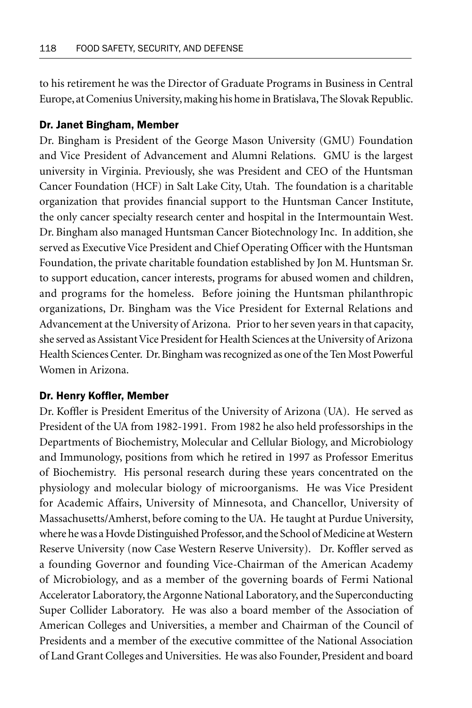to his retirement he was the Director of Graduate Programs in Business in Central Europe, at Comenius University, making his home in Bratislava, The Slovak Republic.

#### Dr. Janet Bingham, Member

Dr. Bingham is President of the George Mason University (GMU) Foundation and Vice President of Advancement and Alumni Relations. GMU is the largest university in Virginia. Previously, she was President and CEO of the Huntsman Cancer Foundation (HCF) in Salt Lake City, Utah. The foundation is a charitable organization that provides financial support to the Huntsman Cancer Institute, the only cancer specialty research center and hospital in the Intermountain West. Dr. Bingham also managed Huntsman Cancer Biotechnology Inc. In addition, she served as Executive Vice President and Chief Operating Officer with the Huntsman Foundation, the private charitable foundation established by Jon M. Huntsman Sr. to support education, cancer interests, programs for abused women and children, and programs for the homeless. Before joining the Huntsman philanthropic organizations, Dr. Bingham was the Vice President for External Relations and Advancement at the University of Arizona. Prior to her seven years in that capacity, she served as Assistant Vice President for Health Sciences at the University of Arizona Health Sciences Center. Dr. Bingham was recognized as one of the Ten Most Powerful Women in Arizona.

#### Dr. Henry Koffler, Member

Dr. Koffler is President Emeritus of the University of Arizona (UA). He served as President of the UA from 1982-1991. From 1982 he also held professorships in the Departments of Biochemistry, Molecular and Cellular Biology, and Microbiology and Immunology, positions from which he retired in 1997 as Professor Emeritus of Biochemistry. His personal research during these years concentrated on the physiology and molecular biology of microorganisms. He was Vice President for Academic Affairs, University of Minnesota, and Chancellor, University of Massachusetts/Amherst, before coming to the UA. He taught at Purdue University, where he was a Hovde Distinguished Professor, and the School of Medicine at Western Reserve University (now Case Western Reserve University). Dr. Koffler served as a founding Governor and founding Vice-Chairman of the American Academy of Microbiology, and as a member of the governing boards of Fermi National Accelerator Laboratory, the Argonne National Laboratory, and the Superconducting Super Collider Laboratory. He was also a board member of the Association of American Colleges and Universities, a member and Chairman of the Council of Presidents and a member of the executive committee of the National Association of Land Grant Colleges and Universities. He was also Founder, President and board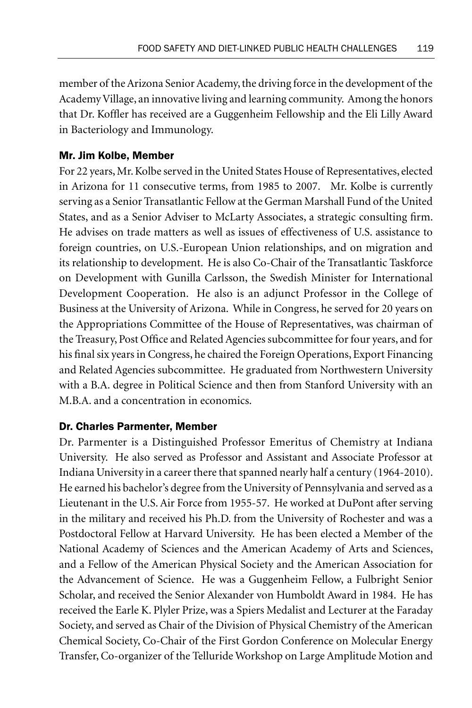member of the Arizona Senior Academy, the driving force in the development of the Academy Village, an innovative living and learning community. Among the honors that Dr. Koffler has received are a Guggenheim Fellowship and the Eli Lilly Award in Bacteriology and Immunology.

# Mr. Jim Kolbe, Member

For 22 years, Mr. Kolbe served in the United States House of Representatives, elected in Arizona for 11 consecutive terms, from 1985 to 2007. Mr. Kolbe is currently serving as a Senior Transatlantic Fellow at the German Marshall Fund of the United States, and as a Senior Adviser to McLarty Associates, a strategic consulting firm. He advises on trade matters as well as issues of effectiveness of U.S. assistance to foreign countries, on U.S.-European Union relationships, and on migration and its relationship to development. He is also Co-Chair of the Transatlantic Taskforce on Development with Gunilla Carlsson, the Swedish Minister for International Development Cooperation. He also is an adjunct Professor in the College of Business at the University of Arizona. While in Congress, he served for 20 years on the Appropriations Committee of the House of Representatives, was chairman of the Treasury, Post Office and Related Agencies subcommittee for four years, and for his final six years in Congress, he chaired the Foreign Operations, Export Financing and Related Agencies subcommittee. He graduated from Northwestern University with a B.A. degree in Political Science and then from Stanford University with an M.B.A. and a concentration in economics.

## Dr. Charles Parmenter, Member

Dr. Parmenter is a Distinguished Professor Emeritus of Chemistry at Indiana University. He also served as Professor and Assistant and Associate Professor at Indiana University in a career there that spanned nearly half a century (1964-2010). He earned his bachelor's degree from the University of Pennsylvania and served as a Lieutenant in the U.S. Air Force from 1955-57. He worked at DuPont after serving in the military and received his Ph.D. from the University of Rochester and was a Postdoctoral Fellow at Harvard University. He has been elected a Member of the National Academy of Sciences and the American Academy of Arts and Sciences, and a Fellow of the American Physical Society and the American Association for the Advancement of Science. He was a Guggenheim Fellow, a Fulbright Senior Scholar, and received the Senior Alexander von Humboldt Award in 1984. He has received the Earle K. Plyler Prize, was a Spiers Medalist and Lecturer at the Faraday Society, and served as Chair of the Division of Physical Chemistry of the American Chemical Society, Co-Chair of the First Gordon Conference on Molecular Energy Transfer, Co-organizer of the Telluride Workshop on Large Amplitude Motion and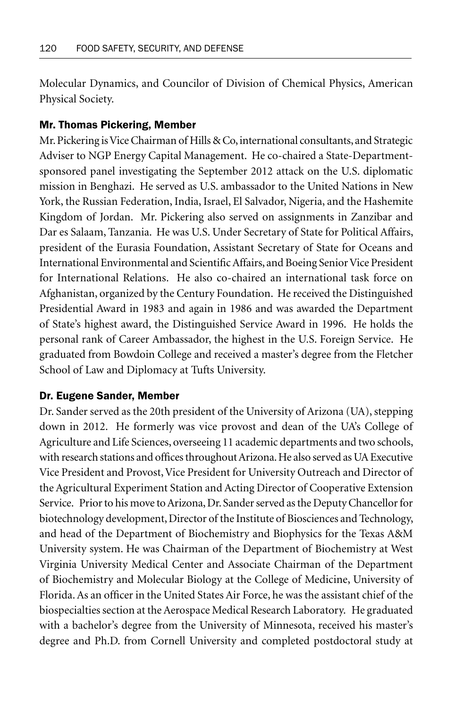Molecular Dynamics, and Councilor of Division of Chemical Physics, American Physical Society.

#### Mr. Thomas Pickering, Member

Mr. Pickering is Vice Chairman of Hills & Co, international consultants, and Strategic Adviser to NGP Energy Capital Management. He co-chaired a State-Departmentsponsored panel investigating the September 2012 attack on the U.S. diplomatic mission in Benghazi. He served as U.S. ambassador to the United Nations in New York, the Russian Federation, India, Israel, El Salvador, Nigeria, and the Hashemite Kingdom of Jordan. Mr. Pickering also served on assignments in Zanzibar and Dar es Salaam, Tanzania. He was U.S. Under Secretary of State for Political Affairs, president of the Eurasia Foundation, Assistant Secretary of State for Oceans and International Environmental and Scientific Affairs, and Boeing Senior Vice President for International Relations. He also co-chaired an international task force on Afghanistan, organized by the Century Foundation. He received the Distinguished Presidential Award in 1983 and again in 1986 and was awarded the Department of State's highest award, the Distinguished Service Award in 1996. He holds the personal rank of Career Ambassador, the highest in the U.S. Foreign Service. He graduated from Bowdoin College and received a master's degree from the Fletcher School of Law and Diplomacy at Tufts University.

#### Dr. Eugene Sander, Member

Dr. Sander served as the 20th president of the University of Arizona (UA), stepping down in 2012. He formerly was vice provost and dean of the UA's College of Agriculture and Life Sciences, overseeing 11 academic departments and two schools, with research stations and offices throughout Arizona. He also served as UA Executive Vice President and Provost, Vice President for University Outreach and Director of the Agricultural Experiment Station and Acting Director of Cooperative Extension Service. Prior to his move to Arizona, Dr. Sander served as the Deputy Chancellor for biotechnology development, Director of the Institute of Biosciences and Technology, and head of the Department of Biochemistry and Biophysics for the Texas A&M University system. He was Chairman of the Department of Biochemistry at West Virginia University Medical Center and Associate Chairman of the Department of Biochemistry and Molecular Biology at the College of Medicine, University of Florida. As an officer in the United States Air Force, he was the assistant chief of the biospecialties section at the Aerospace Medical Research Laboratory. He graduated with a bachelor's degree from the University of Minnesota, received his master's degree and Ph.D. from Cornell University and completed postdoctoral study at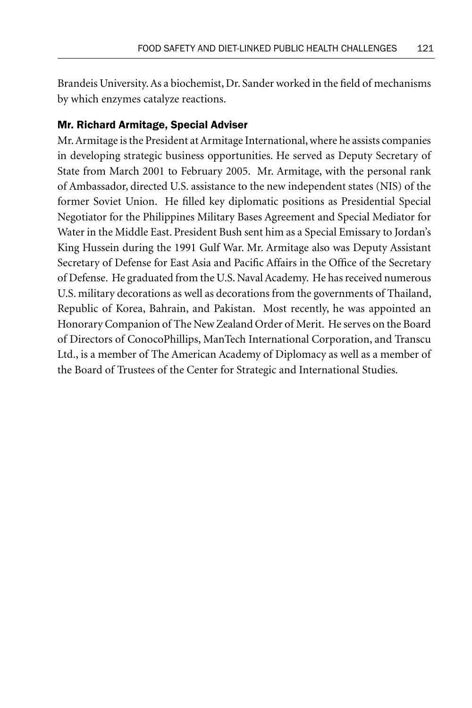Brandeis University. As a biochemist, Dr. Sander worked in the field of mechanisms by which enzymes catalyze reactions.

# Mr. Richard Armitage, Special Adviser

Mr. Armitage is the President at Armitage International, where he assists companies in developing strategic business opportunities. He served as Deputy Secretary of State from March 2001 to February 2005. Mr. Armitage, with the personal rank of Ambassador, directed U.S. assistance to the new independent states (NIS) of the former Soviet Union. He filled key diplomatic positions as Presidential Special Negotiator for the Philippines Military Bases Agreement and Special Mediator for Water in the Middle East. President Bush sent him as a Special Emissary to Jordan's King Hussein during the 1991 Gulf War. Mr. Armitage also was Deputy Assistant Secretary of Defense for East Asia and Pacific Affairs in the Office of the Secretary of Defense. He graduated from the U.S. Naval Academy. He has received numerous U.S. military decorations as well as decorations from the governments of Thailand, Republic of Korea, Bahrain, and Pakistan. Most recently, he was appointed an Honorary Companion of The New Zealand Order of Merit. He serves on the Board of Directors of ConocoPhillips, ManTech International Corporation, and Transcu Ltd., is a member of The American Academy of Diplomacy as well as a member of the Board of Trustees of the Center for Strategic and International Studies.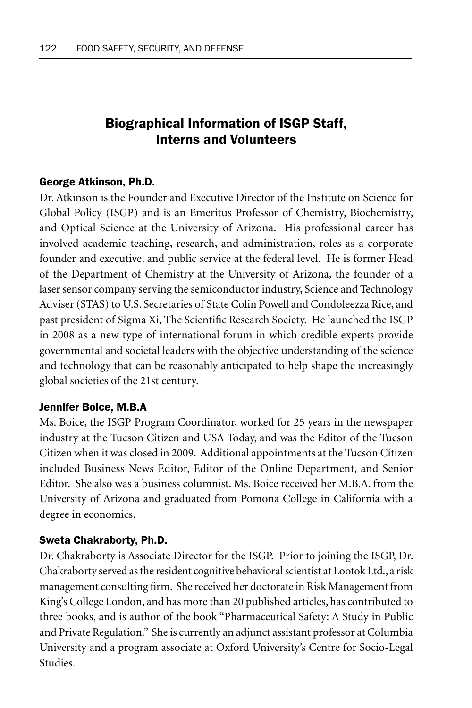# Biographical Information of ISGP Staff, Interns and Volunteers

## George Atkinson, Ph.D.

Dr. Atkinson is the Founder and Executive Director of the Institute on Science for Global Policy (ISGP) and is an Emeritus Professor of Chemistry, Biochemistry, and Optical Science at the University of Arizona. His professional career has involved academic teaching, research, and administration, roles as a corporate founder and executive, and public service at the federal level. He is former Head of the Department of Chemistry at the University of Arizona, the founder of a laser sensor company serving the semiconductor industry, Science and Technology Adviser (STAS) to U.S. Secretaries of State Colin Powell and Condoleezza Rice, and past president of Sigma Xi, The Scientific Research Society. He launched the ISGP in 2008 as a new type of international forum in which credible experts provide governmental and societal leaders with the objective understanding of the science and technology that can be reasonably anticipated to help shape the increasingly global societies of the 21st century.

#### Jennifer Boice, M.B.A

Ms. Boice, the ISGP Program Coordinator, worked for 25 years in the newspaper industry at the Tucson Citizen and USA Today, and was the Editor of the Tucson Citizen when it was closed in 2009. Additional appointments at the Tucson Citizen included Business News Editor, Editor of the Online Department, and Senior Editor. She also was a business columnist. Ms. Boice received her M.B.A. from the University of Arizona and graduated from Pomona College in California with a degree in economics.

#### Sweta Chakraborty, Ph.D.

Dr. Chakraborty is Associate Director for the ISGP. Prior to joining the ISGP, Dr. Chakraborty served as the resident cognitive behavioral scientist at Lootok Ltd., a risk management consulting firm. She received her doctorate in Risk Management from King's College London, and has more than 20 published articles, has contributed to three books, and is author of the book "Pharmaceutical Safety: A Study in Public and Private Regulation." She is currently an adjunct assistant professor at Columbia University and a program associate at Oxford University's Centre for Socio-Legal **Studies**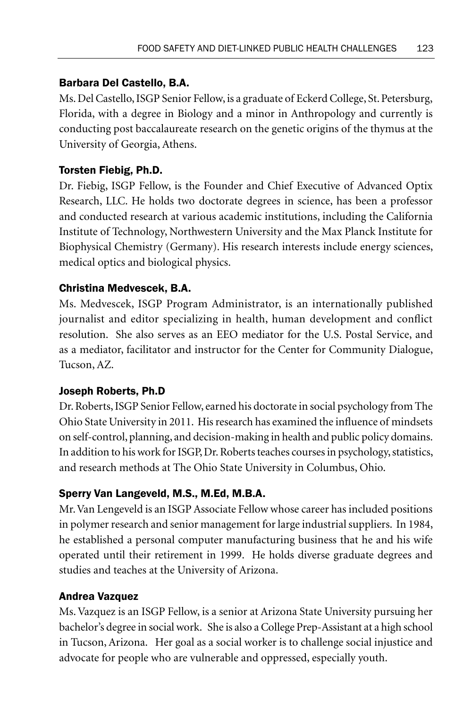# Barbara Del Castello, B.A.

Ms. Del Castello, ISGP Senior Fellow, is a graduate of Eckerd College, St. Petersburg, Florida, with a degree in Biology and a minor in Anthropology and currently is conducting post baccalaureate research on the genetic origins of the thymus at the University of Georgia, Athens.

# Torsten Fiebig, Ph.D.

Dr. Fiebig, ISGP Fellow, is the Founder and Chief Executive of Advanced Optix Research, LLC. He holds two doctorate degrees in science, has been a professor and conducted research at various academic institutions, including the California Institute of Technology, Northwestern University and the Max Planck Institute for Biophysical Chemistry (Germany). His research interests include energy sciences, medical optics and biological physics.

# Christina Medvescek, B.A.

Ms. Medvescek, ISGP Program Administrator, is an internationally published journalist and editor specializing in health, human development and conflict resolution. She also serves as an EEO mediator for the U.S. Postal Service, and as a mediator, facilitator and instructor for the Center for Community Dialogue, Tucson, AZ.

## Joseph Roberts, Ph.D

Dr. Roberts, ISGP Senior Fellow, earned his doctorate in social psychology from The Ohio State University in 2011. His research has examined the influence of mindsets on self-control, planning, and decision-making in health and public policy domains. In addition to his work for ISGP, Dr. Roberts teaches courses in psychology, statistics, and research methods at The Ohio State University in Columbus, Ohio.

## Sperry Van Langeveld, M.S., M.Ed, M.B.A.

Mr. Van Lengeveld is an ISGP Associate Fellow whose career has included positions in polymer research and senior management for large industrial suppliers. In 1984, he established a personal computer manufacturing business that he and his wife operated until their retirement in 1999. He holds diverse graduate degrees and studies and teaches at the University of Arizona.

## Andrea Vazquez

Ms. Vazquez is an ISGP Fellow, is a senior at Arizona State University pursuing her bachelor's degree in social work. She is also a College Prep-Assistant at a high school in Tucson, Arizona. Her goal as a social worker is to challenge social injustice and advocate for people who are vulnerable and oppressed, especially youth.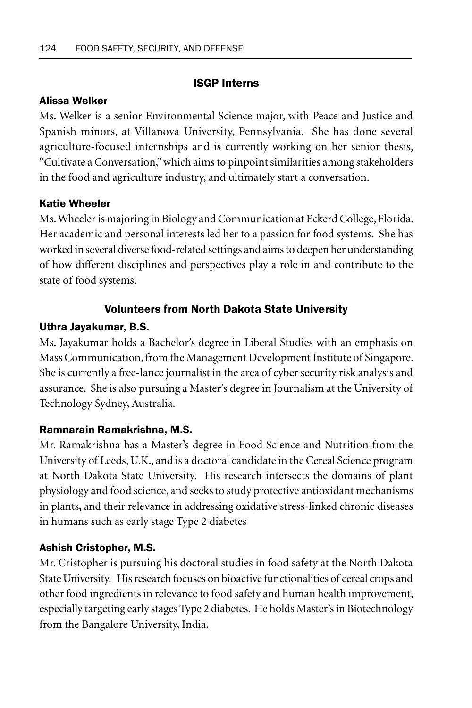# ISGP Interns

## Alissa Welker

Ms. Welker is a senior Environmental Science major, with Peace and Justice and Spanish minors, at Villanova University, Pennsylvania. She has done several agriculture-focused internships and is currently working on her senior thesis, "Cultivate a Conversation," which aims to pinpoint similarities among stakeholders in the food and agriculture industry, and ultimately start a conversation.

### Katie Wheeler

Ms. Wheeler is majoring in Biology and Communication at Eckerd College, Florida. Her academic and personal interests led her to a passion for food systems. She has worked in several diverse food-related settings and aims to deepen her understanding of how different disciplines and perspectives play a role in and contribute to the state of food systems.

# Volunteers from North Dakota State University

## Uthra Jayakumar, B.S.

Ms. Jayakumar holds a Bachelor's degree in Liberal Studies with an emphasis on Mass Communication, from the Management Development Institute of Singapore. She is currently a free-lance journalist in the area of cyber security risk analysis and assurance. She is also pursuing a Master's degree in Journalism at the University of Technology Sydney, Australia.

## Ramnarain Ramakrishna, M.S.

Mr. Ramakrishna has a Master's degree in Food Science and Nutrition from the University of Leeds, U.K., and is a doctoral candidate in the Cereal Science program at North Dakota State University. His research intersects the domains of plant physiology and food science, and seeks to study protective antioxidant mechanisms in plants, and their relevance in addressing oxidative stress-linked chronic diseases in humans such as early stage Type 2 diabetes

## Ashish Cristopher, M.S.

Mr. Cristopher is pursuing his doctoral studies in food safety at the North Dakota State University. His research focuses on bioactive functionalities of cereal crops and other food ingredients in relevance to food safety and human health improvement, especially targeting early stages Type 2 diabetes. He holds Master's in Biotechnology from the Bangalore University, India.